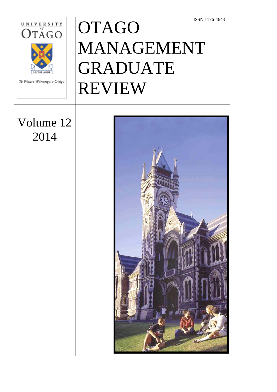

Te Whare Wānanga o Otāgo

# **OTAGO** MANAGEMENT GRADUATE REVIEW

# Volume 12 2014

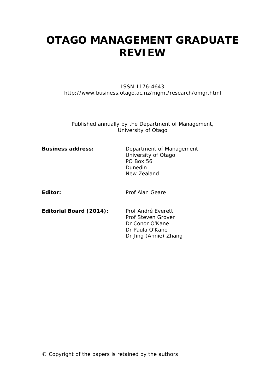# **OTAGO MANAGEMENT GRADUATE REVIEW**

#### ISSN 1176-4643 http://www.business.otago.ac.nz/mgmt/research/omgr.html

Published annually by the Department of Management, University of Otago

> Dr Conor O'Kane Dr Paula O'Kane

Dr Jing (Annie) Zhang

| <b>Business address:</b> | Department of Management<br>University of Otago<br><b>PO Box 56</b><br>Dunedin<br>New Zealand |
|--------------------------|-----------------------------------------------------------------------------------------------|
| Editor:                  | Prof Alan Geare                                                                               |
| Editorial Board (2014):  | Prof André Everett<br>Prof Steven Grover                                                      |

© Copyright of the papers is retained by the authors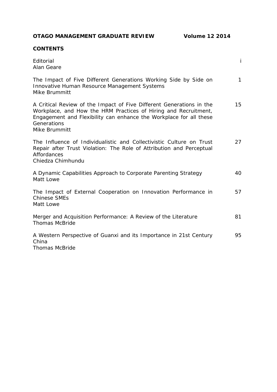**OTAGO MANAGEMENT GRADUATE REVIEW Volume 12 2014**

#### **CONTENTS**

| Editorial<br>Alan Geare                                                                                                                                                                                                                       | İ            |
|-----------------------------------------------------------------------------------------------------------------------------------------------------------------------------------------------------------------------------------------------|--------------|
| The Impact of Five Different Generations Working Side by Side on<br>Innovative Human Resource Management Systems<br>Mike Brummitt                                                                                                             | $\mathbf{1}$ |
| A Critical Review of the Impact of Five Different Generations in the<br>Workplace, and How the HRM Practices of Hiring and Recruitment,<br>Engagement and Flexibility can enhance the Workplace for all these<br>Generations<br>Mike Brummitt | 15           |
| The Influence of Individualistic and Collectivistic Culture on Trust<br>Repair after Trust Violation: The Role of Attribution and Perceptual<br>Affordances<br>Chiedza Chimhundu                                                              | 27           |
| A Dynamic Capabilities Approach to Corporate Parenting Strategy<br>Matt Lowe                                                                                                                                                                  | 40           |
| The Impact of External Cooperation on Innovation Performance in<br><b>Chinese SMEs</b><br>Matt Lowe                                                                                                                                           | 57           |
| Merger and Acquisition Performance: A Review of the Literature<br><b>Thomas McBride</b>                                                                                                                                                       | 81           |
| A Western Perspective of Guanxi and its Importance in 21st Century<br>China<br><b>Thomas McBride</b>                                                                                                                                          | 95           |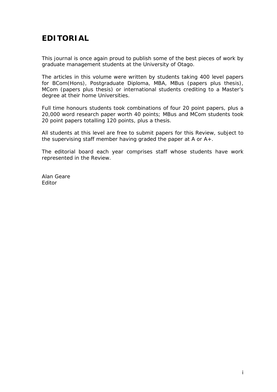# **EDITORIAL**

This journal is once again proud to publish some of the best pieces of work by graduate management students at the University of Otago.

The articles in this volume were written by students taking 400 level papers for BCom(Hons), Postgraduate Diploma, MBA, MBus (papers plus thesis), MCom (papers plus thesis) or international students crediting to a Master's degree at their home Universities.

Full time honours students took combinations of four 20 point papers, plus a 20,000 word research paper worth 40 points; MBus and MCom students took 20 point papers totalling 120 points, plus a thesis.

All students at this level are free to submit papers for this Review, subject to the supervising staff member having graded the paper at A or A+.

The editorial board each year comprises staff whose students have work represented in the Review.

Alan Geare Editor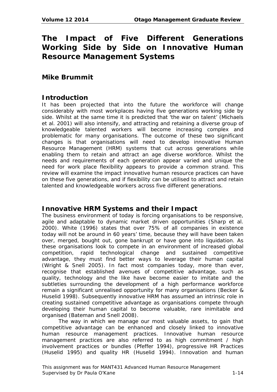# **The Impact of Five Different Generations Working Side by Side on Innovative Human Resource Management Systems**

#### **Mike Brummit**

#### **Introduction**

It has been projected that into the future the workforce will change considerably with most workplaces having five generations working side by side. Whilst at the same time it is predicted that 'the war on talent' (Michaels et al. 2001) will also intensify, and attracting and retaining a diverse group of knowledgeable talented workers will become increasing complex and problematic for many organisations. The outcome of these two significant changes is that organisations will need to develop innovative Human Resource Management (HRM) systems that cut across generations while enabling them to retain and attract an age diverse workforce. Whilst the needs and requirements of each generation appear varied and unique the need for work place flexibility appears to provide a common strand. This review will examine the impact innovative human resource practices can have on these five generations, and if flexibility can be utilised to attract and retain talented and knowledgeable workers across five different generations.

# **Innovative HRM Systems and their Impact**

The business environment of today is forcing organisations to be responsive, agile and adaptable to dynamic market driven opportunities (Sharp et al. 2000). White (1996) states that over 75% of all companies in existence today will not be around in 60 years' time, because they will have been taken over, merged, bought out, gone bankrupt or have gone into liquidation. As these organisations look to compete in an environment of increased global competition, rapid technological change and sustained competitive advantage, they must find better ways to leverage their human capital (Wright & Snell 2005). In fact most companies today, more than ever, recognise that established avenues of competitive advantage, such as quality, technology and the like have become easier to imitate and the subtleties surrounding the development of a high performance workforce remain a significant unrealised opportunity for many organisations (Becker & Huselid 1998). Subsequently innovative HRM has assumed an intrinsic role in creating sustained competitive advantage as organisations compete through developing their human capital to become valuable, rare inimitable and organised (Bateman and Snell 2008).

The way in which we manage our most valuable assets, to gain that competitive advantage can be enhanced and closely linked to innovative human resource management practices. Innovative human resource management practices are also referred to as high commitment / high involvement practices or bundles (Pfeffer 1994), progressive HR Practices (Huselid 1995) and quality HR (Huselid 1994). Innovation and human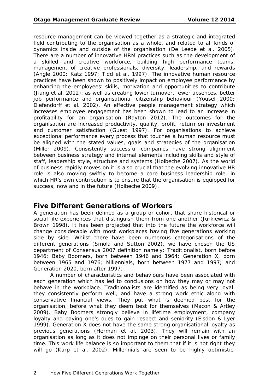resource management can be viewed together as a strategic and integrated field contributing to the organisation as a whole, and related to all kinds of dynamics inside and outside of the organisation (De Leede et al. 2005). There are a number of innovative HRM practices such as the development of a skilled and creative workforce, building high performance teams, management of creative professionals, diversity, leadership, and rewards (Angle 2000; Katz 1997; Tidd et al. 1997). The innovative human resource practices have been shown to positively impact on employee performance by enhancing the employees' skills, motivation and opportunities to contribute (Jiang et al. 2012), as well as creating lower turnover, fewer absences, better job performance and organisational citizenship behaviour (Yousef 2000; Diefendorff et al. 2002). An effective people management strategy which increases employee engagement has been shown to lead to an increase in profitability for an organisation (Rayton 2012). The outcomes for the organisation are increased productivity, quality, profit, return on investment and customer satisfaction (Guest 1997). For organisations to achieve exceptional performance every process that touches a human resource must be aligned with the stated values, goals and strategies of the organisation (Miller 2009). Consistently successful companies have strong alignment between business strategy and internal elements including skills and style of staff, leadership style, structure and systems (Holbeche 2007). As the world of business rapidly moves on it is also crucial that the evolving innovative HR role is also moving swiftly to become a core business leadership role, in which HR's own contribution is to ensure that the organisation is equipped for success, now and in the future (Holbeche 2009).

#### **Five Different Generations of Workers**

A generation has been defined as a group or cohort that share historical or social life experiences that distinguish them from one another (Jurkiewicz & Brown 1998). It has been projected that into the future the workforce will change considerable with most workplaces having five generations working side by side. Whilst there have been numerous categorisations of the different generations (Smola and Sutton 2002), we have chosen the US department of Consensus 2007 definition namely: Traditionalist, born before 1946; Baby Boomers, born between 1946 and 1964; Generation X, born between 1965 and 1976; Millennials, born between 1977 and 1997; and Generation 2020, born after 1997.

A number of characteristics and behaviours have been associated with each generation which has led to conclusions on how they may or may not behave in the workplace. Traditionalists are identified as being very loyal, they consistently perform well, and have a strong work ethic along with conservative financial views. They put what is deemed best for the organisation, before what they deem best for themselves (Macon & Artley 2009). Baby Boomers strongly believe in lifetime employment, company loyalty and paying one's dues to gain respect and seniority (Elsdon & Lyer 1999). Generation X does not have the same strong organisational loyalty as previous generations (Herman et al. 2003). They will remain with an organisation as long as it does not impinge on their personal lives or family time. This work life balance is so important to them that if it is not right they will go (Karp et al. 2002). Millennials are seen to be highly optimistic,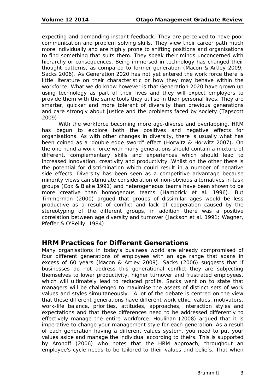expecting and demanding instant feedback. They are perceived to have poor communication and problem solving skills. They view their career path much more individually and are highly prone to shifting positions and organisations to find something that suits them. They speak their minds unconcerned with hierarchy or consequences. Being immersed in technology has changed their thought patterns, as compared to former generation (Macon & Artley 2009; Sacks 2006). As Generation 2020 has not yet entered the work force there is little literature on their characteristic or how they may behave within the workforce. What we do know however is that Generation 2020 have grown up using technology as part of their lives and they will expect employers to provide them with the same tools they utilise in their personal lives. They are smarter, quicker and more tolerant of diversity than previous generations and care strongly about justice and the problems faced by society (Tapscott 2009).

With the workforce becoming more age-diverse and overlapping, HRM has begun to explore both the positives and negative effects for organisations. As with other changes in diversity, there is usually what has been coined as a 'double edge sword" effect (Horwitz & Horwitz 2007). On the one hand a work force with many generations should contain a mixture of different, complementary skills and experiences which should lead to increased innovation, creativity and productivity. Whilst on the other there is the potential for discrimination which could result in a number of negative side effects. Diversity has been seen as a competitive advantage because minority views can stimulate consideration of non-obvious alternatives in task groups (Cox & Blake 1991) and heterogeneous teams have been shown to be more creative than homogenous teams (Hambrick et al. 1996). But Timmerman (2000) argued that groups of dissimilar ages would be less productive as a result of conflict and lack of cooperation caused by the stereotyping of the different groups, in addition there was a positive correlation between age diversity and turnover (Jackson et al. 1991; Wagner, Pfeffer & O'Reilly, 1984).

#### **HRM Practices for Different Generations**

Many organisations in today's business world are already compromised of four different generations of employees with an age range that spans in excess of 60 years (Macon & Artley 2009). Sacks (2006) suggests that if businesses do not address this generational conflict they are subjecting themselves to lower productivity, higher turnover and frustrated employees, which will ultimately lead to reduced profits. Sacks went on to state that managers will be challenged to maximise the assets of distinct sets of work values and styles simultaneously. A lot of the debate is centred on the view that these different generations have different work ethic, values, motivators, work-life balance, priorities, attitudes, approaches, interaction styles and expectations and that these differences need to be addressed differently to effectively manage the entire workforce. Houlihan (2008) argued that it is imperative to change your management style for each generation. As a result of each generation having a different values system, you need to put your values aside and manage the individual according to theirs. This is supported by Aronoff (2006) who notes that the HRM approach, throughout an employee's cycle needs to be tailored to their values and beliefs. That when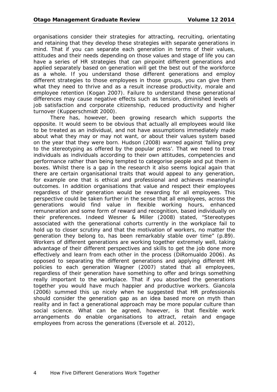organisations consider their strategies for attracting, recruiting, orientating and retaining that they develop these strategies with separate generations in mind. That if you can separate each generation in terms of their values, attitudes and their needs depending on those values and stage of life you can have a series of HR strategies that can pinpoint different generations and applied separately based on generation will get the best out of the workforce as a whole. If you understand those different generations and employ different strategies to those employees in those groups, you can give them what they need to thrive and as a result increase productivity, morale and employee retention (Kogan 2007). Failure to understand these generational differences may cause negative effects such as tension, diminished levels of job satisfaction and corporate citizenship, reduced productivity and higher turnover (Kupperschmidt 2000).

There has, however, been growing research which supports the opposite. It would seem to be obvious that actually all employees would like to be treated as an individual, and not have assumptions immediately made about what they may or may not want, or about their values system based on the year that they were born. Hudson (2008) warned against 'falling prey to the stereotyping as offered by the popular press'. That we need to treat individuals as individuals according to their own attitudes, competencies and performance rather than being tempted to categorise people and put them in boxes. Whilst there is a gap in the research it also seems logical again that there are certain organisational traits that would appeal to any generation, for example one that is ethical and professional and achieves meaningful outcomes. In addition organisations that value and respect their employees regardless of their generation would be rewarding for all employees. This perspective could be taken further in the sense that all employees, across the generations would find value in flexible working hours, enhanced remuneration and some form of reward and recognition, based individually on their preferences. Indeed Wesner & Miller (2008) stated, "Stereotypes associated with the generational cohorts currently in the workplace fail to hold up to closer scrutiny and that the motivation of workers, no matter the generation they belong to, has been remarkably stable over time" (p.89). Workers of different generations are working together extremely well, taking advantage of their different perspectives and skills to get the job done more effectively and learn from each other in the process (DiRomualdo 2006). As opposed to separating the different generations and applying different HR policies to each generation Wagner (2007) stated that all employees, regardless of their generation have something to offer and brings something really important to the workplace. That if you absorbed the generations together you would have much happier and productive workers. Giancola (2006) summed this up nicely when he suggested that HR professionals should consider the generation gap as an idea based more on myth than reality and in fact a generational approach may be more popular culture than social science. What can be agreed, however, is that flexible work arrangements do enable organisations to attract, retain and engage employees from across the generations (Eversole et al. 2012),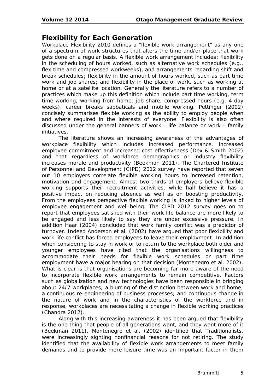# **Flexibility for Each Generation**

Workplace Flexibility 2010 defines a "flexible work arrangement" as any one of a spectrum of work structures that alters the time and/or place that work gets done on a regular basis. A flexible work arrangement includes: flexibility in the scheduling of hours worked, such as alternative work schedules (e.g., flex time and compressed workweeks), and arrangements regarding shift and break schedules; flexibility in the amount of hours worked, such as part time work and job shares; and flexibility in the place of work, such as working at home or at a satellite location. Generally the literature refers to a number of practices which make up this definition which include part time working, term time working, working from home, job share, compressed hours (e.g. 4 day weeks), career breaks sabbaticals and mobile working. Pettinger (2002) concisely summarises flexible working as the ability to employ people when and where required in the interests of everyone. Flexibility is also often discussed under the general banners of work - life balance or work - family initiatives.

The literature shows an increasing awareness of the advantages of workplace flexibility which includes increased performance, increased employee commitment and increased cost effectiveness (Dex & Smith 2002) and that regardless of workforce demographics or industry flexibility increases morale and productivity (Beekman 2011). The Chartered Institute of Personnel and Development (CIPD) 2012 survey have reported that seven out 10 employers correlate flexible working hours to increased retention, motivation and engagement. Almost two thirds of employers believe flexible working supports their recruitment activities, while half believe it has a positive impact on reducing absence as well as on boosting productivity. From the employees perspective flexible working is linked to higher levels of employee engagement and well-being. The CIPD 2012 survey goes on to report that employees satisfied with their work life balance are more likely to be engaged and less likely to say they are under excessive pressure. In addition Haar (2004) concluded that work family conflict was a predictor of turnover. Indeed Anderson et al. (2002) have argued that poor flexibility and work life conflict has forced employees to leave their employment. In addition when considering to stay in work or to return to the workplace both older and younger employees have cited that the organisations willingness to accommodate their needs for flexible work schedules or part time employment have a major bearing on that decision (Montenegro et al. 2002). What is clear is that organisations are becoming far more aware of the need to incorporate flexible work arrangements to remain competitive. Factors such as globalization and new technologies have been responsible in bringing about 24/7 workplaces; a blurring of the distinction between work and home; a continuous re-engineering of business processes; and continuous change in the nature of work and in the characteristics of the workforce and in response, workplaces are necessitating a change in flexible working practices (Chandra 2012).

Along with this increasing awareness it has been argued that flexibility is the one thing that people of all generations want, and they want more of it (Beekman 2011). Montenegro et al. (2002) identified that Traditionalists, were increasingly sighting nonfinancial reasons for not retiring. The study identified that the availability of flexible work arrangements to meet family demands and to provide more leisure time was an important factor in them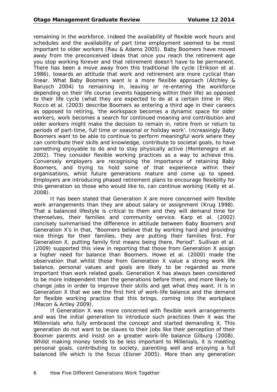remaining in the workforce. Indeed the availability of flexible work hours and schedules and the availability of part time employment seemed to be most important to older workers (Rau & Adams 2005). Baby Boomers have moved away from the preconceived ideas that once you reach the retirement age you stop working forever and that retirement doesn't have to be permanent. There has been a move away from this traditional life cycle (Erikson et al. 1986), towards an attitude that work and retirement are more cyclical than linear. What Baby Boomers want is a more flexible approach (Atchley & Barusch 2004) to remaining in, leaving or re-entering the workforce depending on their life course (events happening within their life) as opposed to their life cycle (what they are expected to do at a certain time in life). Rocco et al. (2003) describe Boomers as entering a third age in their careers as opposed to retiring, 'the workspace becomes a dynamic space for older workers, work becomes a search for continued meaning and contribution and older workers might make the decision to remain in, retire from or return to periods of part-time, full time or seasonal or holiday work'. Increasingly Baby Boomers want to be able to continue to perform meaningful work where they can contribute their skills and knowledge, contribute to societal goals, to have something enjoyable to do and to stay physically active (Montenegro et al. 2002). They consider flexible working practices as a way to achieve this. Conversely employers are recognising the importance of retaining Baby Boomers, and trying to hold some of that experience within their organisations, whist future generations mature and come up to speed. Employers are introducing phased retirement plans to encourage flexibility for this generation so those who would like to, can continue working (Kelly et al. 2008).

It has been stated that Generation X are more concerned with flexible work arrangements than they are about salary or assignment (Krug 1998). That a balanced lifestyle is critical to them and they will demand time for themselves, their families and community service. Karp et al. (2002) concisely summarised the difference in attitude between Baby Boomers and Generation X's in that, "Boomers believe that by working hard and providing nice things for their families, they are putting their families first. For Generation X, putting family first means being there, Period". Sullivan et al. (2009) supported this view in reporting that those from Generation X assign a higher need for balance than Boomers. Howe et al. (2000) made the observation that whilst those from Generation X value a strong work life balance, personal values and goals are likely to be regarded as more important than work related goals. Generation X has always been considered to be more independent than the generations before them, and more likely to change jobs in order to improve their skills and get what they want. It is in Generation X that we see the first hint of work-life balance and the demand for flexible working practice that this brings, coming into the workplace (Macon & Artley 2009).

If Generation X was more concerned with flexible work arrangements and was the initial generation to introduce such practices then it was the Millennials who fully embraced the concept and started demanding it. This generation do not want to be slaves to their jobs like their perception of their Boomer parents and insist on a greater work-life balance Gilburg (2008). Whilst making money tends to be less important to Millenials, it is meeting personal goals, contributing to society, parenting well and enjoying a full balanced life which is the focus (Eisner 2005). More than any generation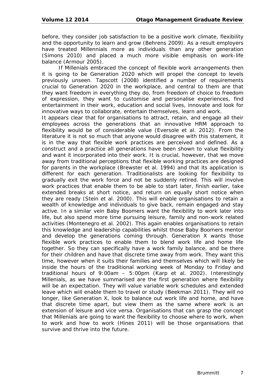before, they consider job satisfaction to be a positive work climate, flexibility and the opportunity to learn and grow (Behrens 2009). As a result employers have treated Millennials more as individuals than any other generation (Simons 2010) and placed a much more visible emphasis on work-life balance (Armour 2005).

If Millenials embraced the concept of flexible work arrangements then it is going to be Generation 2020 which will propel the concept to levels previously unseen. Tapscott (2008) identified a number of requirements crucial to Generation 2020 in the workplace, and central to them are that they want freedom in everything they do, from freedom of choice to freedom of expression, they want to customise and personalise experiences, find entertainment in their work, education and social lives, innovate and look for innovative ways to collaborate, entertain themselves, learn and work.

It appears clear that for organisations to attract, retain, and engage all their employees across the generations that an innovative HRM approach to flexibility would be of considerable value (Eversole et al. 2012). From the literature it is not so much that anyone would disagree with this statement, it is in the way that flexible work practices are perceived and defined. As a construct and a practice all generations have been shown to value flexibility and want it incorporated into their work. It is crucial, however, that we move away from traditional perceptions that flexible working practices are designed for parents in the workplace (Brewster et al. 1994) and that its application is different for each generation. Traditionalists are looking for flexibility to gradually exit the work force and not be suddenly retired. This will involve work practices that enable them to be able to start later, finish earlier, take extended breaks at short notice, and return on equally short notice when they are ready (Stein et al. 2000). This will enable organisations to retain a wealth of knowledge and individuals to give back, remain engaged and stay active. In a similar vein Baby Boomers want the flexibility to work later into life, but also spend more time pursuing leisure, family and non-work related activities (Montenegro et al. 2002). This again enables organisations to retain this knowledge and leadership capabilities whilst those Baby Boomers mentor and develop the generations coming through. Generation X wants those flexible work practices to enable them to blend work life and home life together. So they can specifically have a work family balance, and be there for their children and have that discrete time away from work. They want this time, however when it suits their families and themselves which will likely be inside the hours of the traditional working week of Monday to Friday and traditional hours of 9:00am – 5:00pm (Karp et al. 2002). Interestingly Millenials, as we have summarised are the first generation where flexibility will be an expectation. They will value variable work schedules and extended leave which will enable them to travel or study (Beekman 2011). They will no longer, like Generation X, look to balance out work life and home, and have that discrete time apart, but view them as the same where work is an extension of leisure and vice versa. Organisations that can grasp the concept that Millenials are going to want the flexibility to choose where to work, when to work and how to work (Hines 2011) will be those organisations that survive and thrive into the future.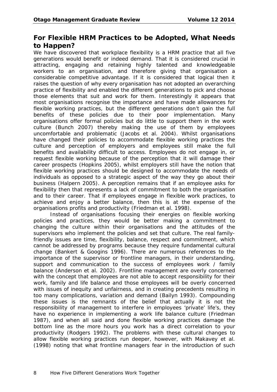#### **For Flexible HRM Practices to be Adopted, What Needs to Happen?**

We have discovered that workplace flexibility is a HRM practice that all five generations would benefit or indeed demand. That it is considered crucial in attracting, engaging and retaining highly talented and knowledgeable workers to an organisation, and therefore giving that organisation a considerable competitive advantage. If it is considered that logical then it raises the question of why every organisation has not adopted an overarching practice of flexibility and enabled the different generations to pick and choose those elements that suit and work for them. Interestingly it appears that most organisations recognise the importance and have made allowances for flexible working practices, but the different generations don't gain the full benefits of these policies due to their poor implementation. Many organisations offer formal policies but do little to support them in the work culture (Bunch 2007) thereby making the use of them by employees uncomfortable and problematic (Jacobs et al. 2004). Whilst organisations have changed their policies to accommodate flexible working practices the culture and perception of employers and employees still make the full benefits and availability difficult to access. Employees do not engage in, or request flexible working because of the perception that it will damage their career prospects (Hopkins 2005), whilst employers still have the notion that flexible working practices should be designed to accommodate the needs of individuals as opposed to a strategic aspect of the way they go about their business (Halpern 2005). A perception remains that if an employee asks for flexibility then that represents a lack of commitment to both the organisation and to their career. That if employees engage in flexible work practices, to achieve and enjoy a better balance, then this is at the expense of the organisations profits and productivity (Friedman et al. 1998).

Instead of organisations focusing their energies on flexible working policies and practices, they would be better making a commitment to changing the culture within their organisations and the attitudes of the supervisors who implement the policies and set that culture. The real familyfriendly issues are time, flexibility, balance, respect and commitment, which cannot be addressed by programs because they require fundamental cultural change (Bankert & Googins 1996). There are numerous references to the importance of the supervisor or frontline managers, in their understanding, support and communication to the success of employees work / family balance (Anderson et al. 2002). Frontline management are overly concerned with the concept that employees are not able to accept responsibility for their work, family and life balance and those employees will be overly concerned with issues of inequity and unfairness, and in creating precedents resulting in too many complications, variation and demand (Bailyn 1993). Compounding these issues is the remnants of the belief that actually it is not the responsibility of management to interfere in employees 'private' life's, they have no experience in implementing a work life balance culture (Friedman 1987), and when all said and done flexible working practices damage the bottom line as the more hours you work has a direct correlation to your productivity (Rodgers 1992). The problems with these cultural changes to allow flexible working practices run deeper, however, with Makavey et al. (1998) noting that what frontline managers fear in the introduction of such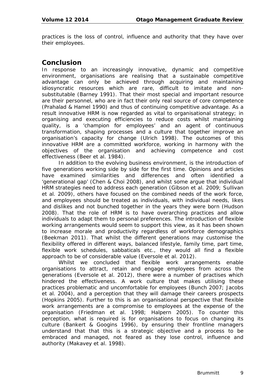practices is the loss of control, influence and authority that they have over their employees.

#### **Conclusion**

In response to an increasingly innovative, dynamic and competitive environment, organisations are realising that a sustainable competitive advantage can only be achieved through acquiring and maintaining idiosyncratic resources which are rare, difficult to imitate and nonsubstitutable (Barney 1991). That their most special and important resource are their personnel, who are in fact their only real source of core competence (Prahalad & Hamel 1990) and thus of continuing competitive advantage. As a result innovative HRM is now regarded as vital to organisational strategy; in organising and executing efficiencies to reduce costs whilst maintaining quality, is a 'champion for employees' and an agent of continuous transformation, shaping processes and a culture that together improve an organisation's capacity for change (Ulrich 1998). The outcomes of this innovative HRM are a committed workforce, working in harmony with the objectives of the organisation and achieving competence and cost effectiveness (Beer et al. 1984).

In addition to the evolving business environment, is the introduction of five generations working side by side for the first time. Opinions and articles have examined similarities and differences and often identified a 'generational gap' (Chen & Choi 2008), and whilst some argue that individual HRM strategies need to address each generation (Gibson et al. 2009; Sullivan et al. 2009), others have focused on the combined needs of the work force, and employees should be treated as individuals, with individual needs, likes and dislikes and not bunched together in the years they were born (Hudson 2008). That the role of HRM is to have overarching practices and allow individuals to adapt them to personal preferences. The introduction of flexible working arrangements would seem to support this view, as it has been shown to increase morale and productivity regardless of workforce demographics (Beekman 2011). That whilst the different generations may customise the flexibility offered in different ways, balanced lifestyle, family time, part time, flexible work schedules, sabbaticals etc., they would all find a flexible approach to be of considerable value (Eversole et al. 2012).

Whilst we concluded that flexible work arrangements enable organisations to attract, retain and engage employees from across the generations (Eversole et al. 2012), there were a number of practises which hindered the effectiveness. A work culture that makes utilising these practices problematic and uncomfortable for employees (Bunch 2007; Jacobs et al. 2004), and a perception that they will damage their careers prospects (Hopkins 2005). Further to this is an organisational perspective that flexible work arrangements are a compromise to employees at the expense of the organisation (Friedman et al. 1998; Halpern 2005). To counter this perception, what is required is for organisations to focus on changing its culture (Bankert & Googins 1996), by ensuring their frontline managers understand that that this is a strategic objective and a process to be embraced and managed, not feared as they lose control, influence and authority (Makavey et al. 1998).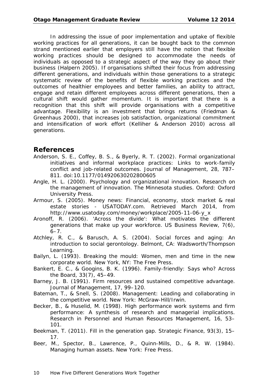In addressing the issue of poor implementation and uptake of flexible working practices for all generations, it can be bought back to the common strand mentioned earlier that employers still have the notion that flexible working practices should be designed to accommodate the needs of individuals as opposed to a strategic aspect of the way they go about their business (Halpern 2005). If organisations shifted their focus from addressing different generations, and individuals within those generations to a strategic systematic review of the benefits of flexible working practices and the outcomes of healthier employees and better families, an ability to attract, engage and retain different employees across different generations, then a cultural shift would gather momentum. It is important that there is a recognition that this shift will provide organisations with a competitive advantage. Flexibility is an investment that brings returns (Friedman & Greenhaus 2000), that increases job satisfaction, organizational commitment and intensification of work effort (Kelliher & Anderson 2010) across all generations.

#### **References**

- Anderson, S. E., Coffey, B. S., & Byerly, R. T. (2002). Formal organizational initiatives and informal workplace practices: Links to work-family conflict and job-related outcomes. *Journal of Management, 28*, 787– 811. doi:10.1177/014920630202800605
- Angle, H. L. (2000). *Psychology and organizational innovation. Research on the management of innovation. The Minnesota studies.* Oxford: Oxford University Press.
- Armour, S. (2005). *Money news: Financial, economy, stock market & real estate stories* - USATODAY.com. Retrieved March 2014, from http://www.usatoday.com/money/workplace/2005-11-06-y\_x
- Aronoff, R. (2006). 'Across the divide': What motivates the different generations that make up your workforce. *US Business Review, 7*(6),  $6 - 7$ .
- Atchley, R. C., & Barusch, A. S. (2004). *Social forces and aging: An introduction to social gerontology.* Belmont, CA: Wadsworth/Thompson Learning.
- Bailyn, L. (1993). *Breaking the mould: Women, men and time in the new corporate world.* New York, NY: The Free Press.
- Bankert, E. C., & Googins, B. K. (1996). Family-friendly: Says who? *Across the Board, 33*(7), 45–49.
- Barney, J. B. (1991). Firm resources and sustained competitive advantage. *Journal of Management, 17*, 99–120.
- Bateman, T., & Snell, S. (2008). *Management: Leading and collaborating in the competitive world*. New York: McGraw-Hill/Irwin.
- Becker, B., & Huselid, M. (1998). High performance work systems and firm performance: A synthesis of research and managerial implications. *Research in Personnel and Human Resources Management, 16,* 53– 101.
- Beekman, T. (2011). Fill in the generation gap. *Strategic Finance, 93*(3), 15– 17.
- Beer, M., Spector, B., Lawrence, P., Quinn-Mills, D., & R. W. (1984). *Managing human assets.* New York: Free Press.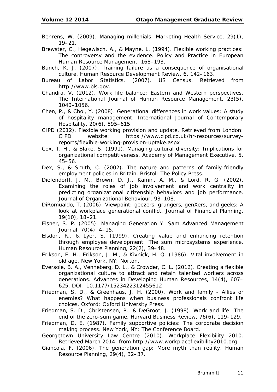Behrens, W. (2009). Managing millenials. *Marketing Health Service, 29*(1), 19–21.

Brewster, C., Hegewisch, A., & Mayne, L. (1994). Flexible working practices: The controversy and the evidence. *Policy and Practice in European Human Resource Management,* 168–193.

Bunch, K. J. (2007). Training failure as a consequence of organisational culture. *Human Resource Development Review, 6,* 142–163.

- Bureau of Labor Statistics. (2007). *US Censu*s. Retrieved from http://www.bls.gov.
- Chandra, V. (2012). Work life balance: Eastern and Western perspectives. *The International Journal of Human Resource Management, 23*(5), 1040–1056.
- Chen, P., & Choi, Y. (2008). Generational differences in work values: A study of hospitality management. *International Journal of Contemporary Hospitality, 20*(6), 595–615.
- CIPD (2012). *Flexible working provision and update.* Retrieved from London: CIPD website: https://www.cipd.co.uk/hr-resources/surveyreports/flexible-working-provision-uptake.aspx
- Cox, T. H., & Blake, S. (1991). Managing cultural diversity: Implications for organizational competitiveness. *Academy of Management Executive, 5,*  45–56.
- Dex, S., & Smith, C. (2002). *The nature and patterns of family-friendly employment policies in Britain.* Bristol: The Policy Press.
- Diefendorff, J. M., Brown, D. J., Kamin, A. M., & Lord, R. G. (2002). Examining the roles of job involvement and work centrality in predicting organizational citizenship behaviors and job performance. *Journal of Organizational Behaviour,* 93–108.
- DiRomualdo, T. (2006). Viewpoint: geezers, grungers, genXers, and geeks: A look at workplace generational conflict. *Journal of Financial Planning, 19*(10), 18–21.
- Eisner, S. P. (2005). Managing Generation Y. *Sam Advanced Management Journal, 70*(4), 4–15.
- Elsdon, R., & Lyer, S. (1999). Creating value and enhancing retention through employee development: The sum microsystems experience. *Human Resource Planning, 22*(2), 39–48.
- Erikson, E. H., Erikson, J. M., & Kivnick, H. Q. (1986). *Vital involvement in old age.* New York, NY: Norton.
- Eversole, B. A., Venneberg, D. L., & Crowder, C. L. (2012). Creating a flexible organizational culture to attract and retain talented workers across generations. *Advances in Developing Human Resources, 14*(4), 607– 625. DOI: 10.1177/1523422312455612
- Friedman, S. D., & Greenhaus, J. H. (2000). *Work and family - Allies or enemies? What happens when business professionals confront life choices.* Oxford: Oxford University Press.
- Friedman, S. D., Christensen, P., & DeGroot, J. (1998). Work and life: The end of the zero-sum game. *Harvard Business Review, 76*(6), 119–129.
- Friedman, D. E. (1987). *Family supportive policies: The corporate decision making process.* New York, NY: The Conference Board.
- Georgetown University Law Centre (2010). *Workplace Flexibility 2010.*  Retrieved March 2014, from http://www.workplaceflexibility2010.org
- Giancola, F. (2006). The generation gap: More myth than reality. *Human Resource Planning, 29*(4), 32–37.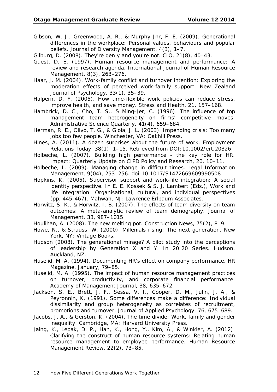- Gibson, W. J., Greenwood, A. R., & Murphy Jnr, F. E. (2009). Generational differences in the workplace: Personal values, behaviours and popular beliefs. J*ournal of Diversity Management, 4*(3), 1–7.
- Gilburg, D. (2008). They're gen y and you're not. *CIO, 21*(8), 40–43.
- Guest, D. E. (1997). Human resource management and performance: A review and research agenda. *International Journal of Human Resource Management, 8*(3), 263–276.
- Haar, J. M. (2004). Work-family conflict and turnover intention: Exploring the moderation effects of perceived work-family support. *New Zealand Journal of Psychology, 33*(1), 35–39.
- Halpern, D. F. (2005). How time-flexible work policies can reduce stress, improve health, and save money. *Stress and Health, 21,* 157–168.
- Hambrick, D. C., Cho, T. S., & Ming-Jer, C. (1996). The influence of top management team heterogeneity on firms' competitive moves. *Administrative Science Quarterly, 41*(4), 659–684.
- Herman, R. E., Olivo, T. G., & Gioia, J. L. (2003). *Impending crisis: Too many jobs too few people.* Winchester, VA: Oakhill Press.
- Hines, A. (2011). A dozen surprises about the future of work. *Employment Relations Today, 38*(1), 1–15. Retrieved from DOI:10.1002/ert.20326
- Holbeche, L. (2007). Building high performance the key role for HR. *Impact: Quarterly Update on CIPD Policy and Research, 20*, 10–11.
- Holbeche, L. (2009). Managing change in difficult times. *Legal Information Management, 9*(04), 253–256. doi:10.1017/S1472669609990508
- Hopkins, K. (2005). Supervisor support and work-life integration: A social identity perspective. In E. E. Kossek & S. J. Lambert (Eds.), *Work and life integration: Organisational, cultural, and individual perspectives* (pp. 445-467)*.* Mahwah, NJ: Lawrence Erlbaum Associates.
- Horwitz, S. K., & Horwitz, I. B. (2007). The effects of team diversity on team outcomes: A meta-analytic review of team demography. *Journal of Management, 33*, 987–1015.
- Houlihan, A. (2008). The new melting pot. *Construction News, 75*(2), 8–9.
- Howe, N., & Strauss, W. (2000). *Millenials rising: The next generation*. New York, NY: Vintage Books.
- Hudson (2008). *The generational mirage? A pilot study into the perceptions of leadership by Generation X and Y.* In 20:20 Series. Hudson, Auckland, NZ.
- Huselid, M. A. (1994). Documenting HR's effect on company performance. *HR Magazine*, January, 79–85.
- Huselid, M. A. (1995). The impact of human resource management practices on turnover, productivity, and corporate financial performance. *Academy of Management Journal, 38*, 635–672.
- Jackson, S. E., Brett, J. F., Sessa, V. I., Cooper, D. M., Julin, J. A., & Peyronnin, K. (1991). Some differences make a difference: Individual dissimilarity and group heterogeneity as correlates of recruitment, promotions and turnover. *Journal of Applied Psychology, 76*, 675–689.
- Jacobs, J. A., & Gerston, K. (2004). *The time divide: Work, family and gender inequality*. Cambridge, MA: Harvard University Press.
- Jaing, K., Lepak, D. P., Han, K., Hong, Y., Kim, A., & Winkler, A. (2012). Clarifying the construct of human resource systems: Relating human resource management to employee performance. *Human Resource Management Review, 22*(2), 73–85.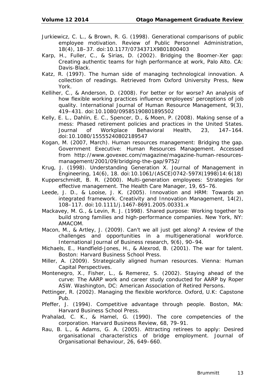- Jurkiewicz, C. L., & Brown, R. G. (1998). Generational comparisons of public employee motivation. *Review of Public Personnel Administration, 18*(4), 18–37. doi:10.1177/0734371X9801800403
- Karp, H., Fuller, C., & Sirias, D. (2002). *Bridging the Boomer-Xer gap: Creating authentic teams for high performance at work,* Palo Alto. CA: Davis-Black.
- Katz, R. (1997). *The human side of managing technological innovation. A collection of readings.* Retrieved from Oxford University Press, New York.
- Kelliher, C., & Anderson, D. (2008). For better or for worse? An analysis of how flexible working practices influence employees' perceptions of job quality. *International Journal of Human Resource Management, 9*(3), 419–431. doi:10.1080/09585190801895502
- Kelly, E. L., Dahlin, E. C., Spencer, D., & Moen, P. (2008). Making sense of a mess: Phased retirement policies and practices in the United States. *Journal of Workplace Behavioral Health, 23,* 147–164. doi:10.1080/15555240802189547
- Kogan, M. (2007, March). Human resources management: Bridging the gap. Government Executive: Human Resources Management. Accessed from http://www.govexec.com/magazine/magazine-human-resourcesmanagement/2001/09/bridging-the-gap/9752/
- Krug, J. (1998). Understanding Generation X. *Journal of Management in Engineering, 14*(6), 18. doi:10.1061/(ASCE)0742-597X(1998)14:6(18)
- Kupperschmidt, B. R. (2000). Multi-generation employees: Strategies for effective management. *The Health Care Manager, 19*, 65–76.
- Leede, J. D., & Looise, J. K. (2005). Innovation and HRM: Towards an integrated framework. *Creativity and Innovation Management, 14*(2), 108–117. doi:10.1111/j.1467-8691.2005.00331.x
- Mackavey, M. G., & Levin, R. J. (1998). *Shared purpose: Working together to build strong families and high-performance companies.* New York, NY: AMACOM.
- Macon, M., & Artley, J. (2009). Can't we all just get along? A review of the challenges and opportunities in a multigenerational workforce. *International Journal of Business research, 9*(6), 90–94.
- Michaels, E., Handfield-Jones, H., & Alexrod, B. (2001). *The war for talent.*  Boston: Harvard Business School Press.
- Miller, A. (2009). *Strategically aligned human resources.* Vienna: Human Capital Perspectives.
- Montenegro, X., Fisher, L., & Remerez, S. (2002). *Staying ahead of the curve: The AARP work and career study conducted for AARP by Roper ASW*. Washington, DC: American Association of Retired Persons.
- Pettinger, R. (2002). *Managing the flexible workforce.* Oxford, U.K: Capstone Pub.
- Pfeffer, J. (1994). *Competitive advantage through people.* Boston, MA: Harvard Business School Press.
- Prahalad, C. K., & Hamel, G. (1990). The core competencies of the corporation. *Harvard Business Review, 68*, 79–91.
- Rau, B. L., & Adams, G. A. (2005). Attracting retirees to apply: Desired organisational characteristics of bridge employment. *Journal of Organisational Behaviour, 26*, 649–660.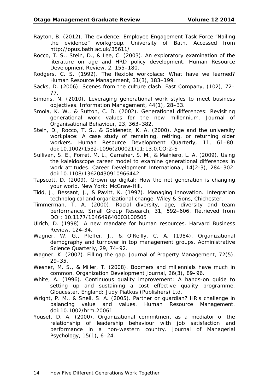- Rayton, B. (2012). *The evidence: Employee Engagement Task Force "Nailing the evidence" workgroup*. University of Bath. Accessed from http://opus.bath.ac.uk/35611/
- Rocco, T. S., Stein, D., & Lee, C. (2003). An exploratory examination of the literature on age and HRD policy development. *Human Resource Development Review, 2*, 155–180.
- Rodgers, C. S. (1992). The flexible workplace: What have we learned? *Human Resource Management, 31*(3), 183–199.
- Sacks, D. (2006). Scenes from the culture clash. *Fast Company*, (102), 72– 77.
- Simons, N. (2010). Leveraging generational work styles to meet business objectives. *Information Management, 44*(1), 28–33.
- Smola, K. W., & Sutton, C. D. (2002). Generational differences: Revisiting generational work values for the new millennium. *Journal of Organisational Behaviour, 23*, 363–382.
- Stein, D., Rocco, T. S., & Goldenetz, K. A. (2000). Age and the university workplace: A case study of remaining, retiring, or returning older workers. *Human Resource Development Quarterly, 11,* 61–80. doi:10.1002/1532-1096(200021)11:13.0.CO;2-S
- Sullivan, S. E., Forret, M. L., Carraher, S. M., & Mainiero, L. A. (2009). Using the kaleidoscope career model to examine generational differences in work attitudes. *Career Development International, 14*(2-3), 284–302. doi:10.1108/13620430910966442
- Tapscott, D. (2009). *Grown up digital: How the net generation is changing your world*. New York: McGraw-Hill.
- Tidd, J., Bessant, J., & Pavitt, K. (1997). *Managing innovation. Integration technological and organizational change*. Wiley & Sons, Chichester.
- Timmerman, T. A. (2000). Racial diversity, age, diversity and team performance. *Small Group Research, 31*, 592–606. Retrieved from DOI: 10.1177/104649640003100505
- Ulrich, D. (1998). A new mandate for human resources. *Harvard Business Review,* 124-34.
- Wagner, W. G., Pfeffer, J., & O'Reilly, C. A. (1984). Organizational demography and turnover in top management groups. *Administrative Science Quarterly, 29*, 74–92.
- Wagner, K. (2007). Filling the gap. *Journal of Property Management, 72*(5), 29–35.
- Wesner, M. S., & Miller, T. (2008). Boomers and millennials have much in common. *Organization Development Journal, 26*(3), 89–96.
- White, A. (1996). *Continuous quality improvement: A hands-on guide to setting up and sustaining a cost effective quality programme*. Gloucester, England: Judy Piatkus (Publishers) Ltd.
- Wright, P. M., & Snell, S. A. (2005). Partner or guardian? HR's challenge in balancing value and values. *Human Resource Management*. doi:10.1002/hrm.20061
- Yousef, D. A. (2000). Organizational commitment as a mediator of the relationship of leadership behaviour with job satisfaction and performance in a non-western country. *Journal of Managerial Psychology, 15*(1), 6–24.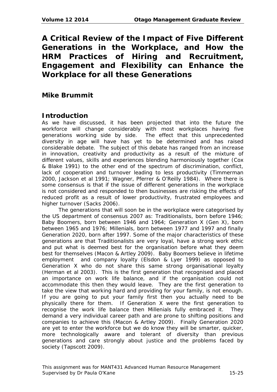**A Critical Review of the Impact of Five Different Generations in the Workplace, and How the HRM Practices of Hiring and Recruitment, Engagement and Flexibility can Enhance the Workplace for all these Generations**

# **Mike Brummit**

#### **Introduction**

As we have discussed, it has been projected that into the future the workforce will change considerably with most workplaces having five generations working side by side. The effect that this unprecedented diversity in age will have has yet to be determined and has raised considerable debate. The subject of this debate has ranged from an increase in innovation, creativity and productivity as a result of the mixture of different values, skills and experiences blending harmoniously together (Cox & Blake 1991) to the other end of the spectrum of discrimination, conflict, lack of cooperation and turnover leading to less productivity (Timmerman 2000, Jackson et al 1991; Wagner, Pferrer & O'Reilly 1984). Where there is some consensus is that if the issue of different generations in the workplace is not considered and responded to then businesses are risking the effects of reduced profit as a result of lower productivity, frustrated employees and higher turnover (Sacks 2006).

The generations that will soon be in the workplace were categorised by the US department of consensus 2007 as: Traditionalists, born before 1946; Baby Boomers, born between 1946 and 1964; Generation X (Gen X), born between 1965 and 1976; Millenials, born between 1977 and 1997 and finally Generation 2020, born after 1997. Some of the major characteristics of these generations are that Traditionalists are very loyal, have a strong work ethic and put what is deemed best for the organisation before what they deem best for themselves (Macon & Artley 2009). Baby Boomers believe in lifetime employment and company loyalty (Elsdon & Lyer 1999) as opposed to Generation X who do not share this same strong organisational loyalty (Herman et al 2003). This is the first generation that recognised and placed an importance on work life balance, and if the organisation could not accommodate this then they would leave. They are the first generation to take the view that working hard and providing for your family, is not enough. If you are going to put your family first then you actually need to be physically there for them. If Generation X were the first generation to recognise the work life balance then Millenials fully embraced it. They demand a very individual career path and are prone to shifting positions and companies to achieve this (Macon & Artley 2009). Finally Generation 2020 are yet to enter the workforce but we do know they will be smarter, quicker, more technologically aware and tolerant of diversity than previous generations and care strongly about justice and the problems faced by society (Tapscott 2009).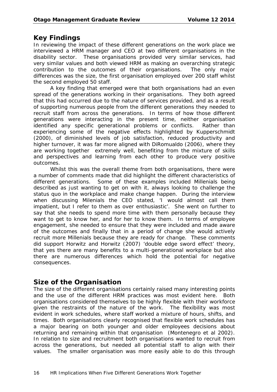# **Key Findings**

In reviewing the impact of these different generations on the work place we interviewed a HRM manager and CEO at two different organisations in the disability sector. These organisations provided very similar services, had very similar values and both viewed HRM as making an overarching strategic contribution to the outcomes of their organisations. The only major differences was the size, the first organisation employed over 200 staff whilst the second employed 50 staff.

A key finding that emerged were that both organisations had an even spread of the generations working in their organisations. They both agreed that this had occurred due to the nature of services provided, and as a result of supporting numerous people from the different generations they needed to recruit staff from across the generations. In terms of how those different generations were interacting in the present time, neither organisation identified any specific generational problems or conflicts. Rather than experiencing some of the negative effects highlighted by Kupperschmidt (2000), of diminished levels of job satisfaction, reduced productivity and higher turnover, it was far more aligned with DiRomualdo (2006), where they are working together extremely well, benefiting from the mixture of skills and perspectives and learning from each other to produce very positive outcomes.

Whilst this was the overall theme from both organisations, there were a number of comments made that did highlight the different characteristics of different generations. Some of these examples included Millenials being described as just wanting to get on with it, always looking to challenge the status quo in the workplace and make change happen. During the interview when discussing Milenials the CEO stated, 'I would almost call them impatient, but I refer to them as over enthusiastic'. She went on further to say that she needs to spend more time with them personally because they want to get to know her, and for her to know them. In terms of employee engagement, she needed to ensure that they were included and made aware of the outcomes and finally that in a period of change she would actively recruit more Millenials because they are ready for change. These comments did support Horwitz and Horwitz (2007) 'double edge sword effect' theory, that yes there are many benefits to a multi-generational workplace but also there are numerous differences which hold the potential for negative consequences.

# **Size of the Organisation**

The size of the different organisations certainly raised many interesting points and the use of the different HRM practices was most evident here. Both organisations considered themselves to be highly flexible with their workforce given the restraints of the nature of the work. The flexibility was most evident in work schedules, where staff worked a mixture of hours, shifts, and times. Both organisations clearly recognised that flexible work schedules has a major bearing on both younger and older employees decisions about returning and remaining within that organisation (Montenegro et al 2002). In relation to size and recruitment both organisations wanted to recruit from across the generations, but needed all potential staff to align with their values. The smaller organisation was more easily able to do this through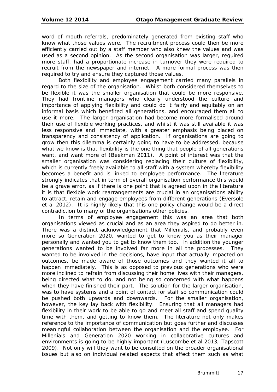word of mouth referrals, predominately generated from existing staff who know what those values were. The recruitment process could then be more efficiently carried out by a staff member who also knew the values and was used as a second opinion. As the second organisation was larger, required more staff, had a proportionate increase in turnover they were required to recruit from the newspaper and internet. A more formal process was then required to try and ensure they captured those values.

Both flexibility and employee engagement carried many parallels in regard to the size of the organisation. Whilst both considered themselves to be flexible it was the smaller organisation that could be more responsive. They had frontline managers who clearly understood the culture and importance of applying flexibility and could do it fairly and equitably on an informal basis which benefited all generations, and encouraged them all to use it more. The larger organisation had become more formalised around their use of flexible working practices, and whilst it was still available it was less responsive and immediate, with a greater emphasis being placed on transparency and consistency of application. If organisations are going to grow then this dilemma is certainly going to have to be addressed, because what we know is that flexibility is the one thing that people of all generations want, and want more of (Beekman 2011). A point of interest was that the smaller organisation was considering replacing their culture of flexibility, which is currently freely available to all staff with a system whereby flexibility becomes a benefit and is linked to employee performance. The literature strongly indicates that in term of overall organisation performance this would be a grave error, as if there is one point that is agreed upon in the literature it is that flexible work rearrangements are crucial in an organisations ability to attract, retain and engage employees from different generations (Eversole et al 2012). It is highly likely that this one policy change would be a direct contradiction to many of the organisations other policies.

In terms of employee engagement this was an area that both organisations viewed as crucial and as an area they aspired to do better in. There was a distinct acknowledgement that Millenials, and probably even more so Generation 2020, wanted to get to know you as their manager personally and wanted you to get to know them too. In addition the younger generations wanted to be involved far more in all the processes. They wanted to be involved in the decisions, have input that actually impacted on outcomes, be made aware of those outcomes and they wanted it all to happen immediately. This is as opposed to previous generations who were more inclined to refrain from discussing their home lives with their managers, being directed what to do, and not being so concerned with what happens when they have finished their part. The solution for the larger organisation, was to have systems and a point of contact for staff so communication could be pushed both upwards and downwards. For the smaller organisation, however, the key lay back with flexibility. Ensuring that all managers had flexibility in their work to be able to go and meet all staff and spend quality time with them, and getting to know them. The literature not only makes reference to the importance of communication but goes further and discusses meaningful collaboration between the organisation and the employee. For Millenials and Generation 2020 working in collaborative cultures and environments is going to be highly important (Luscombe et al 2013; Tapscott 2009). Not only will they want to be consulted on the broader organisational issues but also on individual related aspects that affect them such as what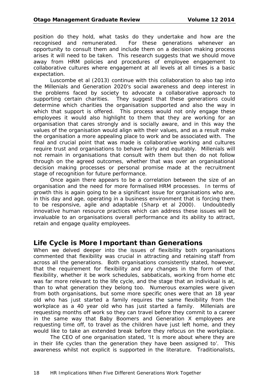position do they hold, what tasks do they undertake and how are the recognised and remunerated. For these generations whenever an opportunity to consult them and include them on a decision making process arises it will need to be taken. This research suggests that we should move away from HRM policies and procedures of employee engagement to collaborative cultures where engagement at all levels at all times is a basic expectation.

Luscombe et al (2013) continue with this collaboration to also tap into the Millenials and Generation 2020's social awareness and deep interest in the problems faced by society to advocate a collaborative approach to supporting certain charities. They suggest that these generations could determine which charities the organisation supported and also the way in which that support is offered. This process would not only engage these employees it would also highlight to them that they are working for an organisation that cares strongly and is socially aware, and in this way the values of the organisation would align with their values, and as a result make the organisation a more appealing place to work and be associated with. The final and crucial point that was made is collaborative working and cultures require trust and organisations to behave fairly and equitably. Millenials will not remain in organisations that consult with them but then do not follow through on the agreed outcomes, whether that was over an organisational decision making processes or personal promise made at the recruitment stage of recognition for future performance.

Once again there appears to be a correlation between the size of an organisation and the need for more formalised HRM processes. In terms of growth this is again going to be a significant issue for organisations who are, in this day and age, operating in a business environment that is forcing them to be responsive, agile and adaptable (Sharp et al 2000). Undoubtedly innovative human resource practices which can address these issues will be invaluable to an organisations overall performance and its ability to attract, retain and engage quality employees.

#### **Life Cycle is More Important than Generations**

When we delved deeper into the issues of flexibility both organisations commented that flexibility was crucial in attracting and retaining staff from across all the generations. Both organisations consistently stated, however, that the requirement for flexibility and any changes in the form of that flexibility, whether it be work schedules, sabbaticals, working from home etc was far more relevant to the life cycle, and the stage that an individual is at, than to what generation they belong too. Numerous examples were given from both organisations, but some more specific ones were that an 18 year old who has just started a family requires the same flexibility from the workplace as a 40 year old who has just started a family. Millenials are requesting months off work so they can travel before they commit to a career in the same way that Baby Boomers and Generation X employees are requesting time off, to travel as the children have just left home, and they would like to take an extended break before they refocus on the workplace.

The CEO of one organisation stated, 'It is more about where they are in their life cycles than the generation they have been assigned to'. This awareness whilst not explicit is supported in the literature. Traditionalists,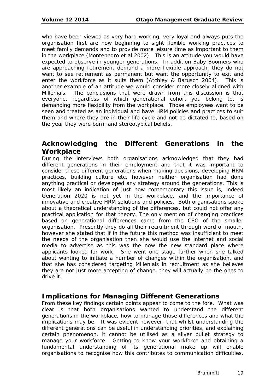who have been viewed as very hard working, very loyal and always puts the organisation first are now beginning to sight flexible working practices to meet family demands and to provide more leisure time as important to them in the workplace (Montenegro et al 2002). This is an attitude you would have expected to observe in younger generations. In addition Baby Boomers who are approaching retirement demand a more flexible approach, they do not want to see retirement as permanent but want the opportunity to exit and enter the workforce as it suits them (Atchley & Barusch 2004). This is another example of an attitude we would consider more closely aligned with Millenials. The conclusions that were drawn from this discussion is that everyone, regardless of which generational cohort you belong to, is demanding more flexibility from the workplace. Those employees want to be seen and treated as an individual and have HRM policies and practices to suit them and where they are in their life cycle and not be dictated to, based on the year they were born, and stereotypical beliefs.

#### **Acknowledging the Different Generations in the Workplace**

During the interviews both organisations acknowledged that they had different generations in their employment and that it was important to consider these different generations when making decisions, developing HRM practices, building culture etc. however neither organisation had done anything practical or developed any strategy around the generations. This is most likely an indication of just how contemporary this issue is, indeed Generation 2020 is not yet in the workplace, and the importance of innovative and creative HRM solutions and policies. Both organisations spoke about a theoretical understanding of the differences, but could not offer any practical application for that theory. The only mention of changing practices based on generational differences came from the CEO of the smaller organisation. Presently they do all their recruitment through word of mouth, however she stated that if in the future this method was insufficient to meet the needs of the organisation then she would use the internet and social media to advertise as this was the now the new standard place where applicants looked for work. She went one stage further when she talked about wanting to initiate a number of changes within the organisation, and that she has considered targeting Millenials in recruitment as she believes they are not just more accepting of change, they will actually be the ones to drive it.

#### **Implications for Managing Different Generations**

From these key findings certain points appear to come to the fore. What was clear is that both organisations wanted to understand the different generations in the workplace, how to manage those differences and what the implications may be. It was evident however, that whilst understanding the different generations can be useful in understanding priorities, and explaining certain phenomenon, it cannot be utilised as a silver bullet strategy to manage your workforce. Getting to know your workforce and obtaining a fundamental understanding of its generational make up will enable organisations to recognise how this contributes to communication difficulties,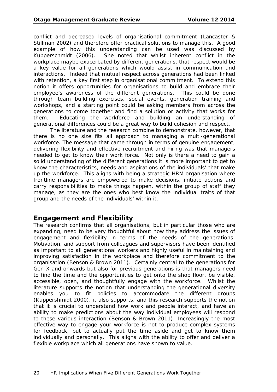conflict and decreased levels of organisational commitment (Lancaster & Stillman 2002) and therefore offer practical solutions to manage this. A good example of how this understanding can be used was discussed by Kupperschmidt (2006). She noted that whilst inherent conflict in the workplace maybe exacerbated by different generations, that respect would be a key value for all generations which would assist in communication and interactions. Indeed that mutual respect across generations had been linked with retention, a key first step in organisational commitment. To extend this notion it offers opportunities for organisations to build and embrace their employee's awareness of the different generations. This could be done through team building exercises, social events, generation training and workshops, and a starting point could be asking members from across the generations to come together and find a solution or activity that works for them. Educating the workforce and building an understanding of generational differences could be a great way to build cohesion and respect.

The literature and the research combine to demonstrate, however, that there is no one size fits all approach to managing a multi-generational workforce. The message that came through in terms of genuine engagement, delivering flexibility and effective recruitment and hiring was that managers needed to get to know their work force. Not only is there a need to gain a solid understanding of the different generations it is more important to get to know the characteristics, needs and aspirations of the individuals' that make up the workforce. This aligns with being a strategic HRM organisation where frontline managers are empowered to make decisions, initiate actions and carry responsibilities to make things happen, within the group of staff they manage, as they are the ones who best know the individual traits of that group and the needs of the individuals' within it.

# **Engagement and Flexibility**

The research confirms that all organisations, but in particular those who are expanding, need to be very thoughtful about how they address the issues of engagement and flexibility in terms of the needs of the generations. Motivation, and support from colleagues and supervisors have been identified as important to all generational workers and highly useful in maintaining and improving satisfaction in the workplace and therefore commitment to the organisation (Benson & Brown 2011). Certainly central to the generations for Gen X and onwards but also for previous generations is that managers need to find the time and the opportunities to get onto the shop floor, be visible, accessible, open, and thoughtfully engage with the workforce. Whilst the literature supports the notion that understanding the generational diversity enables you to fit policies to accommodate the different groups (Kuppershmidt 2000), it also supports, and this research supports the notion that it is crucial to understand how work and people interact, and have an ability to make predictions about the way individual employees will respond to these various interaction (Benson & Brown 2011). Increasingly the most effective way to engage your workforce is not to produce complex systems for feedback, but to actually put the time aside and get to know them individually and personally. This aligns with the ability to offer and deliver a flexible workplace which all generations have shown to value.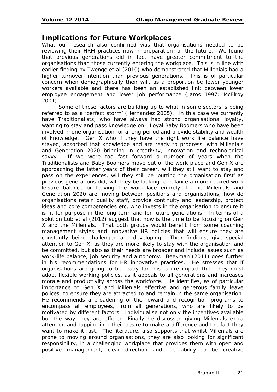#### **Implications for Future Workplaces**

What our research also confirmed was that organisations needed to be reviewing their HRM practices now in preparation for the future. We found that previous generations did in fact have greater commitment to the organisations than those currently entering the workplace. This is in line with earlier finding by Twenge et al (2010) who demonstrated that Millenials had a higher turnover intention than previous generations. This is of particular concern when demographically their will, as a proportion be fewer younger workers available and there has been an established link between lower employee engagement and lower job performance (Jaros 1997; McElroy 2001).

Some of these factors are building up to what in some sectors is being referred to as a 'perfect storm' (Hernandez 2005). In this case we currently have Traditionalists, who have always had strong organisational loyalty, wanting to stay and pass knowledge on. Loyal Baby Boomers who have been involved in one organisation for a long period and provide stability and wealth of knowledge. Gen X who if they have the right work life balance have stayed, absorbed that knowledge and are ready to progress, with Millenials and Generation 2020 bringing in creativity, innovation and technological savvy. If we were too fast forward a number of years when the Traditionalists and Baby Boomers move out of the work place and Gen X are approaching the latter years of their career, will they still want to stay and pass on the experiences, will they still be 'putting the organisation first' as previous generations did, will they be looking to balance a more relaxed work leisure balance or leaving the workplace entirely. If the Millenials and Generation 2020 are moving between positions and organisations, how do organisations retain quality staff, provide continuity and leadership, protect ideas and core competencies etc, who invests in the organisation to ensure it is fit for purpose in the long term and for future generations. In terms of a solution Lub et al (2012) suggest that now is the time to be focusing on Gen X and the Millenials. That both groups would benefit from some coaching management styles and innovative HR policies that will ensure they are constantly being challenged and developing. Their findings, give special attention to Gen X, as they are more likely to stay with the organisation and be committed, but also as their needs are broader and include issues such as work-life balance, job security and autonomy. Beekman (2011) goes further in his recommendations for HR innovative practices. He stresses that if organisations are going to be ready for this future impact then they must adopt flexible working policies, as it appeals to all generations and increases morale and productivity across the workforce. He identifies, as of particular importance to Gen X and Millenials effective and generous family leave polices, to ensure they are attracted to and remain in the same organisation. He recommends a broadening of the reward and recognition programs to encompass all employees, from all generations, who are likely to be motivated by different factors. Individualise not only the incentives available but the way they are offered. Finally he discussed giving Millenials extra attention and tapping into their desire to make a difference and the fact they want to make it fast. The literature, also supports that whilst Millenials are prone to moving around organisations, they are also looking for significant responsibility, in a challenging workplace that provides them with open and positive management, clear direction and the ability to be creative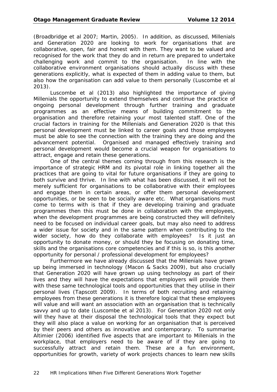(Broadbridge et al 2007; Martin, 2005). In addition, as discussed, Millenials and Generation 2020 are looking to work for organisations that are collaborative, open, fair and honest with them. They want to be valued and recognised for the work that they do and in return are prepared to undertake challenging work and commit to the organisation. In line with the collaborative environment organisations should actually discuss with these generations explicitly, what is expected of them in adding value to them, but also how the organisation can add value to them personally (Luscombe et al 2013).

Luscombe et al (2013) also highlighted the importance of giving Millenials the opportunity to extend themselves and continue the practice of ongoing personal development through further training and graduate programmes as an effective means of building commitment to the organisation and therefore retaining your most talented staff. One of the crucial factors in training for the Millenials and Generation 2020 is that this personal development must be linked to career goals and those employees must be able to see the connection with the training they are doing and the advancement potential. Organised and managed effectively training and personal development would become a crucial weapon for organisations to attract, engage and retain these generations.

One of the central themes coming through from this research is the importance of strategic HRM and its pivotal role in linking together all the practices that are going to vital for future organisations if they are going to both survive and thrive. In line with what has been discussed, it will not be merely sufficient for organisations to be collaborative with their employees and engage them in certain areas, or offer them personal development opportunities, or be seen to be socially aware etc. What organisations must come to terms with is that if they are developing training and graduate programmes then this must be done in collaboration with the employees, when the development programmes are being constructed they will definitely need to be focused on individual career goals, but may also need to address a wider issue for society and in the same pattern when contributing to the wider society, how do they collaborate with employees? Is it just an opportunity to donate money, or should they be focusing on donating time, skills and the organisations core competencies and if this is so, is this another opportunity for personal / professional development for employees?

Furthermore we have already discussed that the Millenials have grown up being immersed in technology (Macon & Sacks 2009), but also crucially that Generation 2020 will have grown up using technology as part of their lives and they will have the expectations that employers will provide them with these same technological tools and opportunities that they utilise in their personal lives (Tapscott 2009). In terms of both recruiting and retaining employees from these generations it is therefore logical that these employees will value and will want an association with an organisation that is technically savvy and up to date (Luscombe et al 2013). For Generation 2020 not only will they have at their disposal the technological tools that they expect but they will also place a value on working for an organisation that is perceived by their peers and others as innovative and contemporary. To summarise Altimier (2006) identified five aspects that are important to Millenials in the workplace, that employers need to be aware of if they are going to successfully attract and retain them. These are a fun environment, opportunities for growth, variety of work projects chances to learn new skills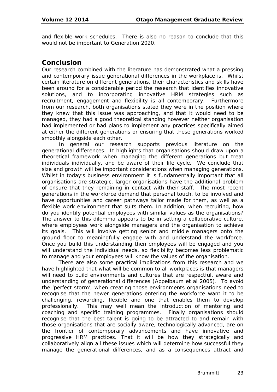and flexible work schedules. There is also no reason to conclude that this would not be important to Generation 2020.

#### **Conclusion**

Our research combined with the literature has demonstrated what a pressing and contemporary issue generational differences in the workplace is. Whilst certain literature on different generations, their characteristics and skills have been around for a considerable period the research that identifies innovative solutions, and to incorporating innovative HRM strategies such as recruitment, engagement and flexibility is all contemporary. Furthermore from our research, both organisations stated they were in the position where they knew that this issue was approaching, and that it would need to be managed, they had a good theoretical standing however neither organisation had implemented or had plans to implement any practices specifically aimed at either the different generations or ensuring that these generations worked smoothly alongside each other.

In general our research supports previous literature on the generational differences. It highlights that organisations should draw upon a theoretical framework when managing the different generations but treat individuals individually, and be aware of their life cycle. We conclude that size and growth will be important considerations when managing generations. Whilst in today's business environment it is fundamentally important that all organisations are strategic, larger organisations have the additional problem of ensure that they remaining in contact with their staff. The most recent generations in the workforce demand that personal touch, to be involved and have opportunities and career pathways tailor made for them, as well as a flexible work environment that suits them. In addition, when recruiting, how do you identify potential employees with similar values as the organisations? The answer to this dilemma appears to be in setting a collaborative culture, where employees work alongside managers and the organisation to achieve its goals. This will involve getting senior and middle managers onto the ground floor to meaningfully engage with and understand the workforce. Once you build this understanding then employees will be engaged and you will understand the individual needs, so flexibility becomes less problematic to manage and your employees will know the values of the organisation.

There are also some practical implications from this research and we have highlighted that what will be common to all workplaces is that managers will need to build environments and cultures that are respectful, aware and understanding of generational differences (Appelbaum et al 2005). To avoid the 'perfect storm', when creating those environments organisations need to recognise that the newer generations entering the workforce want it to be challenging, rewarding, flexible and one that enables them to develop professionally. This may well mean the introduction of mentoring and coaching and specific training programmes. Finally organisations should recognise that the best talent is going to be attracted to and remain with those organisations that are socially aware, technologically advanced, are on the frontier of contemporary advancements and have innovative and progressive HRM practices. That it will be how they strategically and collaboratively align all these issues which will determine how successful they manage the generational differences, and as a consequences attract and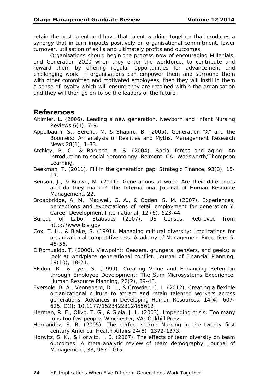retain the best talent and have that talent working together that produces a synergy that in turn impacts positively on organisational commitment, lower turnover, utilisation of skills and ultimately profits and outcomes.

Organisations should begin the process now of encouraging Millenials, and Generation 2020 when they enter the workforce, to contribute and reward them by offering regular opportunities for advancement and challenging work. If organisations can empower them and surround them with other committed and motivated employees, then they will instil in them a sense of loyalty which will ensure they are retained within the organisation and they will then go on to be the leaders of the future.

#### **References**

- Altimier, L. (2006). Leading a new generation. *Newborn and Infant Nursing Reviews 6*(1), 7-9.
- Appelbaum, S., Serena, M. & Shapiro, B. (2005). Generation "X" and the Boomers: An analysis of Realities and Myths. *Management Research News 28*(1), 1-33.
- Atchley, R. C., & Barusch, A. S. (2004). Social forces and aging: An introduction to social gerontology. Belmont, CA: Wadsworth/Thompson Learning.
- Beekman, T. (2011). Fill in the generation gap. *Strategic Finance, 93*(3), 15- 17.
- Benson, J., & Brown, M. (2011). Generations at work: Are their differences and do they matter? *The International Journal of Human Resource Management, 22*.
- Broadbridge, A. M., Maxwell, G. A., & Ogden, S. M. (2007). Experiences, perceptions and expectations of retail employment for generation Y. *Career Development International, 12* (6), 523-44.
- Bureau of Labor Statistics (2007). US Census. Retrieved from http://www.bls.gov
- Cox, T. H., & Blake, S. (1991). Managing cultural diversity: Implications for organizational competitiveness. *Academy of Management Executive, 5*, 45-56.
- DiRomualdo, T. (2006). Viewpoint: Geezers, grungers, genXers, and geeks: a look at workplace generational conflict. *Journal of Financial Planning, 19*(10), 18-21.
- Elsdon, R., & Lyer, S. (1999). Creating Value and Enhancing Retention through Employee Development: The Sum Microsystems Experience. *Human Resource Planning, 22*(2), 39-48.
- Eversole, B. A., Venneberg, D. L., & Crowder, C. L. (2012). Creating a flexible organizational culture to attract and retain talented workers across generations. *Advances in Developing Human Resources, 14*(4), 607- 625. DOI: 10.1177/1523422312455612
- Herman, R. E., Olivo, T. G., & Gioia, J. L. (2003). *Impending crisis: Too many jobs too few people*. Winchester, VA: Oakhill Press.
- Hernandez, S. R. (2005). The perfect storm: Nursing in the twenty first century America. *Health Affairs 24*(5), 1372-1373.
- Horwitz, S. K., & Horwitz, I. B. (2007). The effects of team diversity on team outcomes: A meta-analytic review of team demography. *Journal of Management, 33*, 987-1015.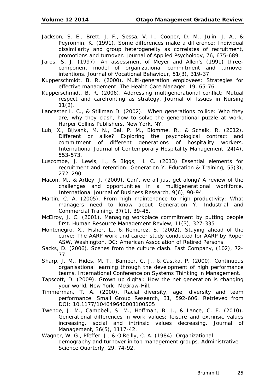- Jackson, S. E., Brett, J. F., Sessa, V. I., Cooper, D. M., Julin, J. A., & Peyronnin, K. (1991). Some differences make a difference: Individual dissimilarity and group heterogeneity as correlates of recruitment, promotions and turnover. *Journal of Applied Psychology, 76*, 675-689.
- Jaros, S. J. (1997). An assessment of Meyer and Allen's (1991) threecomponent model of organizational commitment and turnover intentions. *Journal of Vocational Behaviour, 51*(3), 319-37.
- Kupperschmidt, B. R. (2000). Multi-generation employees: Strategies for effective management. *The Health Care Manager, 19*, 65-76.
- Kupperschmidt, B. R. (2006). Addressing multigenerational conflict: Mutual respect and carefronting as strategy. *Journal of Issues in Nursing 11*(2).
- Lancaster L. C., & Stillman D. (2002). *When generations collide: Who they are, why they clash, how to solve the generational puzzle at work.*  Harper Collins Publishers, New York, NY.
- Lub, X., Bijvank, M. N., Bal, P. M., Blomme, R., & Schalk, R. (2012). Different or alike? Exploring the psychological contract and commitment of different generations of hospitality workers. *International Journal of Contemporary Hospitality Management, 24*(4), 553-573.
- Luscombe, J. Lewis, I., & Biggs, H. C. (2013) Essential elements for recruitment and retention: Generation Y. *Education & Training, 55*(3), 272–290.
- Macon, M., & Artley, J. (2009). Can't we all just get along? A review of the challenges and opportunities in a multigenerational workforce. International *Journal of Business Research, 9*(6), 90-94.
- Martin, C. A. (2005). From high maintenance to high productivity: What managers need to know about Generation Y. *Industrial and Commercial Training, 37*(1), 39-45.
- McElroy, J. C. (2001). Managing workplace commitment by putting people first. *Human Resource Management Review, 11*(3), 327-335
- Montenegro, X., Fisher, L., & Remerez, S. (2002). Staying ahead of the curve: The AARP work and career study conducted for AARP by Roper ASW, Washington, DC: American Association of Retired Persons.
- Sacks, D. (2006). Scenes from the culture clash. *Fast Company*, (102), 72- 77.
- Sharp, J. M., Hides, M. T., Bamber, C. J., & Castka, P. (2000). Continuous organisational learning through the development of high performance teams. *International Conference on Systems Thinking in Management*.
- Tapscott, D. (2009). *Grown up digital: How the net generation is changing your world.* New York: McGraw-Hill.
- Timmerman, T. A. (2000). Racial diversity, age, diversity and team performance. *Small Group Research, 31*, 592-606. Retrieved from DOI: 10.1177/104649640003100505
- Twenge, J. M., Campbell, S. M., Hoffman, B. J., & Lance, C. E. (2010). Generational differences in work values; leisure and extrinsic values increasing, social and intrinsic values decreasing. *Journal of Management, 36*(5), 1117-42.
- Wagner, W. G., Pfeffer, J., & O'Reilly, C. A. (1984). Organizational demography and turnover in top management groups. *Administrative Science Quarterly, 29*, 74-92.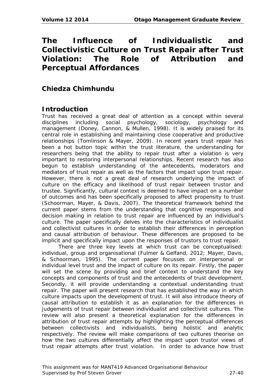# **The Influence of Individualistic and Collectivistic Culture on Trust Repair after Trust Violation: The Role of Attribution and Perceptual Affordances**

# **Chiedza Chimhundu**

# **Introduction**

Trust has received a great deal of attention as a concept within several disciplines including social psychology, sociology, psychology and disciplines including social psychology, sociology, psychology and management (Doney, Cannon, & Mullen, 1998). It is widely praised for its central role in establishing and maintaining close cooperative and productive relationships (Tomlinson & Mayer, 2009). In recent years trust repair has been a hot button topic within the trust literature, the understanding for researchers being that the ability to repair trust after a violation is very important to restoring interpersonal relationships. Recent research has also begun to establish understanding of the antecedents, moderators and mediators of trust repair as well as the factors that impact upon trust repair. However, there is not a great deal of research underlying the impact of culture on the efficacy and likelihood of trust repair between trustor and trustee. Significantly, cultural context is deemed to have impact on a number of outcomes and has been specifically proposed to affect propensity to trust (Schoorman, Mayer, & Davis, 2007). The theoretical framework behind the current paper stems from the understanding that cognitive responses and decision making in relation to trust repair are influenced by an individual's culture. The paper specifically delves into the characteristics of individualist and collectivist cultures in order to establish their differences in perception and causal attribution of behaviour. These differences are proposed to be implicit and specifically impact upon the responses of trustors to trust repair.

There are three key levels at which trust can be conceptualised: individual, group and organisational (Fulmer & Gelfand, 2012; Mayer, Davis, & Schoorman, 1995). The current paper focusses on interpersonal or individual level trust and the impact of culture on its repair. Firstly, the paper will set the scene by providing and brief context to understand the key concepts and components of trust and the antecedents of trust development. Secondly, it will provide understanding a contextual understanding trust repair. The paper will present research that has established the way in which culture impacts upon the development of trust. It will also introduce theory of causal attribution to establish it as an explanation for the differences in judgements of trust repair between individualist and collectivist cultures. The review will also present a theoretical explanation for the differences in attribution of trust repair attempts by highlighting the perceptual differences between collectivists and individualists, being holistic and analytic respectively. The review will make comparisons of two cultures theorise on how the two cultures differentially affect the impact upon trustor views of trust repair attempts after trust violation. In order to advance how trust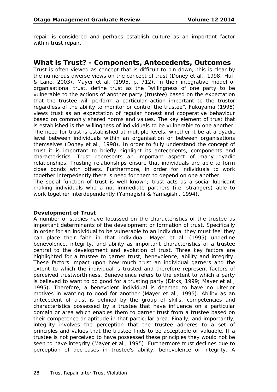repair is considered and perhaps establish culture as an important factor within trust repair.

#### **What is Trust? - Components, Antecedents, Outcomes**

Trust is often viewed as concept that is difficult to pin down; this is clear by the numerous diverse views on the concept of trust (Doney et al., 1998; Huff & Lane, 2003). Mayer et al. (1995, p. 712), in their integrative model of organisational trust, define trust as the "willingness of one party to be vulnerable to the actions of another party (trustee) based on the expectation that the trustee will perform a particular action important to the trustor regardless of the ability to monitor or control the trustee". Fukuyama (1995) views trust as an expectation of regular honest and cooperative behaviour based on commonly shared norms and values. The key element of trust that is established is the willingness of individuals to be vulnerable to one another. The need for trust is established at multiple levels, whether it be at a dyadic level between individuals within an organisation or between organisations themselves (Doney et al., 1998). In order to fully understand the concept of trust it is important to briefly highlight its antecedents, components and characteristics. Trust represents an important aspect of many dyadic relationships. Trusting relationships ensure that individuals are able to form close bonds with others. Furthermore, in order for individuals to work together interpedently there is need for them to depend on one another. The social function of trust is well known; trust acts as a social lubricant making individuals who a not immediate partners (i.e. strangers) able to work together interdependently (Yamagishi & Yamagishi, 1994).

#### **Development of Trust**

A number of studies have focussed on the characteristics of the trustee as important determinants of the development or formation of trust. Specifically in order for an individual to be vulnerable to an individual they must feel they can place their faith in that individual. Mayer et al. (1995) underline benevolence, integrity, and ability as important characteristics of a trustee central to the development and evolution of trust. Three key factors are highlighted for a trustee to garner trust; benevolence, ability and integrity. These factors impact upon how much trust an individual garners and the extent to which the individual is trusted and therefore represent factors of perceived trustworthiness. Benevolence refers to the extent to which a party is believed to want to do good for a trusting party (Dirks, 1999; Mayer et al., 1995). Therefore, a benevolent individual is deemed to have no ulterior motives in wanting to good for another (Mayer et al., 1995). Ability as an antecedent of trust is defined by the group of skills, competencies and characteristics possessed by a trustee that have influence on a particular domain or area which enables them to garner trust from a trustee based on their competence or aptitude in that particular area. Finally, and importantly, integrity involves the perception that the trustee adheres to a set of principles and values that the trustee finds to be acceptable or valuable. If a trustee is not perceived to have possessed these principles they would not be seen to have integrity (Mayer et al., 1995). Furthermore trust declines due to perception of decreases in trustee's ability, benevolence or integrity. A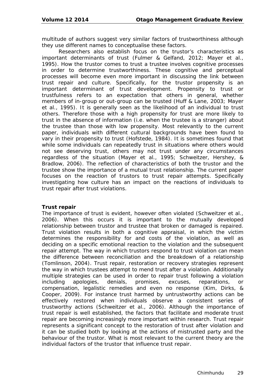multitude of authors suggest very similar factors of trustworthiness although they use different names to conceptualise these factors.

Researchers also establish focus on the trustor's characteristics as important determinants of trust (Fulmer & Gelfand, 2012; Mayer et al., 1995). How the trustor comes to trust a trustee involves cognitive processes in order to determine trustworthiness. These cognitive and perceptual processes will become even more important in discussing the link between trust repair and culture. Specifically, for the trustor propensity is an important determinant of trust development. Propensity to trust or trustfulness refers to an expectation that others in general, whether members of in-group or out-group can be trusted (Huff & Lane, 2003; Mayer et al., 1995). It is generally seen as the likelihood of an individual to trust others. Therefore those with a high propensity for trust are more likely to trust in the absence of information (i.e. when the trustee is a stranger) about the trustee than those with low propensity. Most relevantly to the current paper, individuals with different cultural backgrounds have been found to vary in their propensity to trust (Hofstede, 1984). It is sometimes found that while some individuals can repeatedly trust in situations where others would not see deserving trust, others may not trust under any circumstances regardless of the situation (Mayer et al., 1995; Schweitzer, Hershey, & Bradlow, 2006). The reflection of characteristics of both the trustor and the trustee show the importance of a mutual trust relationship. The current paper focuses on the reaction of trustors to trust repair attempts. Specifically investigating how culture has an impact on the reactions of individuals to trust repair after trust violations.

#### **Trust repair**

The importance of trust is evident, however often violated (Schweitzer et al., 2006). When this occurs it is important to the mutually developed relationship between trustor and trustee that broken or damaged is repaired. Trust violation results in both a cognitive appraisal, in which the victim determines the responsibility for and costs of the violation, as well as deciding on a specific emotional reaction to the violation and the subsequent repair attempt. The way in which trustors respond to trust violation can mean the difference between reconciliation and the breakdown of a relationship (Tomlinson, 2004). Trust repair, restoration or recovery strategies represent the way in which trustees attempt to mend trust after a violation. Additionally multiple strategies can be used in order to repair trust following a violation including apologies, denials, promises, excuses, reparations, or compensation, legalistic remedies and even no response (Kim, Dirks, & Cooper, 2009). For instance trust harmed by untrustworthy actions can be effectively restored when individuals observe a consistent series of trustworthy actions (Schweitzer et al., 2006). Although the importance of trust repair is well established, the factors that facilitate and moderate trust repair are becoming increasingly more important within research. Trust repair represents a significant concept to the restoration of trust after violation and it can be studied both by looking at the actions of mistrusted party and the behaviour of the trustor. What is most relevant to the current theory are the individual factors of the trustor that influence trust repair.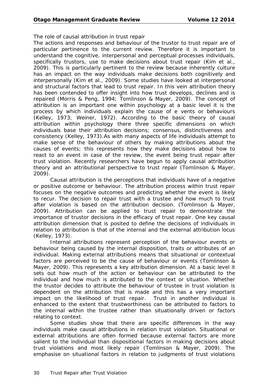#### *The role of causal attribution in trust repair*

The actions and responses and behaviour of the trustor to trust repair are of particular pertinence to the current review. Therefore it is important to understand the cognitive, interpersonal and perceptual processes individuals, specifically trustors, use to make decisions about trust repair (Kim et al., 2009). This is particularly pertinent to the review because inherently culture has an impact on the way individuals make decisions both cognitively and interpersonally (Kim et al., 2009). Some studies have looked at interpersonal and structural factors that lead to trust repair. In this vein attribution theory has been contended to offer insight into how trust develops, declines and is repaired (Morris & Peng, 1994; Tomlinson & Mayer, 2009). The concept of attribution is an important one within psychology at a basic level it is the process by which individuals explain the cause of e vents or behaviours (Kelley, 1973; Weiner, 1972). According to the basic theory of causal attribution within psychology there three specific dimensions on which individuals base their attribution decisions; consensus, distinctiveness and consistency (Kelley, 1973).As with many aspects of life individuals attempt to make sense of the behaviour of others by making attributions about the causes of events; this represents how they make decisions about how to react to an event in case of the review, the event being trust repair after trust violation. Recently researchers have begun to apply causal attribution theory and an attributional perspective to trust repair (Tomlinson & Mayer, 2009).

Causal attribution is the perceptions that individuals have of a negative or positive outcome or behaviour. The attribution process within trust repair focuses on the negative outcomes and predicting whether the event is likely to recur. The decision to repair trust with a trustee and how much to trust after violation is based on the attribution decision. (Tomlinson & Mayer, 2009). Attribution can be applied to trust repair to demonstrate the importance of trustor decisions in the efficacy of trust repair. One key causal attribution dimension that is posited to define the decisions of individuals in relation to attribution is that of the internal and the external attribution locus (Kelley, 1973).

Internal attributions represent perception of the behaviour events or behaviour being caused by the internal disposition, traits or attributes of an individual. Making external attributions means that situational or contextual factors are perceived to be the cause of behaviour or events (Tomlinson & Mayer, 2009). This represents a key attribution dimension. At a basic level it sets out how much of the action or behaviour can be attributed to the individual and how much is attributed to the context or situation. Whether the trustor decides to attribute the behaviour of trustee in trust violation is dependent on the attribution that is made and this has a very important impact on the likelihood of trust repair. Trust in another individual is enhanced to the extent that trustworthiness can be attributed to factors to the internal within the trustee rather than situationally driven or factors relating to context.

Some studies show that there are specific differences in the way individuals make causal attributions in relation trust violation. Situational or external attributions are often formed because external factors are more salient to the individual than dispositional factors in making decisions about trust violations and most likely repair (Tomlinson & Mayer, 2009). The emphasise on situational factors in relation to judgments of trust violations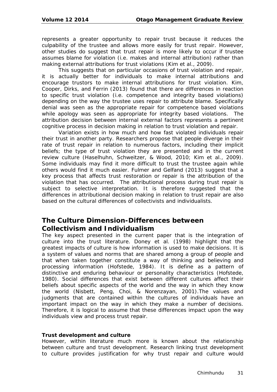represents a greater opportunity to repair trust because it reduces the culpability of the trustee and allows more easily for trust repair. However, other studies do suggest that trust repair is more likely to occur if trustee assumes blame for violation (i.e. makes and internal attribution) rather than making external attributions for trust violations (Kim et al., 2009).

This suggests that on particular occasions of trust violation and repair, it is actually better for individuals to make internal attributions and encourage trustors to make internal attributions for trust violation. Kim, Cooper, Dirks, and Ferrin (2013) found that there are differences in reaction to specific trust violation (i.e. competence and integrity based violations) depending on the way the trustee uses repair to attribute blame. Specifically denial was seen as the appropriate repair for competence based violations while apology was seen as appropriate for integrity based violations. The attribution decision between internal external factors represents a pertinent cognitive process in decision making in relation to trust violation and repair.

Variation exists in how much and how fast violated individuals repair their trust in another party. Researchers propose that people diverge in their rate of trust repair in relation to numerous factors, including their implicit beliefs; the type of trust violation they are presented and in the current review culture (Haselhuhn, Schweitzer, & Wood, 2010; Kim et al., 2009). Some individuals may find it more difficult to trust the trustee again while others would find it much easier. Fulmer and Gelfand (2013) suggest that a key process that affects trust restoration or repair is the attribution of the violation that has occurred. The attributional process during trust repair is subject to selective interpretation. It is therefore suggested that the differences in attributional decision making in relation to trust repair are also based on the cultural differences of collectivists and individualists.

#### **The Culture Dimension-Differences between Collectivism and Individualism**

The key aspect presented in the current paper that is the integration of culture into the trust literature. Doney et al. (1998) highlight that the greatest impacts of culture is how information is used to make decisions. It is a system of values and norms that are shared among a group of people and that when taken together constitute a way of thinking and believing and processing information (Hofstede, 1984). It is define as a pattern of distinctive and enduring behaviour or personality characteristics (Hofstede, 1980). Social differences that exist between different cultures affect their beliefs about specific aspects of the world and the way in which they know the world (Nisbett, Peng, Choi, & Norenzayan, 2001).The values and judgments that are contained within the cultures of individuals have an important impact on the way in which they make a number of decisions. Therefore, it is logical to assume that these differences impact upon the way individuals view and process trust repair.

#### **Trust development and culture**

However, within literature much more is known about the relationship between culture and trust development. Research linking trust development to culture provides justification for why trust repair and culture would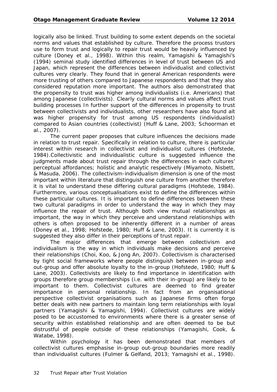logically also be linked. Trust building to some extent depends on the societal norms and values that established by culture. Therefore the process trustors use to form trust and logically to repair trust would be heavily influenced by culture (Doney et al., 1998). Within this realm, Yamagishi & Yamagishi's (1994) seminal study identified differences in level of trust between US and Japan, which represent the differences between individualist and collectivist cultures very clearly. They found that in general American respondents were more trusting of others compared to Japanese respondents and that they also considered reputation more important. The authors also demonstrated that the propensity to trust was higher among individualists (i.e. Americans) that among Japanese (collectivists). Clearly cultural norms and values affect trust building processes In further support of the differences in propensity to trust between collectivists and individualists, other researchers have also found ait was higher propensity for trust among US respondents (individualist) compared to Asian countries (collectivist) (Huff & Lane, 2003; Schoorman et al., 2007).

The current paper proposes that culture influences the decisions made in relation to trust repair. Specifically in relation to culture, there is particular interest within research in collectivist and individualist cultures (Hofstede, 1984).Collectivistic and individualistic culture is suggested influence the judgments made about trust repair through the differences in each cultures' perceptual affordances; holistic and analytic respectively (Miyamoto, Nisbett, & Masuda, 2006). The collectivism-individualism dimension is one of the most important within literature that distinguish one culture from another therefore it is vital to understand these differing cultural paradigms (Hofstede, 1984). Furthermore, various conceptualisations exist to define the differences within these particular cultures. It is important to define differences between these two cultural paradigms in order to understand the way in which they may influence the repair of trust. Although both view mutual relationships as important, the way in which they perceive and understand relationships with others is often proposed to be inherently different in a number of areas (Doney et al., 1998; Hofstede, 1980; Huff & Lane, 2003). It is currently it is suggested they also differ in their perceptions of trust repair.

The major differences that emerge between collectivism and individualism is the way in which individuals make decisions and perceive their relationships (Choi, Koo, & Jong An, 2007). Collectivism is characterised by tight social frameworks where people distinguish between in-group and out-group and offer absolute loyalty to the in-group (Hofstede, 1980; Huff & Lane, 2003). Collectivists are likely to find importance in identification with groups therefore group memberships (i.e. with their in-group) are likely to be important to them. Collectivist cultures are deemed to find greater importance in personal relationship. In fact from an organisational perspective collectivist organisations such as Japanese firms often forgo better deals with new partners to maintain long term relationships with loyal partners (Yamagishi & Yamagishi, 1994). Collectivist cultures are widely posed to be accustomed to environments where there is a greater sense of security within established relationship and are often deemed to be but distrustful of people outside of these relationships (Yamagishi, Cook, & Watabe, 1998).

Within psychology it has been demonstrated that members of collectivist cultures emphasise in-group out-group boundaries more readily than individualist cultures (Fulmer & Gelfand, 2013; Yamagishi et al., 1998).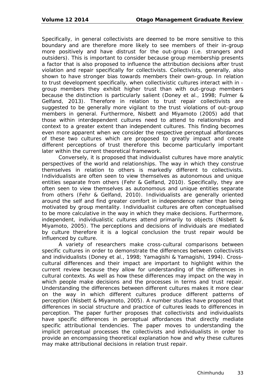Specifically, in general collectivists are deemed to be more sensitive to this boundary and are therefore more likely to see members of their in-group more positively and have distrust for the out-group (i.e. strangers and outsiders). This is important to consider because group membership presents a factor that is also proposed to influence the attribution decisions after trust violation and repair specifically for collectivists. Collectivists, generally, also shown to have stronger bias towards members their own-group. In relation to trust development specifically, when collectivistic cultures interact with in group members they exhibit higher trust than with out-group members because the distinction is particularly salient (Doney et al., 1998; Fulmer & Gelfand, 2013). Therefore in relation to trust repair collectivists are suggested to be generally more vigilant to the trust violations of out-group members in general. Furthermore, Nisbett and Miyamoto (2005) add that those within interdependent cultures need to attend to relationships and context to a greater extent than independent cultures. This finding becomes even more apparent when we consider the respective perceptual affordances of these two cultures which are proposed to greatly impact and create different perceptions of trust therefore this become particularly important later within the current theoretical framework.

Conversely, it is proposed that individualist cultures have more analytic perspectives of the world and relationships. The way in which they construe themselves in relation to others is markedly different to collectivists. Individualists are often seen to view themselves as autonomous and unique entities separate from others (Fehr & Gelfand, 2010). Specifically, they are often seen to view themselves as autonomous and unique entities separate from others (Fehr & Gelfand, 2010). Individualists are generally oriented around the self and find greater comfort in independence rather than being motivated by group mentality. Individualist cultures are often conceptualised to be more calculative in the way in which they make decisions. Furthermore, independent, individualistic cultures attend primarily to objects (Nisbett & Miyamoto, 2005). The perceptions and decisions of individuals are mediated by culture therefore it is a logical conclusion the trust repair would be influenced by culture.

A variety of researchers make cross-cultural comparisons between specific cultures in order to demonstrate the differences between collectivists and individualists (Doney et al., 1998; Yamagishi & Yamagishi, 1994). Crosscultural differences and their impact are important to highlight within the current review because they allow for understanding of the differences in cultural contexts. As well as how these differences may impact on the way in which people make decisions and the processes in terms and trust repair. Understanding the differences between different cultures makes it more clear on the way in which different cultures produce different patterns of perception (Nisbett & Miyamoto, 2005). A number studies have proposed that differences in social structure and practice of cultures leads to differences in perception. The paper further proposes that collectivists and individualists have specific differences in perceptual affordances that directly mediate specific attributional tendencies. The paper moves to understanding the implicit perceptual processes the collectivists and individualists in order to provide an encompassing theoretical explanation how and why these cultures may make attributional decisions in relation trust repair.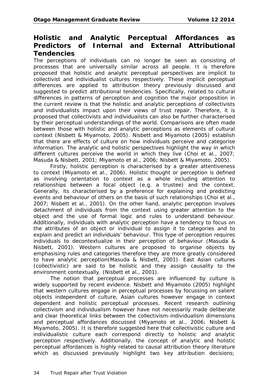### **Holistic and Analytic Perceptual Affordances as Predictors of Internal and External Attributional Tendencies**

The perceptions of individuals can no longer be seen as consisting of processes that are universally similar across all people. It is therefore proposed that holistic and analytic perceptual perspectives are implicit to collectivist and individualist cultures respectively. These implicit perceptual differences are applied to attribution theory previously discussed and suggested to predict attributional tendencies. Specifically, related to cultural differences in patterns of perception and cognition the major proposition in the current review is that the holistic and analytic perceptions of collectivists and individualists impact upon their views of trust repair. Therefore, it is proposed that collectivists and individualists can also be further characterised by their perceptual understandings of the world. Comparisons are often made between those with holistic and analytic perceptions as elements of cultural context (Nisbett & Miyamoto, 2005). Nisbett and Miyamoto (2005) establish that there are effects of culture on how individuals perceive and categorise information. The analytic and holistic perspectives highlight the way in which different cultures perceive the world in which they live (Choi et al., 2007; Masuda & Nisbett, 2001; Miyamoto et al., 2006; Nisbett & Miyamoto, 2005).

Firstly, holistic perception is characterised by a greater attentiveness to context (Miyamoto et al., 2006). Holistic thought or perception is defined as involving orientation to context as a whole including attention to relationships between a focal object (e.g. a trustee) and the context. Generally, its characterised by a preference for explaining and predicting events and behaviour of others on the basis of such relationships (Choi et al., 2007; Nisbett et al., 2001). On the other hand, analytic perception involves detachment of individuals from the context using greater attention to the object and the use of formal logic and rules to understand behaviour. Additionally, individuals with analytic perception have a tendency to focus on the attributes of an object or individual to assign it to categories and to explain and predict an individuals' behaviour. This type of perception requires individuals to decontextualize in their perception of behaviour (Masuda & Nisbett, 2001). Western cultures are proposed to organise objects by emphasising rules and categories therefore they are more greatly considered to have analytic perception(Masuda & Nisbett, 2001). East Asian cultures (collectivistic) are said to be holistic and they assign causality to the environment contextually. (Nisbett et al., 2001).

The notion that perceptual processes are influenced by culture is widely supported by recent evidence. Nisbett and Miyamoto (2005) highlight that western cultures engage in perceptual processes by focussing on salient objects independent of culture, Asian cultures however engage in context dependent and holistic perceptual processes. Recent research outlining collectivism and individualism however have not necessarily made deliberate and clear theoretical links between the collectivism-individualism dimensions and perceptual affordances discussed (Miyamoto et al., 2006; Nisbett & Miyamoto, 2005). It is therefore suggested here that collectivistic culture and individualistic culture each correspond directly to holistic and analytic perception respectively. Additionally, the concept of analytic and holistic perceptual affordances is highly related to causal attribution theory literature which as discussed previously highlight two key attribution decisions;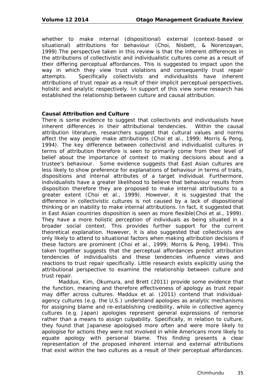whether to make internal (dispositional) external (context-based or situational) attributions for behaviour (Choi, Nisbett, & Norenzayan, 1999).The perspective taken in this review is that the inherent differences in the attributions of collectivistic and individualistic cultures come as a result of their differing perceptual affordances. This is suggested to impact upon the way in which they view trust violations and consequently trust repair attempts. Specifically collectivists and individualists have inherent attributions of trust repair as a result of their implicit perceptual perspectives, holistic and analytic respectively. In support of this view some research has established the relationship between culture and causal attribution.

#### **Causal Attribution and Culture**

There is some evidence to suggest that collectivists and individualists have inherent differences in their attributional tendencies. Within the causal attribution literature, researchers suggest that cultural values and norms affect the way people make attributions (Choi et al., 1999; Morris & Peng, 1994). The key difference between collectivist and individualist cultures in terms of attribution therefore is seen to primarily come from their level of belief about the importance of context to making decisions about and a trustee's behaviour. Some evidence suggests that East Asian cultures are less likely to show preference for explanations of behaviour in terms of traits, dispositions and internal attributes of a target individual. Furthermore, individualists have a greater likelihood to believe that behaviour results from disposition therefore they are proposed to make internal attributions to a greater extent (Choi et al., 1999). However, it is suggested that the difference in collectivistic cultures is not caused by a lack of dispositional thinking or an inability to make internal attributions. In fact, it suggested that in East Asian countries disposition is seen as more flexible(Choi et al., 1999). They have a more holistic perception of individuals as being situated in a broader social context. This provides further support for the current theoretical explanation. However, it is also suggested that collectivists are only likely to attend to situational factors when making attribution decisions if these factors are prominent (Choi et al., 1999; Morris & Peng, 1994). This taken together suggests that the perceptual affordances predict attribution tendencies of individualists and these tendencies influence views and reactions to trust repair specifically. Little research exists explicitly using the attributional perspective to examine the relationship between culture and trust repair.

Maddux, Kim, Okumura, and Brett (2011) provide some evidence that the function, meaning and therefore effectiveness of apology as trust repair may differ across cultures. Maddux et al. (2011) contend that individualagency cultures (e.g. the U.S.) understand apologies as analytic mechanisms for assigning blame and re-establishing credibility, while in collective agency cultures (e.g. Japan) apologies represent general expressions of remorse rather than a means to assign culpability. Specifically, in relation to culture, they found that Japanese apologised more often and were more likely to apologise for actions they were not involved in while Americans more likely to equate apology with personal blame. This finding presents a clear representation of the proposed inherent internal and external attributions that exist within the two cultures as a result of their perceptual affordances.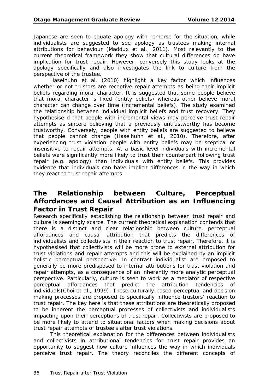Japanese are seen to equate apology with remorse for the situation, while individualists are suggested to see apology as trustees making internal attributions for behaviour (Maddux et al., 2011). Most relevantly to the current theoretical framework they show that cultural differences do have implication for trust repair. However, conversely this study looks at the apology specifically and also investigates the link to culture from the perspective of the trustee.

Haselhuhn et al. (2010) highlight a key factor which influences whether or not trustors are receptive repair attempts as being their implicit beliefs regarding moral character. It is suggested that some people believe that moral character is fixed (entity beliefs) whereas other believe moral character can change over time (incremental beliefs). The study examined the relationship between individual implicit beliefs and trust recovery. They hypothesise d that people with incremental views may perceive trust repair attempts as sincere believing that a previously untrustworthy has become trustworthy. Conversely, people with entity beliefs are suggested to believe that people cannot change (Haselhuhn et al., 2010). Therefore, after experiencing trust violation people with entity beliefs may be sceptical or insensitive to repair attempts. At a basic level individuals with incremental beliefs were significantly more likely to trust their counterpart following trust repair (e.g. apology) than individuals with entity beliefs. This provides evidence that individuals can have implicit differences in the way in which they react to trust repair attempts.

# **The Relationship between Culture, Perceptual Affordances and Causal Attribution as an Influencing Factor in Trust Repair**

Research specifically establishing the relationship between trust repair and culture is seemingly scarce. The current theoretical explanation contends that there is a distinct and clear relationship between culture, perceptual affordances and causal attribution that predicts the differences of individualists and collectivists in their reaction to trust repair. Therefore, it is hypothesised that collectivists will be more prone to external attribution for trust violations and repair attempts and this will be explained by an implicit holistic perceptual perspective. In contrast individualist are proposed to generally be more predisposed to internal attributions for trust violation and repair attempts, as a consequence of an inherently more analytic perceptual perspective. Particularly, culture is seen to work as a mediator of respective perceptual affordances that predict the attribution tendencies of individuals(Choi et al., 1999). These culturally-based perceptual and decision making processes are proposed to specifically influence trustors' reaction to trust repair. The key here is that these attributions are theoretically proposed to be inherent the perceptual processes of collectivists and individualists impacting upon their perceptions of trust repair. Collectivists are proposed to be more likely to attend to situational factors when making decisions about trust repair attempts of trustee's after trust violations.

This theoretical explanation for the differences between individualists and collectivists in attributional tendencies for trust repair provides an opportunity to suggest how culture influences the way in which individuals perceive trust repair. The theory reconciles the different concepts of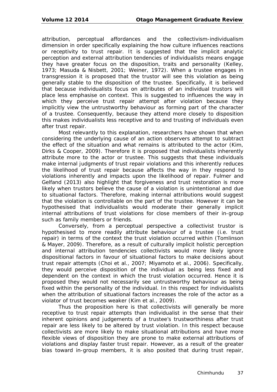attribution, perceptual affordances and the collectivism-individualism dimension in order specifically explaining the how culture influences reactions or receptivity to trust repair. It is suggested that the implicit analytic perception and external attribution tendencies of individualists means engage they have greater focus on the disposition, traits and personality (Kelley, 1973; Masuda & Nisbett, 2001; Weiner, 1972). When a trustee engages in transgression it is proposed that the trustor will see this violation as being generally stable to the disposition of the trustee. Specifically, it is believed that because individualists focus on attributes of an individual trustors will place less emphasise on context. This is suggested to influences the way in which they perceive trust repair attempt after violation because they implicitly view the untrustworthy behaviour as forming part of the character of a trustee. Consequently, because they attend more closely to disposition this makes individualists less receptive and to and trusting of individuals even after trust repair.

Most relevantly to this explanation, researchers have shown that when considering the underlying cause of an action observers attempt to subtract the effect of the situation and what remains is attributed to the actor (Kim, Dirks & Cooper, 2009). Therefore it is proposed that individualists inherently attribute more to the actor or trustee. This suggests that these individuals make internal judgments of trust repair violations and this inherently reduces the likelihood of trust repair because affects the way in they respond to violations inherently and impacts upon the likelihood of repair. Fulmer and Gelfand (2013) also highlight that forgiveness and trust restoration is more likely when trustors believe the cause of a violation is unintentional and due to situational factors. Therefore, making internal attributions would suggest that the violation is controllable on the part of the trustee. However it can be hypothesised that individualists would moderate their generally implicit internal attributions of trust violations for close members of their in-group such as family members or friends.

Conversely, from a perceptual perspective a collectivist trustor is hypothesised to more readily attribute behaviour of a trustee (i.e. trust repair) in terms of the context the trust violation occurred within (Tomlinson & Mayer, 2009). Therefore, as a result of culturally implicit holistic perception and internal attribution tendencies collectivists would more likely ignore dispositional factors in favour of situational factors to make decisions about trust repair attempts (Choi et al., 2007; Miyamoto et al., 2006). Specifically, they would perceive disposition of the individual as being less fixed and dependent on the context in which the trust violation occurred. Hence it is proposed they would not necessarily see untrustworthy behaviour as being fixed within the personality of the individual. In this respect for individualists when the attribution of situational factors increases the role of the actor as a violator of trust becomes weaker (Kim et al., 2009).

Thus the proposition here is that collectivists will generally be more receptive to trust repair attempts than individualist in the sense that their inherent opinions and judgements of a trustee's trustworthiness after trust repair are less likely to be altered by trust violation. In this respect because collectivists are more likely to make situational attributions and have more flexible views of disposition they are prone to make external attributions of violations and display faster trust repair. However, as a result of the greater bias toward in-group members, it is also posited that during trust repair,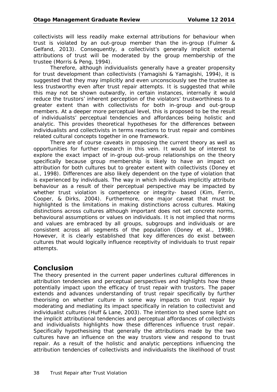collectivists will less readily make external attributions for behaviour when trust is violated by an out-group member than the in-group (Fulmer & Gelfand, 2013). Consequently, a collectivist's generally implicit external attributions of trust will be moderated by the group membership of the trustee (Morris & Peng, 1994).

Therefore, although individualists generally have a greater propensity for trust development than collectivists (Yamagishi & Yamagishi, 1994), it is suggested that they may implicitly and even unconsciously see the trustee as less trustworthy even after trust repair attempts. It is suggested that while this may not be shown outwardly, in certain instances, internally it would reduce the trustors' inherent perception of the violators' trustworthiness to a greater extent than with collectivists for both in-group and out-group members. At a deeper more perceptual level, this is proposed to be the result of individualists' perceptual tendencies and affordances being holistic and analytic. This provides theoretical hypotheses for the differences between individualists and collectivists in terms reactions to trust repair and combines related cultural concepts together in one framework.

There are of course caveats in proposing the current theory as well as opportunities for further research in this vein. It would be of interest to explore the exact impact of in-group out-group relationships on the theory specifically because group membership is likely to have an impact on attribution for both cultures but to greater extent with collectivists (Doney et al., 1998). Differences are also likely dependent on the type of violation that is experienced by individuals. The way in which individuals implicitly attribute behaviour as a result of their perceptual perspective may be impacted by whether trust violation is competence or integrity- based (Kim, Ferrin, Cooper, & Dirks, 2004). Furthermore, one major caveat that must be highlighted is the limitations in making distinctions across cultures. Making distinctions across cultures although important does not set concrete norms, behavioural assumptions or values on individuals. It is not implied that norms and values are embraced by all groups, subgroups and individuals or are consistent across all segments of the population (Doney et al., 1998). However, it is clearly established that key differences do exist between cultures that would logically influence receptivity of individuals to trust repair attempts.

# **Conclusion**

The theory presented in the current paper underlines cultural differences in attribution tendencies and perceptual perspectives and highlights how these potentially impact upon the efficacy of trust repair with trustors. The paper extends and advances understanding of trust repair specifically by further theorising on whether culture in some way impacts on trust repair by moderating and mediating its impact specifically in relation to collectivist and individualist cultures (Huff & Lane, 2003). The intention to shed some light on the implicit attributional tendencies and perceptual affordances of collectivists and individualists highlights how these differences influence trust repair. Specifically hypothesising that generally the attributions made by the two cultures have an influence on the way trustors view and respond to trust repair. As a result of the holistic and analytic perceptions influencing the attribution tendencies of collectivists and individualists the likelihood of trust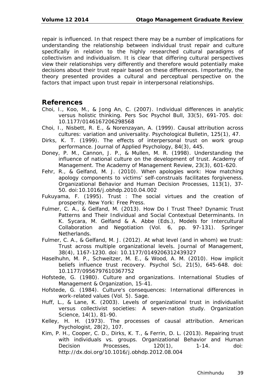repair is influenced. In that respect there may be a number of implications for understanding the relationship between individual trust repair and culture specifically in relation to the highly researched cultural paradigms of collectivism and individualism. It is clear that differing cultural perspectives view their relationships very differently and therefore would potentially make decisions about their trust repair based on these differences. Importantly, the theory presented provides a cultural and perceptual perspective on the factors that impact upon trust repair in interpersonal relationships.

### **References**

- Choi, I., Koo, M., & Jong An, C. (2007). Individual differences in analytic versus holistic thinking. *Pers Soc Psychol Bull, 33*(5), 691-705. doi: 10.1177/0146167206298568
- Choi, I., Nisbett, R. E., & Norenzayan, A. (1999). Causal attribution across cultures: variation and universality. *Psychological Bulletin, 125*(1), 47.
- Dirks, K. T. (1999). The effects of interpersonal trust on work group performance. *Journal of Applied Psychology, 84*(3), 445.
- Doney, P. M., Cannon, J. P., & Mullen, M. R. (1998). Understanding the influence of national culture on the development of trust. Academy of Management. *The Academy of Management Review, 23*(3), 601-620.
- Fehr, R., & Gelfand, M. J. (2010). When apologies work: How matching apology components to victims' self-construals facilitates forgiveness. *Organizational Behavior and Human Decision Processes, 113*(1), 37- 50. doi:10.1016/j.obhdp.2010.04.002
- Fukuyama, F. (1995). *Trust : The social virtues and the creation of prosperity*. New York: Free Press.
- Fulmer, C. A., & Gelfand, M. (2013). How Do I Trust Thee? Dynamic Trust Patterns and Their Individual and Social Contextual Determinants. In K. Sycara, M. Gelfand & A. Abbe (Eds.), *Models for Intercultural Collaboration and Negotiation* (Vol. 6, pp. 97-131). Springer Netherlands.
- Fulmer, C. A., & Gelfand, M. J. (2012). At what level (and in whom) we trust: Trust across multiple organizational levels. *Journal of Management, 38*(4), 1167-1230. doi: 10.1177/0149206312439327
- Haselhuhn, M. P., Schweitzer, M. E., & Wood, A. M. (2010). How implicit beliefs influence trust recovery. *Psychol Sci, 21*(5), 645-648. doi: 10.1177/0956797610367752
- Hofstede, G. (1980). Culture and organizations. *International Studies of Management & Organization*, 15-41.
- Hofstede, G. (1984). Culture's consequences: International differences in work-related values (Vol. 5). Sage.
- Huff, L., & Lane, K. (2003). Levels of organizational trust in individualist versus collectivist societies: A seven-nation study. *Organization Science, 14*(1), 81-90.
- Kelley, H. H. (1973). The processes of causal attribution. *American Psychologist, 28*(2), 107.
- Kim, P. H., Cooper, C. D., Dirks, K. T., & Ferrin, D. L. (2013). Repairing trust with individuals vs. groups. *Organizational Behavior and Human Decision Processes, 120*(1), 1-14. doi: http://dx.doi.org/10.1016/j.obhdp.2012.08.004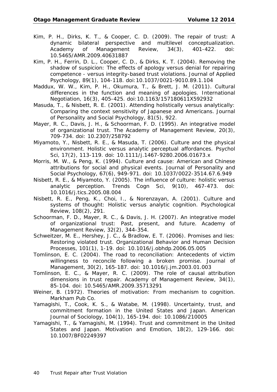- Kim, P. H., Dirks, K. T., & Cooper, C. D. (2009). The repair of trust: A dynamic bilateral perspective and multilevel conceptualization. *Academy of Management Review, 34*(3), 401-422. doi: 10.5465/AMR.2009.40631887
- Kim, P. H., Ferrin, D. L., Cooper, C. D., & Dirks, K. T. (2004). Removing the shadow of suspicion: The effects of apology versus denial for repairing competence - versus integrity-based trust violations. *Journal of Applied Psychology, 89*(1), 104-118. doi:10.1037/0021-9010.89.1.104
- Maddux, W. W., Kim, P. H., Okumura, T., & Brett, J. M. (2011). Cultural differences in the function and meaning of apologies. *International Negotiation, 16*(3), 405-425. doi:10.1163/157180611X592932
- Masuda, T., & Nisbett, R. E. (2001). Attending holistically versus analytically: Comparing the context sensitivity of Japanese and Americans. *Journal of Personality and Social Psychology, 81*(5), 922.
- Mayer, R. C., Davis, J. H., & Schoorman, F. D. (1995). An integrative model of organizational trust. *The Academy of Management Review, 20*(3), 709-734. doi: 10.2307/258792
- Miyamoto, Y., Nisbett, R. E., & Masuda, T. (2006). Culture and the physical environment. Holistic versus analytic perceptual affordances. *Psychol Sci, 17*(2), 113-119. doi: 10.1111/j.1467-9280.2006.01673.x
- Morris, M. W., & Peng, K. (1994). Culture and cause: American and Chinese attributions for social and physical events. *Journal of Personality and Social Psychology, 67*(6), 949-971. doi: 10.1037/0022-3514.67.6.949
- Nisbett, R. E., & Miyamoto, Y. (2005). The influence of culture: holistic versus analytic perception. *Trends Cogn Sci, 9*(10), 467-473. doi: 10.1016/j.tics.2005.08.004
- Nisbett, R. E., Peng, K., Choi, I., & Norenzayan, A. (2001). Culture and systems of thought: Holistic versus analytic cognition. *Psychological Review, 108*(2), 291.
- Schoorman, F. D., Mayer, R. C., & Davis, J. H. (2007). An integrative model of organizational trust: Past, present, and future. Academy of Management Review, 32(2), 344-354.
- Schweitzer, M. E., Hershey, J. C., & Bradlow, E. T. (2006). Promises and lies: Restoring violated trust. *Organizational Behavior and Human Decision Processes, 101*(1), 1-19. doi: 10.1016/j.obhdp.2006.05.005
- Tomlinson, E. C. (2004). The road to reconciliation: Antecedents of victim willingness to reconcile following a broken promise. *Journal of Management, 30*(2), 165-187. doi: 10.1016/j.jm.2003.01.003
- Tomlinson, E. C., & Mayer, R. C. (2009). The role of causal attribution dimensions in trust repair. *Academy of Management Review, 34*(1), 85-104. doi: 10.5465/AMR.2009.35713291
- Weiner, B. (1972). *Theories of motivation: From mechanism to cognition.* Markham Pub Co.
- Yamagishi, T., Cook, K. S., & Watabe, M. (1998). Uncertainty, trust, and commitment formation in the United States and Japan. *American Journal of Sociology, 104*(1), 165-194. doi: 10.1086/210005
- Yamagishi, T., & Yamagishi, M. (1994). Trust and commitment in the United States and Japan. *Motivation and Emotion, 18*(2), 129-166. doi: 10.1007/BF02249397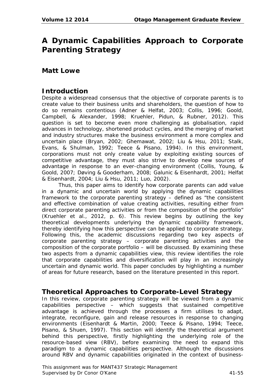# **A Dynamic Capabilities Approach to Corporate Parenting Strategy**

### **Matt Lowe**

### **Introduction**

Despite a widespread consensus that the objective of corporate parents is to create value to their business units and shareholders, the question of how to do so remains contentious (Adner & Helfat, 2003; Collis, 1996; Goold, Campbell, & Alexander, 1998; Kruehler, Pidun, & Rubner, 2012). This question is set to become even more challenging as globalisation, rapid advances in technology, shortened product cycles, and the merging of market and industry structures make the business environment a more complex and uncertain place (Bryan, 2002; Ghemawat, 2002; Liu & Hsu, 2011; Stalk, Evans, & Shulman, 1992; Teece & Pisano, 1994). In this environment, corporations must not only create value by exploiting existing sources of competitive advantage, they must also strive to develop new sources of advantage in response to an ever-changing environment (Collis, Young, & Goold, 2007; Døving & Gooderham, 2008; Galunic & Eisenhardt, 2001; Helfat & Eisenhardt, 2004; Liu & Hsu, 2011; Luo, 2002).

Thus, this paper aims to identify how corporate parents can add value in a dynamic and uncertain world by applying the dynamic capabilities framework to the corporate parenting strategy – defined as "the consistent and effective combination of value creating activities, resulting either from direct corporate parenting activities or from the composition of the portfolio" (Kruehler et al., 2012, p. 6). This review begins by outlining the key theoretical developments underlying the dynamic capability framework, thereby identifying how this perspective can be applied to corporate strategy. Following this, the academic discussions regarding two key aspects of corporate parenting strategy – corporate parenting activities and the composition of the corporate portfolio – will be discussed. By examining these two aspects from a dynamic capabilities view, this review identifies the role that corporate capabilities and diversification will play in an increasingly uncertain and dynamic world. This paper concludes by highlighting a number of areas for future research, based on the literature presented in this report.

### **Theoretical Approaches to Corporate-Level Strategy**

In this review, corporate parenting strategy will be viewed from a dynamic capabilities perspective – which suggests that sustained competitive advantage is achieved through the processes a firm utilises to adapt, integrate, reconfigure, gain and release resources in response to changing environments (Eisenhardt & Martin, 2000; Teece & Pisano, 1994; Teece, Pisano, & Shuen, 1997). This section will identify the theoretical argument behind this perspective, firstly highlighting the underlying role of the resource-based view (RBV), before examining the need to expand this paradigm to a dynamic capabilities perspective. Although the discussions around RBV and dynamic capabilities originated in the context of business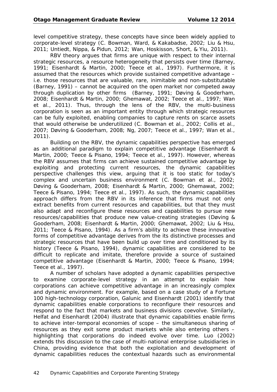level competitive strategy, these concepts have since been widely applied to corporate-level strategy (C. Bowman, Ward, & Kakabadse, 2002; Liu & Hsu, 2011; Untiedt, Nippa, & Pidun, 2012; Wan, Hoskisson, Short, & Yiu, 2011).

RBV theory argues that firms are unique with respect to their internal strategic resources, a resource heterogeneity that persists over time (Barney, 1991; Eisenhardt & Martin, 2000; Teece et al., 1997). Furthermore, it is assumed that the resources which provide sustained competitive advantage – i.e. those resources that are valuable, rare, inimitable and non-substitutable (Barney, 1991) – cannot be acquired on the open market nor competed away through duplication by other firms (Barney, 1991; Døving & Gooderham, 2008; Eisenhardt & Martin, 2000; Ghemawat, 2002; Teece et al., 1997; Wan et al., 2011). Thus, through the lens of the RBV, the multi-business corporation is seen as an important entity through which strategic resources can be fully exploited, enabling companies to capture rents on scarce assets that would otherwise be underutilized (C. Bowman et al., 2002; Collis et al., 2007; Døving & Gooderham, 2008; Ng, 2007; Teece et al., 1997; Wan et al., 2011).

Building on the RBV, the dynamic capabilities perspective has emerged as an additional paradigm to explain competitive advantage (Eisenhardt & Martin, 2000; Teece & Pisano, 1994; Teece et al., 1997). However, whereas the RBV assumes that firms can achieve sustained competitive advantage by exploiting and protecting current resources, the dynamic capabilities perspective challenges this view, arguing that it is too static for today's complex and uncertain business environment (C. Bowman et al., 2002; Døving & Gooderham, 2008; Eisenhardt & Martin, 2000; Ghemawat, 2002; Teece & Pisano, 1994; Teece et al., 1997). As such, the dynamic capabilities approach differs from the RBV in its inference that firms must not only extract benefits from current resources and capabilities, but that they must also adapt and reconfigure these resources and capabilities to pursue new resources/capabilities that produce new value-creating strategies (Døving & Gooderham, 2008; Eisenhardt & Martin, 2000; Ghemawat, 2002; Liu & Hsu, 2011; Teece & Pisano, 1994). As a firm's ability to achieve these innovative forms of competitive advantage derives from the its distinctive processes and strategic resources that have been build up over time and conditioned by its history (Teece & Pisano, 1994), dynamic capabilities are considered to be difficult to replicate and imitate, therefore provide a source of sustained competitive advantage (Eisenhardt & Martin, 2000; Teece & Pisano, 1994; Teece et al., 1997).

A number of scholars have adopted a dynamic capabilities perspective to examine corporate-level strategy in an attempt to explain how corporations can achieve competitive advantage in an increasingly complex and dynamic environment. For example, based on a case study of a Fortune 100 high-technology corporation, Galunic and Eisenhardt (2001) identify that dynamic capabilities enable corporations to reconfigure their resources and respond to the fact that markets and business divisions coevolve. Similarly, Helfat and Eisenhardt (2004) illustrate that dynamic capabilities enable firms to achieve inter-temporal economies of scope – the simultaneous sharing of resources as they exit some product markets while also entering others – highlighting that corporations do indeed evolve over time. Luo (2002) extends this discussion to the case of multi-national enterprise subsidiaries in China, providing evidence that both the exploitation and development of dynamic capabilities reduces the contextual hazards such as environmental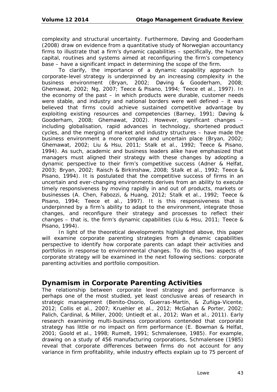complexity and structural uncertainty. Furthermore, Døving and Gooderham (2008) draw on evidence from a quantitative study of Norwegian accountancy firms to illustrate that a firm's dynamic capabilities – specifically, the human capital, routines and systems aimed at reconfiguring the firm's competency base – have a significant impact in determining the scope of the firm.

To clarify, the importance of a dynamic capability approach to corporate-level strategy is underpinned by an increasing complexity in the business environment (Bryan, 2002; Døving & Gooderham, 2008; Ghemawat, 2002; Ng, 2007; Teece & Pisano, 1994; Teece et al., 1997). In the economy of the past – in which products were durable, customer needs were stable, and industry and national borders were well defined – it was believed that firms could achieve sustained competitive advantage by exploiting existing resources and competencies (Barney, 1991; Døving & Gooderham, 2008; Ghemawat, 2002). However, significant changes – including globalisation, rapid advances in technology, shortened product cycles, and the merging of market and industry structures – have made the business environment a more complex and uncertain place (Bryan, 2002; Ghemawat, 2002; Liu & Hsu, 2011; Stalk et al., 1992; Teece & Pisano, 1994). As such, academic and business leaders alike have emphasized that managers must aligned their strategy with these changes by adopting a dynamic perspective to their firm's competitive success (Adner & Helfat, 2003; Bryan, 2002; Raisch & Birkinshaw, 2008; Stalk et al., 1992; Teece & Pisano, 1994). It is postulated that the competitive success of firms in an uncertain and ever-changing environments derives from an ability to execute timely responsiveness by moving rapidly in and out of products, markets or businesses (A. Chen, Fabozzi, & Huang, 2012; Stalk et al., 1992; Teece & Pisano, 1994; Teece et al., 1997). It is this responsiveness that is underpinned by a firm's ability to adapt to the environment, integrate those changes, and reconfigure their strategy and processes to reflect their changes – that is, the firm's dynamic capabilities (Liu & Hsu, 2011; Teece & Pisano, 1994).

In light of the theoretical developments highlighted above, this paper will examine corporate parenting strategies from a dynamic capabilities perspective to identify how corporate parents can adapt their activities and portfolios in response to environmental changes. To do this, two aspects of corporate strategy will be examined in the next following sections: corporate parenting activities and portfolio composition.

# **Dynamism in Corporate Parenting Activities**

The relationship between corporate level strategy and performance is perhaps one of the most studied, yet least conclusive areas of research in strategic management (Benito-Osorio, Guerras-Martín, & Zuñiga-Vicente, 2012; Collis et al., 2007; Kruehler et al., 2012; McGahan & Porter, 2002; Palich, Cardinal, & Miller, 2000; Untiedt et al., 2012; Wan et al., 2011). Early research examining multi-business corporations contended that corporate strategy has little or no impact on firm performance (E. Bowman & Helfat, 2001; Goold et al., 1998; Rumelt, 1991; Schmalensee, 1985). For example, drawing on a study of 456 manufacturing corporations, Schmalensee (1985) reveal that corporate differences between firms do not account for any variance in firm profitability, while industry effects explain up to 75 percent of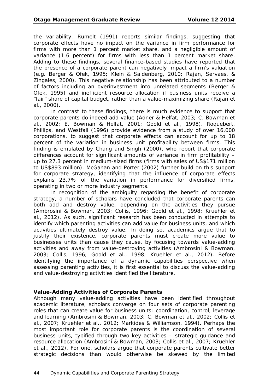the variability. Rumelt (1991) reports similar findings, suggesting that corporate effects have no impact on the variance in firm performance for firms with more than 1 percent market share, and a negligible amount of variance (1.6 percent) for firms with less than 1 percent market share. Adding to these findings, several finance-based studies have reported that the presence of a corporate parent can negatively impact a firm's valuation (e.g. Berger & Ofek, 1995; Klein & Saidenberg, 2010; Rajan, Servaes, & Zingales, 2000). This negative relationship has been attributed to a number of factors including an overinvestment into unrelated segments (Berger & Ofek, 1995) and inefficient resource allocation if business units receive a "fair" share of capital budget, rather than a value-maximizing share (Rajan et al., 2000).

In contrast to these findings, there is much evidence to support that corporate parents do indeed add value (Adner & Helfat, 2003; C. Bowman et al., 2002; E. Bowman & Helfat, 2001; Goold et al., 1998). Roquebert, Phillips, and Westfall (1996) provide evidence from a study of over 16,000 corporations, to suggest that corporate effects can account for up to 18 percent of the variation in business unit profitability between firms. This finding is emulated by Chang and Singh (2000), who report that corporate differences account for significant amounts of variance in firm profitability – up to 27.3 percent in medium-sized firms (firms with sales of US\$171 million to US\$893 million). McGahan and Porter (2002) further build on this support for corporate strategy, identifying that the influence of corporate effects explains 23.7% of the variation in performance for diversified firms, operating in two or more industry segments.

In recognition of the ambiguity regarding the benefit of corporate strategy, a number of scholars have concluded that corporate parents can both add and destroy value, depending on the activities they pursue (Ambrosini & Bowman, 2003; Collis, 1996; Goold et al., 1998; Kruehler et al., 2012). As such, significant research has been conducted in attempts to identify which parenting activities can add value for business units, and which activities ultimately destroy value. In doing so, academics argue that to justify their existence, corporate parents must create more value to businesses units than cause they cause, by focusing towards *value-adding activities* and away from *value-destroying activities* (Ambrosini & Bowman, 2003; Collis, 1996; Goold et al., 1998; Kruehler et al., 2012). Before identifying the importance of a dynamic capabilities perspective when assessing parenting activities, it is first essential to discuss the value-adding and value-destroying activities identified the literature.

#### **Value-Adding Activities of Corporate Parents**

Although many value-adding activities have been identified throughout academic literature, scholars converge on four sets of corporate parenting roles that can create value for business units: coordination, control, leverage and learning (Ambrosini & Bowman, 2003; C. Bowman et al., 2002; Collis et al., 2007; Kruehler et al., 2012; Markides & Williamson, 1994). Perhaps the most important role for corporate parents is the coordination of several business units, typified through two key activities – strategic guidance and resource allocation (Ambrosini & Bowman, 2003; Collis et al., 2007; Kruehler et al., 2012). For one, scholars argue that corporate parents cultivate better strategic decisions than would otherwise be skewed by the limited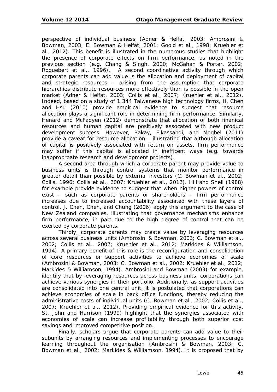perspective of individual business (Adner & Helfat, 2003; Ambrosini & Bowman, 2003; E. Bowman & Helfat, 2001; Goold et al., 1998; Kruehler et al., 2012). This benefit is illustrated in the numerous studies that highlight the presence of corporate effects on firm performance, as noted in the previous section (e.g. Chang & Singh, 2000; McGahan & Porter, 2002; Roquebert et al., 1996). A second coordinative activity through which corporate parents can add value is the allocation and deployment of capital and strategic resources – arising from the assumption that corporate hierarchies distribute resources more effectively than is possible in the open market (Adner & Helfat, 2003; Collis et al., 2007; Kruehler et al., 2012). Indeed, based on a study of 1,344 Taiwanese high technology firms, H. Chen and Hsu (2010) provide empirical evidence to suggest that resource allocation plays a significant role in determining firm performance. Similarly, Henard and McFadyen (2012) demonstrate that allocation of both finanical resources and human capital are positively assocated with new product development success. However, Bakay, Elkassabgi, and Moqbel (2011) provide a caveat for resource allocation – illustrating that although allocation of capital is positively associated with return on assets, firm performance may suffer if this capital is allocated in inefficent ways (e.g. towards inapproproate research and development projects).

A second area through which a corporate parent may provide value to business units is through control systems that monitor performance in greater detail than possible by external investors (C. Bowman et al., 2002; Collis, 1996; Collis et al., 2007; Kruehler et al., 2012). Hill and Snell (1988) for example provide evidence to suggest that when higher powers of control exist – such as corporate parents or shareholders – firm performance increases due to increased accountability associated with these layers of control. J. Chen, Chen, and Chung (2006) apply this argument to the case of New Zealand companies, illustrating that governance mechanisms enhance firm performance, in part due to the high degree of control that can be exerted by corporate parents.

Thirdly, corporate parents may create value by leveraging resources across several business units (Ambrosini & Bowman, 2003; C. Bowman et al., 2002; Collis et al., 2007; Kruehler et al., 2012; Markides & Williamson, 1994). A primary benefit of this role is the reconfiguration and consolidation of core resources or support activities to achieve economies of scale (Ambrosini & Bowman, 2003; C. Bowman et al., 2002; Kruehler et al., 2012; Markides & Williamson, 1994). Ambrosini and Bowman (2003) for example, identify that by leveraging resources across business units, corporations can achieve various synergies in their portfolio. Additionally, as support activities are consolidated into one central unit, it is postulated that corporations can achieve economies of scale in back office functions, thereby reducing the administrative costs of individual units (C. Bowman et al., 2002; Collis et al., 2007; Kruehler et al., 2012). Providing empirical evidence for this activity, St. John and Harrison (1999) highlight that the synergies associated with economies of scale can increase profitability through both superior cost savings and improved competitive position.

Finally, scholars argue that corporate parents can add value to their subunits by arranging resources and implementing processes to encourage learning throughout the organisation (Ambrosini & Bowman, 2003; C. Bowman et al., 2002; Markides & Williamson, 1994). It is proposed that by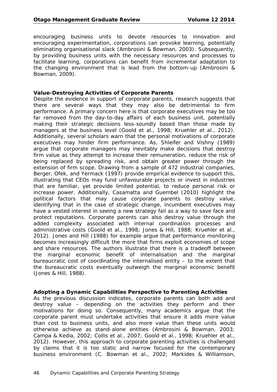encouraging business units to devote resources to innovation and encouraging experimentation, corporations can provoke learning, potentially eliminating organisational slack (Ambrosini & Bowman, 2003). Subsequently, by providing business units with the necessary resources and processes to facilitate learning, corporations can benefit from incremental adaptation to the changing environment that is lead from the bottom-up (Ambrosini & Bowman, 2009).

#### **Value-Destroying Activities of Corporate Parents**

Despite the evidence in support of corporate parents, research suggests that there are several ways that they may also be detrimental to firm performance. A primary concern here is that corporate executives may be too far removed from the day-to-day affairs of each business unit, potentially making their strategic decisions less-soundly based than those made by managers at the business level (Goold et al., 1998; Kruehler et al., 2012). Additionally, several scholars warn that the personal motivations of corporate executives may hinder firm performance. As, Shleifer and Vishny (1989) argue that corporate managers may inevitably make decisions that destroy firm value as they attempt to increase their remuneration, reduce the risk of being replaced by spreading risk, and obtain greater power through the extension of firm scope. Drawing from a sample of 472 industrial companies, Berger, Ofek, and Yermack (1997) provide empirical evidence to support this, illustrating that CEOs may fund unfavourable projects or invest in industries that are familiar, yet provide limited potential, to reduce personal risk or increase power. Additionally, Casamatta and Guembel (2010) highlight the political factors that may cause corporate parents to destroy value, identifying that in the case of strategic change, incumbent executives may have a vested interest in seeing a new strategy fail as a way to save face and protect reputations. Corporate parents can also destroy value through the added complexity associated with internal coordination processes and administrative costs (Goold et al., 1998; Jones & Hill, 1988; Kruehler et al., 2012). Jones and Hill (1988) for example argue that performance monitoring becomes increasingly difficult the more that firms exploit economies of scope and share resources. The authors illustrate that there is a tradeoff between the marginal economic benefit of internalisation and the marginal bureaucratic cost of coordinating the internalised entity – to the extent that the bureaucratic costs eventually outweigh the marginal economic benefit (Jones & Hill, 1988).

#### **Adopting a Dynamic Capabilities Perspective to Parenting Activities**

As the previous discussion indicates, corporate parents can both add and destroy value – depending on the activities they perform and their motivations for doing so. Consequently, many academics argue that the corporate parent must undertake activities that ensure it adds more value than cost to business units, and also more value than these units would otherwise achieve as stand-alone entities (Ambrosini & Bowman, 2003; Campa & Kedia, 2002; Collis et al., 2007; Goold et al., 1998; Kruehler et al., 2012). However, this approach to corporate parenting activities is challenged by claims that it is too static and narrow focused for the contemporary business environment (C. Bowman et al., 2002; Markides & Williamson,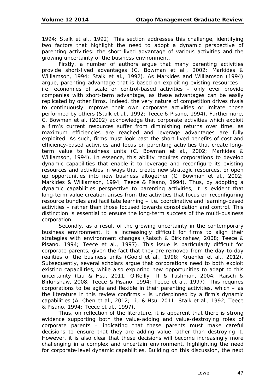1994; Stalk et al., 1992). This section addresses this challenge, identifying two factors that highlight the need to adopt a dynamic perspective of parenting activities: the short-lived advantage of various activities and the growing uncertainty of the business environment.

Firstly, a number of authors argue that many parenting activities provide short-lived advantages (C. Bowman et al., 2002; Markides & Williamson, 1994; Stalk et al., 1992). As Markides and Williamson (1994) argue, parenting advantage that is based on exploiting existing resources – i.e. economies of scale or control-based activities – only ever provide companies with short-term advantage, as these advantages can be easily replicated by other firms. Indeed, the very nature of competition drives rivals to continuously improve their own corporate activities or imitate those performed by others (Stalk et al., 1992; Teece & Pisano, 1994). Furthermore, C. Bowman et al. (2002) acknowledge that corporate activities which exploit a firm's current resources suffer from diminishing returns over time, as maximum efficiencies are reached and leverage advantages are fully exploited. As such, firms must look past the short-lived benefits of cost and efficiency-based activities and focus on parenting activities that create longterm value to business units (C. Bowman et al., 2002; Markides & Williamson, 1994). In essence, this ability requires corporations to develop dynamic capabilities that enable it to leverage and reconfigure its existing resources and activities in ways that create new strategic resources, or open up opportunities into new business altogether (C. Bowman et al., 2002; Markides & Williamson, 1994; Teece & Pisano, 1994). Thus, by adopting a dynamic capabilities perspective to parenting activities, it is evident that long-term value creation arises from the activities that focus on reconfiguring resource bundles and facilitate learning – i.e. coordinative and learning-based activities – rather than those focused towards consolidation and control. This distinction is essential to ensure the long-term success of the multi-business corporation.

Secondly, as a result of the growing uncertainty in the contemporary business environment, it is increasingly difficult for firms to align their strategies with environment changes (Raisch & Birkinshaw, 2008; Teece & Pisano, 1994; Teece et al., 1997). This issue is particularly difficult for corporate parents, given the fact that they are removed from the day-to-day realities of the business units (Goold et al., 1998; Kruehler et al., 2012). Subsequently, several scholars argue that corporations need to both exploit existing capabilities, while also exploring new opportunities to adapt to this uncertainty (Liu & Hsu, 2011; O'Reilly III & Tushman, 2004; Raisch & Birkinshaw, 2008; Teece & Pisano, 1994; Teece et al., 1997). This requires corporations to be agile and flexible in their parenting activities, which – as the literature in this review confirms – is underpinned by a firm's dynamic capabilities (A. Chen et al., 2012; Liu & Hsu, 2011; Stalk et al., 1992; Teece & Pisano, 1994; Teece et al., 1997).

Thus, on reflection of the literature, it is apparent that there is strong evidence supporting both the value-adding and value-destroying roles of corporate parents – indicating that these parents must make careful decisions to ensure that they are adding value rather than destroying it. However, it is also clear that these decisions will become increasingly more challenging in a complex and uncertain environment, highlighting the need for corporate-level dynamic capabilities. Building on this discussion, the next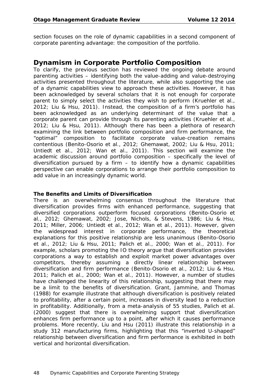section focuses on the role of dynamic capabilities in a second component of corporate parenting advantage: the composition of the portfolio.

### **Dynamism in Corporate Portfolio Composition**

To clarify, the previous section has reviewed the ongoing debate around parenting activities – identifying both the value-adding and value-destroying activities presented throughout the literature, while also supporting the use of a dynamic capabilities view to approach these activities. However, it has been acknowledged by several scholars that it is not enough for corporate parent to simply select the activities they wish to perform (Kruehler et al., 2012; Liu & Hsu, 2011). Instead, the composition of a firm's portfolio has been acknowledged as an underlying determinant of the value that a corporate parent can provide through its parenting activities (Kruehler et al., 2012; Liu & Hsu, 2011). Although there has been a plethora of research examining the link between portfolio composition and firm performance, the "optimal" composition to facilitate corporate value-creation remains contentious (Benito-Osorio et al., 2012; Ghemawat, 2002; Liu & Hsu, 2011; Untiedt et al., 2012; Wan et al., 2011). This section will examine the academic discussion around portfolio composition – specifically the level of diversification pursued by a firm  $-$  to identify how a dynamic capabilities perspective can enable corporations to arrange their portfolio composition to add value in an increasingly dynamic world.

### **The Benefits and Limits of Diversification**

There is an overwhelming consensus throughout the literature that diversification provides firms with enhanced performance, suggesting that diversified corporations outperform focused corporations (Benito-Osorio et al., 2012; Ghemawat, 2002; Jose, Nichols, & Stevens, 1986; Liu & Hsu, 2011; Miller, 2006; Untiedt et al., 2012; Wan et al., 2011). However, given the widespread interest in corporate performance, the theoretical explanations for this positive relationship are less unanimous (Benito-Osorio et al., 2012; Liu & Hsu, 2011; Palich et al., 2000; Wan et al., 2011). For example, scholars promoting the IO theory argue that diversification provides corporations a way to establish and exploit market power advantages over competitors, thereby assuming a directly linear relationship between diversification and firm performance (Benito-Osorio et al., 2012; Liu & Hsu, 2011; Palich et al., 2000; Wan et al., 2011). However, a number of studies have challenged the linearity of this relationship, suggesting that there may be a limit to the benefits of diversification. Grant, Jammine, and Thomas (1988) for example illustrate that although diversification is positively related to profitability, after a certain point, increases in diversity lead to a reduction in profitability. Additionally, from a meta-analysis of 55 studies, Palich et al. (2000) suggest that there is overwhelming support that diversification enhances firm performance up to a point, after which it causes performance problems. More recently, Liu and Hsu (2011) illustrate this relationship in a study 312 manufacturing firms, highlighting that this "inverted U-shaped" relationship between diversification and firm performance is exhibited in both vertical and horizontal diversification.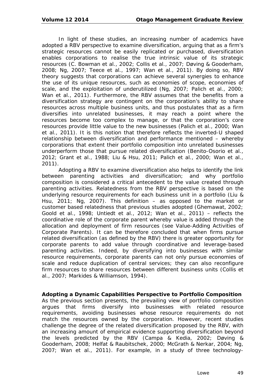In light of these studies, an increasing number of academics have adopted a RBV perspective to examine diversification, arguing that as a firm's strategic resources cannot be easily replicated or purchased, diversification enables corporations to realise the *true* intrinsic value of its strategic resources (C. Bowman et al., 2002; Collis et al., 2007; Døving & Gooderham, 2008; Ng, 2007; Teece et al., 1997; Wan et al., 2011). By doing so, RBV theory suggests that corporations can achieve several synergies to enhance the use of its unique resources, such as economies of scope, economies of scale, and the exploitation of underutilized (Ng, 2007; Palich et al., 2000; Wan et al., 2011). Furthermore, the RBV assumes that the benefits from a diversification strategy are contingent on the corporation's ability to share resources across multiple business units, and thus postulates that as a firm diversifies into unrelated businesses, it may reach a point where the resources become too complex to manage, or that the corporation's core resources provide little value to the new businesses (Palich et al., 2000; Wan et al., 2011). It is this notion that therefore reflects the inverted-U shaped relationship between diversification and performance mentioned – whereby corporations that extent their portfolio composition into unrelated businesses underperform those that pursue related diversification (Benito-Osorio et al., 2012; Grant et al., 1988; Liu & Hsu, 2011; Palich et al., 2000; Wan et al., 2011).

Adopting a RBV to examine diversification also helps to identify the link between parenting activities and diversification; and why portfolio composition is considered a critical antecedent to the value created through parenting activities. Relatedness from the RBV perspective is based on the underlying resource requirements for each business unit in a portfolio (Liu & Hsu, 2011; Ng, 2007). This definition – as opposed to the market or customer based relatedness that previous studies adopted (Ghemawat, 2002; Goold et al., 1998; Untiedt et al., 2012; Wan et al., 2011) – reflects the coordinative role of the corporate parent whereby value is added through the allocation and deployment of firm resources (see *Value-Adding Activities of Corporate Parents*). It can be therefore concluded that when firms pursue related diversification (as defined by the RBV) there is greater opportunity for corporate parents to add value through coordinative and leverage-based parenting activities. Indeed, by diversifying into businesses with similar resource requirements, corporate parents can not only pursue economies of scale and reduce duplication of central services; they can also reconfigure firm resources to share resources between different business units (Collis et al., 2007; Markides & Williamson, 1994).

#### **Adopting a Dynamic Capabilities Perspective to Portfolio Composition**

As the previous section presents, the prevailing view of portfolio composition argues that firms diversify into businesses with related resource requirements, avoiding businesses whose resource requirements do not match the resources owned by the corporation. However, recent studies challenge the degree of the related diversification proposed by the RBV, with an increasing amount of empirical evidence supporting diversification beyond the levels predicted by the RBV (Campa & Kedia, 2002; Døving & Gooderham, 2008; Helfat & Raubitschek, 2000; McGrath & Nerkar, 2004; Ng, 2007; Wan et al., 2011). For example, in a study of three technology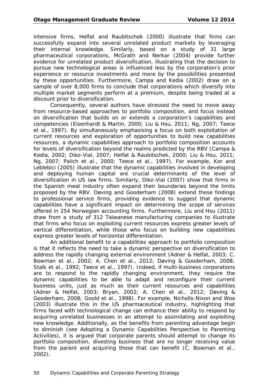intensive firms, Helfat and Raubitschek (2000) illustrate that firms can successfully expand into several unrelated product markets by leveraging their internal knowledge. Similarly, based on a study of 31 large pharmaceutical corporations, McGrath and Nerkar (2004) provide further evidence for unrelated product diversification, illustrating that the decision to pursue new technological areas is influenced less by the corporation's prior experience or resource investments and more by the possibilities presented by these opportunities. Furthermore, Campa and Kedia (2002) draw on a sample of over 8,000 firms to conclude that corporations which diversify into multiple market segments perform at a premium, despite being traded at a discount prior to diversification.

Consequently, several authors have stressed the need to move away from resource-based approaches to portfolio composition, and focus instead on diversification that builds on or extends a corporation's capabilities and competencies (Eisenhardt & Martin, 2000; Liu & Hsu, 2011; Ng, 2007; Teece et al., 1997). By simultaneously emphasising a focus on both exploitation of current resources and exploration of opportunities to build new capabilities resources, a dynamic capabilities approach to portfolio composition accounts for levels of diversification beyond the realms predicted by the RBV (Campa & Kedia, 2002; Díez-Vial, 2007; Helfat & Raubitschek, 2000; Liu & Hsu, 2011; Ng, 2007; Palich et al., 2000; Teece et al., 1997). For example, Kor and Leblebici (2005) illustrate that the dynamic capabilities involved in developing and deploying human capital are crucial determinants of the level of diversification in US law firms. Similarly, Díez-Vial (2007) show that firms in the Spanish meat industry often expand their boundaries beyond the limits proposed by the RBV. Døving and Gooderham (2008) extend these findings to professional service firms, providing evidence to suggest that dynamic capabilities have a significant impact on determining the scope of services offered in 254 Norwegian accounting firms. Furthermore, Liu and Hsu (2011) draw from a study of 312 Taiwanese manufacturing companies to illustrate that firms who focus on exploiting current resources express greater levels of vertical differentiation, while those who focus on building new capabilities express greater levels of horizontal differentiation.

An additional benefit to a capabilities approach to portfolio composition is that it reflects the need to take a dynamic perspective on diversification to address the rapidly changing external environment (Adner & Helfat, 2003; C. Bowman et al., 2002; A. Chen et al., 2012; Døving & Gooderham, 2008; Stalk et al., 1992; Teece et al., 1997). Indeed, if multi-business corporations are to respond to the rapidly changing environment, they require the dynamic capabilities to be able to adapt and reconfigure their current business units, just as much as their current resources and capabilities (Adner & Helfat, 2003; Bryan, 2002; A. Chen et al., 2012; Døving & Gooderham, 2008; Goold et al., 1998). For example, Nicholls-Nixon and Woo (2003) illustrate this in the US pharmaceutical industry, highlighting that firms faced with technological change can enhance their ability to respond by acquiring unrelated businesses in an attempt to assimilating and exploiting new knowledge. Additionally, as the benefits from parenting advantage begin to diminish (see *Adopting a Dynamic Capabilities Perspective to Parenting Activities*), it is argued that corporate parents should attempt to change its portfolio composition, divesting business that are no longer receiving value from the parent and acquiring those that can benefit (C. Bowman et al., 2002).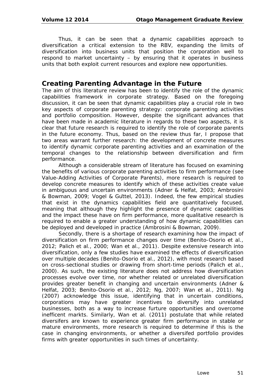Thus, it can be seen that a dynamic capabilities approach to diversification a critical extension to the RBV, expanding the limits of diversification into business units that position the corporation well to respond to market uncertainty – by ensuring that it operates in business units that both exploit current resources and explore new opportunities.

### **Creating Parenting Advantage in the Future**

The aim of this literature review has been to identify the role of the dynamic capabilities framework in corporate strategy. Based on the foregoing discussion, it can be seen that dynamic capabilities play a crucial role in two key aspects of corporate parenting strategy: corporate parenting activities and portfolio composition. However, despite the significant advances that have been made in academic literature in regards to these two aspects, it is clear that future research is required to identify the role of corporate parents in the future economy. Thus, based on the review thus far, I propose that two areas warrant further research: the development of concrete measures to identify dynamic corporate parenting activities and an examination of the temporal changes to the relationship between diversification and firm performance.

Although a considerable stream of literature has focused on examining the benefits of various corporate parenting activities to firm performance (see *Value-Adding Activities of Corporate Parents*), more research is required to develop concrete measures to identify which of these activities create value in ambiguous and uncertain environments (Adner & Helfat, 2003; Ambrosini & Bowman, 2009; Vogel & Güttel, 2013). Indeed, the few empirical studies that exist in the dynamics capabilities field are quantitatively focused, meaning that although they highlight the presence of dynamic capabilities and the impact these have on firm performance, more qualitative research is required to enable a greater understanding of how dynamic capabilities can be deployed and developed in practice (Ambrosini & Bowman, 2009).

Secondly, there is a shortage of research examining how the impact of diversification on firm performance changes over time (Benito-Osorio et al., 2012; Palich et al., 2000; Wan et al., 2011). Despite extensive research into diversification, only a few studies have examined the effects of diversification over multiple decades (Benito-Osorio et al., 2012), with most research based on cross-sectional studies or drawing from short-time periods (Palich et al., 2000). As such, the existing literature does not address how diversification processes evolve over time, nor whether related or unrelated diversification provides greater benefit in changing and uncertain environments (Adner & Helfat, 2003; Benito-Osorio et al., 2012; Ng, 2007; Wan et al., 2011). Ng (2007) acknowledge this issue, identifying that in uncertain conditions, corporations may have greater incentives to diversify into unrelated businesses, both as a way to increase furture opportunities and overcome inefficent markts. Similarly, Wan et al. (2011) postulate that while related diversifers are known to experience greater firm performance in stable or mature environments, more research is required to determine if this is the case in changing environments, or whether a diversifed portfolio provides firms with greater opportunities in such times of uncertainty.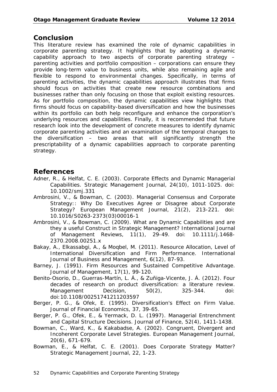### **Conclusion**

This literature review has examined the role of dynamic capabilities in corporate parenting strategy. It highlights that by adopting a dynamic capability approach to two aspects of corporate parenting strategy – parenting activities and portfolio composition – corporations can ensure they provide long-term value to business units, while also remaining agile and flexible to respond to environmental changes. Specifically, in terms of parenting activities, the dynamic capabilities approach illustrates that firms should focus on activities that create new resource combinations and businesses rather than only focusing on those that exploit existing resources. As for portfolio composition, the dynamic capabilities view highlights that firms should focus on capability-based diversification and how the businesses within its portfolio can both help reconfigure and enhance the corporation's underlying resources and capabilities. Finally, it is recommended that future research look into the development of concrete measures to identify dynamic corporate parenting activities and an examination of the temporal changes to the diversification – two areas that will significantly strength the prescriptability of a dynamic capabilities approach to corporate parenting strategy.

### **References**

- Adner, R., & Helfat, C. E. (2003). Corporate Effects and Dynamic Managerial Capabilities. *Strategic Management Journal, 24*(10), 1011-1025. doi: 10.1002/smj.331
- Ambrosini, V., & Bowman, C. (2003). Managerial Consensus and Corporate Strategy:: Why Do Executives Agree or Disagree about Corporate Strategy? *European Management Journal, 21*(2), 213-221. doi: 10.1016/S0263-2373(03)00016-1
- Ambrosini, V., & Bowman, C. (2009). What are Dynamic Capabilities and are they a useful Construct in Strategic Management? *International Journal of Management Reviews, 11*(1), 29-49. doi: 10.1111/j.1468- 2370.2008.00251.x
- Bakay, A., Elkassabgi, A., & Moqbel, M. (2011). Resource Allocation, Level of International Diversification and Firm Performance. *International Journal of Business and Management, 6*(12), 87-93.
- Barney, J. (1991). Firm Resources and Sustained Competitive Advantage. *Journal of Management, 17*(1), 99-120.
- Benito-Osorio, D., Guerras-Martín, L. Á., & Zuñiga-Vicente, J. Á. (2012). Four decades of research on product diversification: a literature review. *Management Decision, 50*(2), 325-344. doi: doi:10.1108/00251741211203597
- Berger, P. G., & Ofek, E. (1995). Diversification's Effect on Firm Value. *Journal of Financial Economics, 37*, 39-65.
- Berger, P. G., Ofek, E., & Yermack, D. L. (1997). Managerial Entrenchment and Capital Structure Decisions. *Journal of Finance, 52*(4), 1411-1438.
- Bowman, C., Ward, K., & Kakabadse, A. (2002). Congruent, Divergent and Incoherent Corporate Level Strategies. *European Management Journal, 20*(6), 671-679.
- Bowman, E., & Helfat, C. E. (2001). Does Corporate Strategy Matter? *Strategic Management Journal, 22*, 1-23.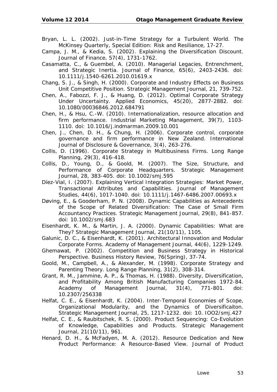- Bryan, L. L. (2002). Just-in-Time Strategy for a Turbulent World. *The McKinsey Quarterly, Special Edition: Risk and Resiliance*, 17-27.
- Campa, J. M., & Kedia, S. (2002). Explaining the Diversification Discount. *Journal of Finance, 57*(4), 1731-1762.
- Casamatta, C., & Guembel, A. (2010). Managerial Legacies, Entrenchment, and Strategic Inertia. *Journal of Finance, 65*(6), 2403-2436. doi: 10.1111/j.1540-6261.2010.01619.x
- Chang, S. J., & Singh, H. (2000). Corporate and Industry Effects on Business Unit Competitive Position. *Strategic Management Journal, 21*, 739-752.
- Chen, A., Fabozzi, F. J., & Huang, D. (2012). Optimal Corporate Strategy Under Uncertainty. *Applied Economics, 45*(20), 2877-2882. doi: 10.1080/00036846.2012.684791
- Chen, H., & Hsu, C.-W. (2010). Internationalization, resource allocation and firm performance. *Industrial Marketing Management, 39*(7), 1103- 1110. doi: 10.1016/j.indmarman.2009.10.001
- Chen, J., Chen, D. H., & Chung, H. (2006). Corporate control, corporate governance and firm performance in New Zealand. *International Journal of Disclosure & Governance, 3*(4), 263-276.
- Collis, D. (1996). Corporate Strategy in Multibusiness Firms. *Long Range Planning, 29*(3), 416-418.
- Collis, D., Young, D., & Goold, M. (2007). The Size, Structure, and Performance of Corporate Headquarters. *Strategic Management Journal, 28*, 383-405. doi: 10.1002/smj.595
- Díez-Vial, I. (2007). Explaining Vertical Integration Strategies: Market Power, Transactional Attributes and Capabilities. *Journal of Management Studies, 44*(6), 1017-1040. doi: 10.1111/j.1467-6486.2007.00693.x
- Døving, E., & Gooderham, P. N. (2008). Dynamic Capabilities as Antecedents of the Scope of Related Diversification: The Case of Small Firm Accountancy Practices. *Strategic Management Journal, 29*(8), 841-857. doi: 10.1002/smj.683
- Eisenhardt, K. M., & Martin, J. A. (2000). Dynamic Capabilities: What are They? *Strategic Management Journal, 21*(10/11), 1105.
- Galunic, D. C., & Eisenhardt, K. (2001). Architectural Innovation and Modular Corporate Forms. *Academy of Management Journal, 44*(6), 1229-1249.
- Ghemawat, P. (2002). Competition and Business Strategy in Historical Perspective. *Business History Review, 76*(Spring), 37-74.
- Goold, M., Campbell, A., & Alexander, M. (1998). Corporate Strategy and Parenting Theory. *Long Range Planning, 31*(2), 308-314.
- Grant, R. M., Jammine, A. P., & Thomas, H. (1988). Diversity, Diversification, and Profitability Among British Manufacturing Companies 1972-84. *Academy of Management Journal, 31*(4), 771-801. doi: 10.2307/256338
- Helfat, C. E., & Eisenhardt, K. (2004). Inter-Temporal Economies of Scope, Organizational Modularity, and the Dynamics of Diversificaiton. *Strategic Management Journal, 25*, 1217-1232. doi: 10. IOO2/smj.427
- Helfat, C. E., & Raubitschek, R. S. (2000). Product Sequencing: Co-Evolution of Knowledge, Capabilities and Products. *Strategic Management Journal, 21*(10/11), 961.
- Henard, D. H., & McFadyen, M. A. (2012). Resource Dedication and New Product Performance: A Resource-Based View. *Journal of Product*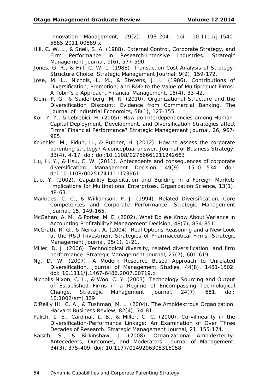*Innovation Management, 29*(2), 193-204. doi: 10.1111/j.1540- 5885.2011.00889.x

- Hill, C. W. L., & Snell, S. A. (1988). External Control, Corporate Strategy, and Firm Performance in Research-Intensive Industries. *Strategic Management Journal, 9*(6), 577-590.
- Jones, G. R., & Hill, C. W. L. (1988). Transaction Cost Analysis of Strategy-Structure Choice. *Strategic Management Journal, 9*(2), 159-172.
- Jose, M. L., Nichols, L. M., & Stevens, J. L. (1986). Contributions of Diversification, Promotion, and R&D to the Value of Multiproduct Firms: A Tobin's q Approach. *Financial Management, 15*(4), 33-42.
- Klein, P. G., & Saidenberg, M. R. (2010). Organizational Structure and the Diversification Discount: Evidence from Commercial Banking. *The Journal of Industrial Economics, 58*(1), 127-155.
- Kor, Y. Y., & Leblebici, H. (2005). How do Interdependencies among Human-Capital Deployment, Development, and Diversification Strategies affect Firms' Financial Performance? *Strategic Management Journal, 26*, 967- 985.
- Kruehler, M., Pidun, U., & Rubner, H. (2012). How to assess the corporate parenting strategy? A conceptual answer. *Journal of Business Strategy, 33*(4), 4-17. doi: doi:10.1108/02756661211242663
- Liu, H. Y., & Hsu, C. W. (2011). Antecedents and consequences of corporate diversification. *Management Decision, 49*(9), 1510-1534. doi: doi:10.1108/00251741111173961
- Luo, Y. (2002). Capability Exploitation and Building in a Foreign Market: Implications for Multinational Enterprises. *Organization Science, 13*(1), 48-63.
- Markides, C. C., & Williamson, P. J. (1994). Related Diversification, Core Competences and Corporate Performance. *Strategic Management Journal, 15*, 149-165.
- McGahan, A. M., & Porter, M. E. (2002). What Do We Know About Variance in Accounting Profitability? *Management Decision, 48*(7), 834-851.
- McGrath, R. G., & Nerkar, A. (2004). Real Options Reasoning and a New Look at the R&D Investment Strategies of Pharmaceutical Firms. *Strategic Management Journal, 25*(1), 1-21.
- Miller, D. J. (2006). Technological diversity, related diversification, and firm performance. *Strategic Management Journal, 27*(7), 601-619.
- Ng, D. W. (2007). A Modern Resource Based Approach to Unrelated Diversification. *Journal of Management Studies, 44*(8), 1481-1502. doi: 10.1111/j.1467-6486.2007.00719.x
- Nicholls-Nixon, C. L., & Woo, C. Y. (2003). Technology Sourcing and Output of Established Firms in a Regime of Encompassing Technological Change. *Strategic Management Journal, 24*(7), 651. doi: 10.1002/smj.329
- O'Reilly III, C. A., & Tushman, M. L. (2004). The Ambidextrous Organization. *Harvard Business Review, 82*(4), 74-81.
- Palich, L. E., Cardinal, L. B., & Miller, C. C. (2000). Curvilinearity in the Diversification-Performance Linkage: An Examination of Over Three Decades of Research. *Strategic Management Journal, 21*, 155-174.
- Raisch, S., & Birkinshaw, J. (2008). Organizational Ambidexterity: Antecedents, Outcomes, and Moderators. *Journal of Management, 34*(3), 375-409. doi: 10.1177/0149206308316058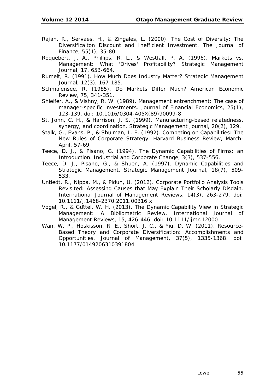- Rajan, R., Servaes, H., & Zingales, L. (2000). The Cost of Diversity: The Diversificaiton Discount and Inefficient Investment. *The Journal of Finance, 55*(1), 35-80.
- Roquebert, J. A., Phillips, R. L., & Westfall, P. A. (1996). Markets vs. Management: What 'Drives' Profitability? *Strategic Management Journal, 17*, 653-664.
- Rumelt, R. (1991). How Much Does Industry Matter? *Strategic Management Journal, 12*(3), 167-185.
- Schmalensee, R. (1985). Do Markets Differ Much? *American Economic Review, 75*, 341-351.
- Shleifer, A., & Vishny, R. W. (1989). Management entrenchment: The case of manager-specific investments. *Journal of Financial Economics, 25*(1), 123-139. doi: 10.1016/0304-405X(89)90099-8
- St. John, C. H., & Harrison, J. S. (1999). Manufacturing-based relatedness, synergy, and coordination. *Strategic Management Journal, 20*(2), 129.
- Stalk, G., Evans, P., & Shulman, L. E. (1992). Competing on Capabilities: The New Rules of Corporate Strategy. *Harvard Business Review, March-April*, 57-69.
- Teece, D. J., & Pisano, G. (1994). The Dynamic Capabilities of Firms: an Introduction. *Industrial and Corporate Change, 3*(3), 537-556.
- Teece, D. J., Pisano, G., & Shuen, A. (1997). Dynamic Capabilities and Strategic Management. *Strategic Management Journal, 18*(7), 509- 533.
- Untiedt, R., Nippa, M., & Pidun, U. (2012). Corporate Portfolio Analysis Tools Revisited: Assessing Causes that May Explain Their Scholarly Disdain. *International Journal of Management Reviews, 14*(3), 263-279. doi: 10.1111/j.1468-2370.2011.00316.x
- Vogel, R., & Güttel, W. H. (2013). The Dynamic Capability View in Strategic Management: A Bibliometric Review. *International Journal of Management Reviews, 15*, 426-446. doi: 10.1111/ijmr.12000
- Wan, W. P., Hoskisson, R. E., Short, J. C., & Yiu, D. W. (2011). Resource-Based Theory and Corporate Diversification: Accomplishments and Opportunities. *Journal of Management, 37*(5), 1335-1368. doi: 10.1177/0149206310391804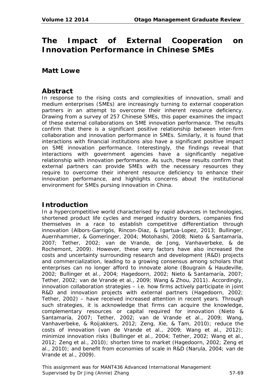# **The Impact of External Cooperation on Innovation Performance in Chinese SMEs**

### **Matt Lowe**

### **Abstract**

In response to the rising costs and complexities of innovation, small and medium enterprises (SMEs) are increasingly turning to external cooperation partners in an attempt to overcome their inherent resource deficiency. Drawing from a survey of 257 Chinese SMEs, this paper examines the impact of these external collaborations on SME innovation performance. The results confirm that there is a significant positive relationship between inter-firm collaboration and innovation performance in SMEs. Similarly, it is found that interactions with financial institutions also have a significant positive impact on SME innovation performance. Interestingly, the findings reveal that interactions with government agencies have a significantly negative relationship with innovation performance. As such, these results confirm that external partners can provide SMEs with the necessary resources they require to overcome their inherent resource deficiency to enhance their innovation performance, and highlights concerns about the institutional environment for SMEs pursing innovation in China.

# **Introduction**

In a hypercompetitive world characterised by rapid advances in technologies, shortened product life cycles and merged industry borders, companies find themselves in a race to establish competitive differentiation through innovation (Albors-Garrigós, Rincon-Diaz, & Igartua-Lopez, 2013; Bullinger, Auernhammer, & Gomeringer, 2004; Motohashi, 2008; Nieto & Santamaría, 2007; Tether, 2002; van de Vrande, de Jong, Vanhaverbeke, & de Rochemont, 2009). However, these very factors have also increased the costs and uncertainty surrounding research and development (R&D) projects and commercialization, leading to a growing consensus among scholars that enterprises can no longer afford to innovate alone (Bougrain & Haudeville, 2002; Bullinger et al., 2004; Hagedoorn, 2002; Nieto & Santamaría, 2007; Tether, 2002; van de Vrande et al., 2009; Wang & Zhou, 2011). Accordingly, innovation collaboration strategies – i.e. how firms actively participate in joint R&D and innovation projects with external partners (Hagedoorn, 2002; Tether, 2002) – have received increased attention in recent years. Through such strategies, it is acknowledge that firms can acquire the knowledge, complementary resources or capital required for innovation (Nieto & Santamaría, 2007; Tether, 2002; van de Vrande et al., 2009; Wang, Vanhaverbeke, & Roijakkers, 2012; Zeng, Xie, & Tam, 2010); reduce the costs of innovation (van de Vrande et al., 2009; Wang et al., 2012); minimize innovation risks (Bullinger et al., 2004; Tether, 2002; Wang et al., 2012; Zeng et al., 2010); shorten time to market (Hagedoorn, 2002; Zeng et al., 2010); and benefit from economies of scale in R&D (Narula, 2004; van de Vrande et al., 2009).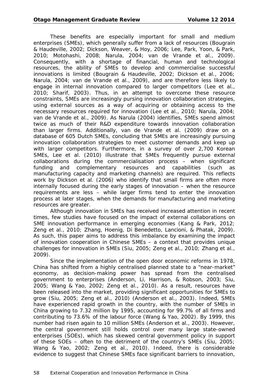These benefits are especially important for small and medium enterprises (SMEs), which generally suffer from a lack of resources (Bougrain & Haudeville, 2002; Dickson, Weaver, & Hoy, 2006; Lee, Park, Yoon, & Park, 2010; Motohashi, 2008; Narula, 2004; van de Vrande et al., 2009). Consequently, with a shortage of financial, human and technological resources, the ability of SMEs to develop and commercialise successful innovations is limited (Bougrain & Haudeville, 2002; Dickson et al., 2006; Narula, 2004; van de Vrande et al., 2009), and are therefore less likely to engage in internal innovation compared to larger competitors (Lee et al., 2010; Sharif, 2003). Thus, in an attempt to overcome these resource constraints, SMEs are increasingly pursing innovation collaboration strategies, using external sources as a way of acquiring or obtaining access to the necessary resources required for innovation (Lee et al., 2010; Narula, 2004; van de Vrande et al., 2009). As Narula (2004) identifies, SMEs spend almost twice as much of their R&D expenditure towards innovation collaboration than larger firms. Additionally, van de Vrande et al. (2009) draw on a database of 605 Dutch SMEs, concluding that SMEs are increasingly pursuing innovation collaboration strategies to meet customer demands and keep up with larger competitors. Furthermore, in a survey of over 2,700 Korean SMEs, Lee et al. (2010) illustrate that SMEs frequently pursue external collaborations during the commercialisation process – when significant funding and complementary resources and capabilities (such as manufacturing capacity and marketing channels) are required. This reflects work by Dickson et al. (2006) who identify that small firms are often more internally focused during the early stages of innovation – when the resource requirements are less – while larger firms tend to enter the innovation process at later stages, when the demands for manufacturing and marketing resources are greater.

Although innovation in SMEs has received increased attention in recent times, few studies have focused on the impact of external collaborations on SME innovation performance in emerging economies (Kang & Park, 2012; Zeng et al., 2010; Zhang, Hoenig, Di Benedetto, Lancioni, & Phatak, 2009). As such, this paper aims to address this imbalance by examining the impact of innovation cooperation in Chinese SMEs – a context that provides unique challenges for innovation in SMEs (Siu, 2005; Zeng et al., 2010; Zhang et al., 2009).

Since the implementation of the open door economic reforms in 1978, China has shifted from a highly centralised planned state to a "near-market" economy, as decision-making power has spread from the centralised government to enterprises (Anderson, Li, Harrison, & Robson, 2003; Siu, 2005; Wang & Yao, 2002; Zeng et al., 2010). As a result, resources have been released into the market, providing significant opportunities for SMEs to grow (Siu, 2005; Zeng et al., 2010) (Anderson et al., 2003). Indeed, SMEs have experienced rapid growth in the country, with the number of SMEs in China growing to 7.32 million by 1995, accounting for 99.7% of all firms and contributing to 73.6% of the labour force (Wang & Yao, 2002). By 1999, this number had risen again to 10 million SMEs (Anderson et al., 2003). However, the central government still holds control over many large state-owned enterprises (SOEs), which has skewed central government policy in support of these SOEs – often to the detriment of the country's SMEs (Siu, 2005; Wang & Yao, 2002; Zeng et al., 2010). Indeed, there is considerable evidence to suggest that Chinese SMEs face significant barriers to innovation,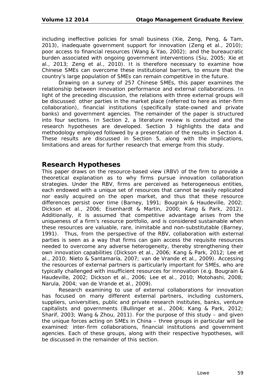including ineffective policies for small business (Xie, Zeng, Peng, & Tam, 2013), inadequate government support for innovation (Zeng et al., 2010); poor access to financial resources (Wang & Yao, 2002); and the bureaucratic burden associated with ongoing government interventions (Siu, 2005; Xie et al., 2013; Zeng et al., 2010). It is therefore necessary to examine how Chinese SMEs can overcome these institutional barriers, to ensure that the country's large population of SMEs can remain competitive in the future.

Drawing on a survey of 257 Chinese SMEs, this paper examines the relationship between innovation performance and external collaborations. In light of the preceding discussion, the relations with three external groups will be discussed: other parties in the market place (referred to here as inter-firm collaboration), financial institutions (specifically state-owned and private banks) and government agencies. The remainder of the paper is structured into four sections. In Section 2, a literature review is conducted and the research hypotheses are developed. Section 3 highlights the data and methodology employed followed by a presentation of the results in Section 4. These results are discussed in Section 5, along with the implications, limitations and areas for further research that emerge from this study.

### **Research Hypotheses**

This paper draws on the resource-based view (RBV) of the firm to provide a theoretical explanation as to why firms pursue innovation collaboration strategies. Under the RBV, firms are perceived as heterogeneous entities, each endowed with a unique set of resources that cannot be easily replicated nor easily acquired on the open market, and thus that these resource differences persist over time (Barney, 1991; Bougrain & Haudeville, 2002; Dickson et al., 2006; Eisenhardt & Martin, 2000; Kang & Park, 2012). Additionally, it is assumed that competitive advantage arises from the uniqueness of a firm's resource portfolio, and is considered *sustainable* when these resources are valuable, rare, inimitable and non-substitutable (Barney, 1991). Thus, from the perspective of the RBV, collaboration with external parties is seen as a way that firms can gain access the requisite resources needed to overcome any adverse heterogeneity, thereby strengthening their own innovation capabilities (Dickson et al., 2006; Kang & Park, 2012; Lee et al., 2010; Nieto & Santamaría, 2007; van de Vrande et al., 2009). Accessing the resources of external partners is particularly important for SMEs, who are typically challenged with insufficient resources for innovation (e.g. Bougrain & Haudeville, 2002; Dickson et al., 2006; Lee et al., 2010; Motohashi, 2008; Narula, 2004; van de Vrande et al., 2009).

Research examining to use of external collaborations for innovation has focused on many different external partners, including customers, suppliers, universities, public and private research institutes, banks, venture capitalists and governments (Bullinger et al., 2004; Kang & Park, 2012; Sharif, 2003; Wang & Zhou, 2011). For the purpose of this study – and given the unique forces acting on SMEs in China – three groups in particular will be examined: inter-firm collaborations, financial institutions and government agencies. Each of these groups, along with their respective hypotheses, will be discussed in the remainder of this section.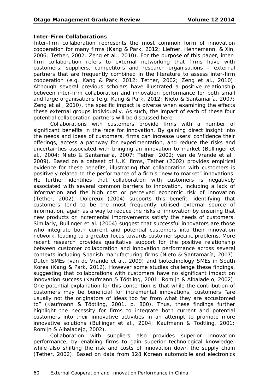#### **Inter-Firm Collaborations**

Inter-firm collaboration represents the most common form of innovation cooperation for many firms (Kang & Park, 2012; Liefner, Hennemann, & Xin, 2006; Tether, 2002; Zeng et al., 2010). For the purpose of this paper, interfirm collaboration refers to external networking that firms have with customers, suppliers, competitors and research organisations – external partners that are frequently combined in the literature to assess inter-firm cooperation (e.g. Kang & Park, 2012; Tether, 2002; Zeng et al., 2010). Although several previous scholars have illustrated a positive relationship between inter-firm collaboration and innovation performance for both small and large organisations (e.g. Kang & Park, 2012; Nieto & Santamaría, 2007; Zeng et al., 2010), the specific impact is diverse when examining the effects these external groups individually. As such, the impact of each of these four potential collaboration partners will be discussed here.

Collaborations with customers provide firms with a number of significant benefits in the race for innovation. By gaining direct insight into the needs and ideas of customers, firms can increase users' confidence their offerings, access a pathway for experimentation, and reduce the risks and uncertainties associated with bringing an innovation to market (Bullinger et al., 2004; Nieto & Santamaría, 2007; Tether, 2002; van de Vrande et al., 2009). Based on a dataset of U.K. firms, Tether (2002) provides empirical evidence for these benefits, illustrating that collaboration with customers is positively related to the performance of a firm's "new to market" innovations. He further identifies that collaboration with customers is negatively associated with several common barriers to innovation, including a lack of information and the high cost or perceived economic risk of innovation (Tether, 2002). Doloreux (2004) supports this benefit, identifying that customers tend to be the most frequently utilised external source of information, again as a way to reduce the risks of innovation by ensuring that new products or incremental improvements satisfy the needs of customers. Similarly, Bullinger et al. (2004) suggest that successful innovators are those who integrate both current and potential customers into their innovation network, leading to a greater focus towards customer specific problems. More recent research provides qualitative support for the positive relationship between customer collaboration and innovation performance across several contexts including Spanish manufacturing firms (Nieto & Santamaría, 2007), Dutch SMEs (van de Vrande et al., 2009) and biotechnology SMEs in South Korea (Kang & Park, 2012). However some studies challenge these findings, suggesting that collaborations with customers have no significant impact on innovation success (Kaufmann & Tödtling, 2001; Romijn & Albaladejo, 2002). One potential explanation for this contention is that while the contribution of customers may be beneficial for incremental innovations, customers "are usually not the originators of ideas too far from what they are accustomed to" (Kaufmann & Tödtling, 2001, p. 800). Thus, these findings further highlight the necessity for firms to integrate both current and potential customers into their innovative activities in an attempt to promote more innovative solutions (Bullinger et al., 2004; Kaufmann & Tödtling, 2001; Romijn & Albaladejo, 2002).

Collaboration with suppliers also provides superior innovation performance, by enabling firms to gain superior technological knowledge, while also shifting the risk and costs of innovation down the supply chain (Tether, 2002). Based on data from 128 Korean automobile and electronics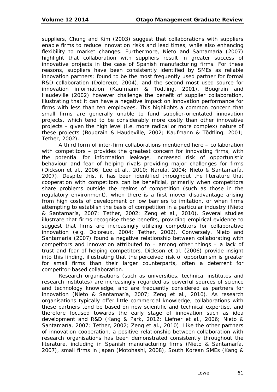suppliers, Chung and Kim (2003) suggest that collaborations with suppliers enable firms to reduce innovation risks and lead times, while also enhancing flexibility to market changes. Furthermore, Nieto and Santamaría (2007) highlight that collaboration with suppliers result in greater success of innovative projects in the case of Spanish manufacturing firms. For these reasons, suppliers have been consistently identified by SMEs as reliable innovation partners; found to be the most frequently used partner for formal R&D collaboration (Doloreux, 2004), and the second most used source for innovation information (Kaufmann & Tödtling, 2001). Bougrain and Haudeville (2002) however challenge the benefit of supplier collaboration, illustrating that it can have a negative impact on innovation performance for firms with less than ten employees. This highlights a common concern that small firms are generally unable to fund supplier-orientated innovation projects, which tend to be considerably more costly than other innovative projects – given the high level (i.e. more radical or more complex) nature of these projects (Bougrain & Haudeville, 2002; Kaufmann & Tödtling, 2001; Tether, 2002).

A third form of inter-firm collaborations mentioned here – collaboration with competitors – provides the greatest concern for innovating firms, with the potential for information leakage, increased risk of opportunistic behaviour and fear of helping rivals providing major challenges for firms (Dickson et al., 2006; Lee et al., 2010; Narula, 2004; Nieto & Santamaría, 2007). Despite this, it has been identified throughout the literature that cooperation with competitors can be beneficial, primarily when competitors share problems outside the realms of competition (such as those in the regulatory environment), when there is a first mover disadvantage arising from high costs of development or low barriers to imitation, or when firms attempting to establish the basis of competition in a particular industry (Nieto & Santamaría, 2007; Tether, 2002; Zeng et al., 2010). Several studies illustrate that firms recognise these benefits, providing empirical evidence to suggest that firms are increasingly utilizing competitors for collaborative innovation (e.g. Doloreux, 2004; Tether, 2002). Conversely, Nieto and Santamaría (2007) found a negative relationship between collaborating with competitors and innovation attributed to – among other things – a lack of trust and fear of helping competitors. Dickson et al. (2006) provide insight into this finding, illustrating that the perceived risk of opportunism is greater for small firms than their larger counterparts, often a deterrent for competitor-based collaboration.

Research organisations (such as universities, technical institutes and research institutes) are increasingly regarded as powerful sources of science and technology knowledge, and are frequently considered as partners for innovation (Nieto & Santamaría, 2007; Zeng et al., 2010). As research organisations typically offer little commercial knowledge, collaborations with these partners tend be based on new scientific and technical expertise, and therefore focused towards the early stage of innovation such as idea development and R&D (Kang & Park, 2012; Liefner et al., 2006; Nieto & Santamaría, 2007; Tether, 2002; Zeng et al., 2010). Like the other partners of innovation cooperation, a positive relationship between collaboration with research organisations has been demonstrated consistently throughout the literature, including in Spanish manufacturing firms (Nieto & Santamaría, 2007), small firms in Japan (Motohashi, 2008), South Korean SMEs (Kang &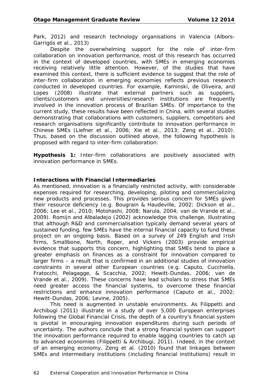Park, 2012) and research technology organisations in Valencia (Albors-Garrigós et al., 2013)

Despite the overwhelming support for the role of inter-firm collaboration on innovation performance, most of this research has occurred in the context of developed countries, with SMEs in emerging economies receiving relatively little attention. However, of the studies that have examined this context, there is sufficient evidence to suggest that the role of inter-firm collaboration in emerging economies reflects previous research conducted in developed countries. For example, Kaminski, de Oliveira, and Lopes (2008) illustrate that external partners such as suppliers, clients/customers and universities/research institutions are frequently involved in the innovation process of Brazilian SMEs. Of importance to the current study, these results have been reflected in China, with several studies demonstrating that collaborations with customers, suppliers, competitors and research organisations significantly contribute to innovation performance in Chinese SMEs (Liefner et al., 2006; Xie et al., 2013; Zeng et al., 2010). Thus, based on the discussion outlined above, the following hypothesis is proposed with regard to inter-firm collaboration:

**Hypothesis 1:** Inter-firm collaborations are positively associated with innovation performance in SMEs.

#### **Interactions with Financial Intermediaries**

As mentioned, innovation is a financially restricted activity, with considerable expenses required for researching, developing, piloting and commercializing new products and processes. This provides serious concern for SMEs given their resource deficiency (e.g. Bougrain & Haudeville, 2002; Dickson et al., 2006; Lee et al., 2010; Motohashi, 2008; Narula, 2004; van de Vrande et al., 2009). Romijn and Albaladejo (2002) acknowledge this challenge, illustrating that although R&D and commercialisation typically demand several years of sustained funding, few SMEs have the internal financial capacity to fund these project on an ongoing basis. Based on a survey of 249 English and Irish firms, Smallbone, North, Roper, and Vickers (2003) provide empirical evidence that supports this concern, highlighting that SMEs tend to place a greater emphasis on finances as a constraint for innovation compared to larger firms – a result that is confirmed in an additional studies of innovation constraints in several other European countries (e.g. Caputo, Cucchiella, Fratocchi, Pelagagge, & Scacchia, 2002; Hewitt-Dundas, 2006; van de Vrande et al., 2009). These concerns have lead scholars to stress that SMEs need greater access the financial systems, to overcome these financial restrictions and enhance innovation performance (Caputo et al., 2002; Hewitt-Dundas, 2006; Levine, 2005).

This need is augmented in unstable environments. As Filippetti and Archibugi (2011) illustrate in a study of over 5,000 European enterprises following the Global Financial Crisis, the depth of a country's financial system is pivotal in encouraging innovation expenditures during such periods of uncertainty. The authors conclude that a strong financial system can support the innovation performance required to enable lagging countries to catch up to advanced economies (Filippetti & Archibugi, 2011). Indeed, in the context of an emerging economy, Zeng et al. (2010) found that linkages between SMEs and intermediary institutions (including financial institutions) result in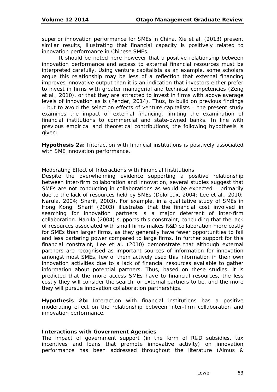superior innovation performance for SMEs in China. Xie et al. (2013) present similar results, illustrating that financial capacity is positively related to innovation performance in Chinese SMEs.

It should be noted here however that a positive relationship between innovation performance and access to external financial resources must be interpreted carefully. Using venture capitalists as an example, some scholars argue this relationship may be less of a reflection that external financing improves innovative output than it is an indication that investors either prefer to invest in firms with greater managerial and technical competencies (Zeng et al., 2010), or that they are attracted to invest in firms with above average levels of innovation as is (Pender, 2014). Thus, to build on previous findings – but to avoid the selection effects of venture capitalists – the present study examines the impact of external financing, limiting the examination of financial institutions to commercial and state-owned banks. In line with previous empirical and theoretical contributions, the following hypothesis is given:

**Hypothesis 2a:** Interaction with financial institutions is positively associated with SME innovation performance.

#### *Moderating Effect of Interactions with Financial Institutions*

Despite the overwhelming evidence supporting a positive relationship between inter-firm collaboration and innovation, several studies suggest that SMEs are not conducting in collaborations as would be expected – primarily due to the lack of resources held by SMEs (Doloreux, 2004; Lee et al., 2010; Narula, 2004; Sharif, 2003). For example, in a qualitative study of SMEs in Hong Kong, Sharif (2003) illustrates that the financial cost involved in searching for innovation partners is a major deterrent of inter-firm collaboration. Narula (2004) supports this constraint, concluding that the lack of resources associated with small firms makes R&D collaboration more costly for SMEs than larger firms, as they generally have fewer opportunities to fail and less bartering power compared to large firms. In further support for this financial constraint, Lee et al. (2010) demonstrate that although external partners are recognised as important sources of information for innovation amongst most SMEs, few of them actively used this information in their own innovation activities due to a lack of financial resources available to gather information about potential partners. Thus, based on these studies, it is predicted that the more access SMEs have to financial resources, the less costly they will consider the search for external partners to be, and the more they will pursue innovation collaboration partnerships.

**Hypothesis 2b:** Interaction with financial institutions has a positive moderating effect on the relationship between inter-firm collaboration and innovation performance.

#### **Interactions with Government Agencies**

The impact of government support (in the form of R&D subsidies, tax incentives and loans that promote innovative activity) on innovation performance has been addressed throughout the literature (Almus &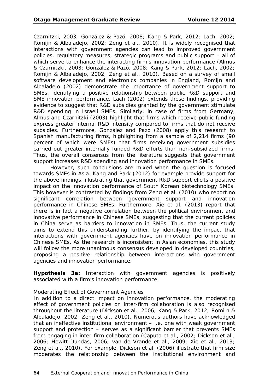Czarnitzki, 2003; González & Pazó, 2008; Kang & Park, 2012; Lach, 2002; Romijn & Albaladejo, 2002; Zeng et al., 2010). It is widely recognised that interactions with government agencies can lead to improved government policies, regulatory measures, strategic programs and public support – all of which serve to enhance the interacting firm's innovation performance (Almus & Czarnitzki, 2003; González & Pazó, 2008; Kang & Park, 2012; Lach, 2002; Romijn & Albaladejo, 2002; Zeng et al., 2010). Based on a survey of small software development and electronics companies in England, Romijn and Albaladejo (2002) demonstrate the importance of government support to SMEs, identifying a positive relationship between public R&D support and SME innovation performance. Lach (2002) extends these findings, providing evidence to suggest that R&D subsidies granted by the government stimulate R&D spending in Israeli SMEs. Similarly, in case of firms from Germany, Almus and Czarnitzki (2003) highlight that firms which receive public funding express greater internal R&D intensity compared to firms that do not receive subsidies. Furthermore, González and Pazó (2008) apply this research to Spanish manufacturing firms, highlighting from a sample of 2,214 firms (90 percent of which were SMEs) that firms receiving government subsidies carried out greater internally funded R&D efforts than non-subsidized firms. Thus, the overall consensus from the literature suggests that government support increases R&D spending and innovation performance in SMEs.

However, such conclusions are mixed when the question is focused towards SMEs in Asia. Kang and Park (2012) for example provide support for the above findings, illustrating that government R&D support elicits a positive impact on the innovation performance of South Korean biotechnology SMEs. This however is contrasted by findings from Zeng et al. (2010) who report no significant correlation between government support and innovation performance in Chinese SMEs. Furthermore, Xie et al. (2013) report that there is in fact a negative correlation between the political environment and innovative performance in Chinese SMEs, suggesting that the current policies in China serve as barriers to innovation in SMEs. Thus, the current study aims to extend this understanding further, by identifying the impact that interactions with government agencies have on innovation performance in Chinese SMEs. As the research is inconsistent in Asian economies, this study will follow the more unanimous consensus developed in developed countries, proposing a positive relationship between interactions with government agencies and innovation performance.

**Hypothesis 3a:** Interaction with government agencies is positively associated with a firm's innovation performance.

#### *Moderating Effect of Government Agencies*

In addition to a direct impact on innovation performance, the moderating effect of government policies on inter-firm collaboration is also recognised throughout the literature (Dickson et al., 2006; Kang & Park, 2012; Romijn & Albaladejo, 2002; Zeng et al., 2010). Numerous authors have acknowledged that an ineffective institutional environment – i.e. one with weak government support and protection – serves as a significant barrier that prevents SMEs from engaging in inter-firm collaboration (Caputo et al., 2002; Dickson et al., 2006; Hewitt-Dundas, 2006; van de Vrande et al., 2009; Xie et al., 2013; Zeng et al., 2010). For example, Dickson et al. (2006) illustrate that firm size moderates the relationship between the institutional environment and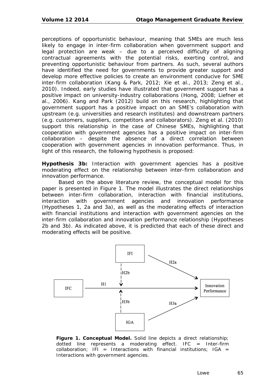perceptions of opportunistic behaviour, meaning that SMEs are much less likely to engage in inter-firm collaboration when government support and legal protection are weak – due to a perceived difficulty of aligning contractual agreements with the potential risks, exerting control, and preventing opportunistic behaviour from partners. As such, several authors have identified the need for governments to provide greater support and develop more effective policies to create an environment conducive for SME inter-firm collaboration (Kang & Park, 2012; Xie et al., 2013; Zeng et al., 2010). Indeed, early studies have illustrated that government support has a positive impact on university-industry collaborations (Hong, 2008; Liefner et al., 2006). Kang and Park (2012) build on this research, highlighting that government support has a positive impact on an SME's collaboration with upstream (e.g. universities and research institutes) and downstream partners (e.g. customers, suppliers, competitors and collaborators). Zeng et al. (2010) support this relationship in the case of Chinese SMEs, highlighting that cooperation with government agencies has a positive impact on inter-firm collaboration – despite the absence of a direct correlation between cooperation with government agencies in innovation performance. Thus, in light of this research, the following hypothesis is proposed:

**Hypothesis 3b:** Interaction with government agencies has a positive moderating effect on the relationship between inter-firm collaboration and innovation performance.

Based on the above literature review, the conceptual model for this paper is presented in *Figure 1*. The model illustrates the direct relationships between inter-firm collaboration, interaction with financial institutions, interaction with government agencies and innovation performance (Hypotheses 1, 2a and 3a), as well as the moderating effects of interaction with financial institutions and interaction with government agencies on the inter-firm collaboration and innovation performance relationship (Hypotheses 2b and 3b). As indicated above, it is predicted that each of these direct and moderating effects will be positive.



**Figure 1. Conceptual Model.** *Solid line depicts a direct relationship; dotted line represents a moderating effect. IFC = Inter-firm collaboration; IFI = Interactions with financial institutions; IGA = Interactions with government agencies.*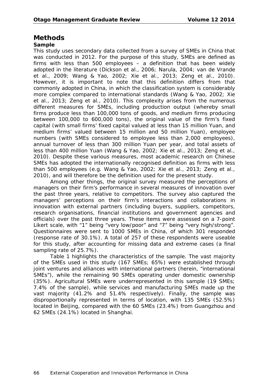### **Methods**

### **Sample**

This study uses secondary data collected from a survey of SMEs in China that was conducted in 2012. For the purpose of this study, SMEs are defined as firms with less than 500 employees – a definition that has been widely adopted in the literature (Dickson et al., 2006; Narula, 2004; van de Vrande et al., 2009; Wang & Yao, 2002; Xie et al., 2013; Zeng et al., 2010). However, it is important to note that this definition differs from that commonly adopted in China, in which the classification system is considerably more complex compared to international standards (Wang & Yao, 2002; Xie et al., 2013; Zeng et al., 2010). This complexity arises from the numerous different measures for SMEs, including production output (whereby small firms produce less than 100,000 tons of goods, and medium firms producing between 100,000 to 600,000 tons), the original value of the firm's fixed capital (with small firms' fixed capital valued at less than 15 million Yuan, and medium firms' valued between 15 million and 50 million Yuan), employee numbers (with SMEs considered to employee less than 2,000 employees), annual turnover of less than 300 million Yuan per year, and total assets of less than 400 million Yuan (Wang & Yao, 2002; Xie et al., 2013; Zeng et al., 2010). Despite these various measures, most academic research on Chinese SMEs has adopted the internationally recognised definition as firms with less than 500 employees (e.g. Wang & Yao, 2002; Xie et al., 2013; Zeng et al., 2010), and will therefore be the definition used for the present study.

Among other things, the original survey measured the perceptions of managers on their firm's performance in several measures of innovation over the past three years, relative to competitors. The survey also captured the managers' perceptions on their firm's interactions and collaborations in innovation with external partners (including buyers, suppliers, competitors, research organisations, financial institutions and government agencies and officials) over the past three years. These items were assessed on a 7-point Likert scale, with "1" being "very low/poor" and "7" being "very high/strong". Questionnaires were sent to 1000 SMEs in China, of which 301 responded (response rate of 30.1%). A total of 257 of these respondents were useable for this study, after accounting for missing data and extreme cases (a final sampling rate of 25.7%).

*Table 1* highlights the characteristics of the sample. The vast majority of the SMEs used in this study (167 SMEs; 65%) were established through joint ventures and alliances with international partners (herein, "international SMEs"), while the remaining 90 SMEs operating under domestic ownership (35%). Agricultural SMEs were underrepresented in this sample (19 SMEs; 7.4% of the sample), while services and manufacturing SMEs made up the vast majority (41.2% and 51.4% respectively). Finally, the sample was disproportionally represented in terms of location, with 135 SMEs (52.5%) located in Beijing, compared with the 60 SMEs (23.4%) from Guangzhou and 62 SMEs (24.1%) located in Shanghai.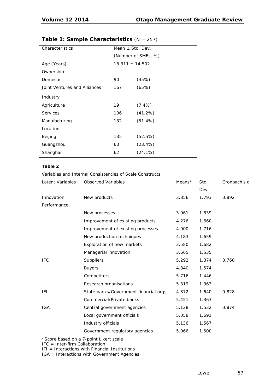| Characteristics              | Mean $\pm$ Std. Dev. |            |  |
|------------------------------|----------------------|------------|--|
|                              | (Number of SMEs, %)  |            |  |
| Age (Years)                  | $18.311 \pm 14.502$  |            |  |
| Ownership                    |                      |            |  |
| Domestic                     | 90                   | (35%)      |  |
| Joint Ventures and Alliances | 167                  | (65%)      |  |
| Industry                     |                      |            |  |
| Agriculture                  | 19                   | $(7.4\%)$  |  |
| <b>Services</b>              | 106                  | (41.2%)    |  |
| Manufacturing                | 132                  | $(51.4\%)$ |  |
| Location                     |                      |            |  |
| Beijing                      | 135                  | (52.5%)    |  |
| Guangzhou                    | 60                   | $(23.4\%)$ |  |
| Shanghai                     | 62                   | $(24.1\%)$ |  |

### **Table 1: Sample Characteristics** (*N* = 257)

#### **Table 2**

Variables and Internal Consistencies of Scale Constructs

| Latent Variables | <b>Observed Variables</b>              | Means <sup>a</sup> | Std.  | Cronbach's a |
|------------------|----------------------------------------|--------------------|-------|--------------|
|                  |                                        |                    | Dev.  |              |
| Innovation       | New products                           | 3.856              | 1.793 | 0.892        |
| Performance      |                                        |                    |       |              |
|                  | New processes                          | 3.961              | 1.839 |              |
|                  | Improvement of existing products       | 4.276              | 1.660 |              |
|                  | Improvement of existing processes      | 4.000              | 1.716 |              |
|                  | New production techniques              | 4.183              | 1.659 |              |
|                  | Exploration of new markets             | 3.580              | 1.682 |              |
|                  | Managerial innovation                  | 3.665              | 1.535 |              |
| <b>IFC</b>       | Suppliers                              | 5.292              | 1.374 | 0.760        |
|                  | <b>Buyers</b>                          | 4.840              | 1.574 |              |
|                  | Competitors                            | 5.716              | 1.446 |              |
|                  | Research organisations                 | 5.319              | 1.363 |              |
| IFI.             | State banks/Government financial orgs. | 4.872              | 1.640 | 0.828        |
|                  | Commercial/Private banks               | 5.451              | 1.363 |              |
| <b>IGA</b>       | Central government agencies            | 5.128              | 1.532 | 0.874        |
|                  | Local government officials             | 5.058              | 1.691 |              |
|                  | Industry officials                     | 5.136              | 1.567 |              |
|                  | Government regulatory agencies         | 5.066              | 1.500 |              |

a Score based on a 7-point Likert scale

 $IFC = Inter-firm$  Collaboration

IFI = Interactions with Financial Institutions

IGA = Interactions with Government Agencies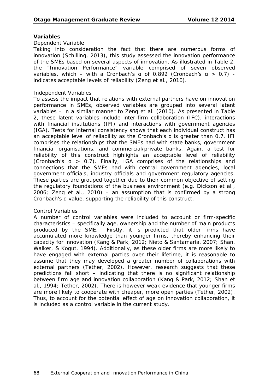#### **Variables**

#### *Dependent Variable*

Taking into consideration the fact that there are numerous forms of innovation (Schilling, 2013), this study assessed the innovation performance of the SMEs based on several aspects of innovation. As illustrated in *Table 2*, the "Innovation Performance" variable comprised of seven observed variables, which – with a Cronbach's a of 0.892 (Cronbach's  $a > 0.7$ ) indicates acceptable levels of reliability (Zeng et al., 2010).

#### *Independent Variables*

To assess the impact that relations with external partners have on innovation performance in SMEs, observed variables are grouped into several latent variables – in a similar manner to Zeng et al. (2010). As presented in *Table 2*, these latent variables include inter-firm collaboration (IFC), interactions with financial institutions (IFI) and interactions with government agencies (IGA). Tests for internal consistency shows that each individual construct has an acceptable level of reliability as the Cronbach's α is greater than 0.7. IFI comprises the relationships that the SMEs had with state banks, government financial organisations, and commercial/private banks. Again, a test for reliability of this construct highlights an acceptable level of reliability (Cronbach's α > 0.7). Finally, IGA comprises of the relationships and connections that the SMEs had with central government agencies, local government officials, industry officials and government regulatory agencies. These parties are grouped together due to their common objective of setting the regulatory foundations of the business environment (e.g. Dickson et al., 2006; Zeng et al., 2010) – an assumption that is confirmed by a strong Cronbach's α value, supporting the reliability of this construct.

#### *Control Variables*

A number of control variables were included to account or firm-specific characteristics – specifically age, ownership and the number of main products produced by the SME. Firstly, it is predicted that older firms have accumulated more knowledge than younger firms, thereby enhancing their capacity for innovation (Kang & Park, 2012; Nieto & Santamaría, 2007; Shan, Walker, & Kogut, 1994). Additionally, as these older firms are more likely to have engaged with external parties over their lifetime, it is reasonable to assume that they may developed a greater number of collaborations with external partners (Tether, 2002). However, research suggests that these predictions fall short – indicating that there is no significant relationship between firm age and innovation collaboration (Kang & Park, 2012; Shan et al., 1994; Tether, 2002). There is however weak evidence that younger firms are more likely to cooperate with cheaper, more open parties (Tether, 2002). Thus, to account for the potential effect of age on innovation collaboration, it is included as a control variable in the current study.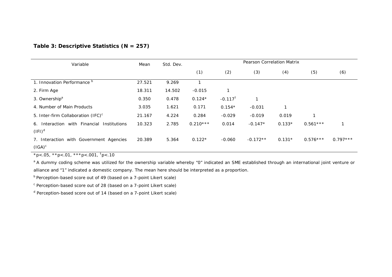#### **Table 3: Descriptive Statistics (***N* **= 257)**

| Variable                                                | Mean   | Std. Dev. | <b>Pearson Correlation Matrix</b> |                       |            |          |            |            |
|---------------------------------------------------------|--------|-----------|-----------------------------------|-----------------------|------------|----------|------------|------------|
|                                                         |        |           | (1)                               | (2)                   | (3)        | (4)      | (5)        | (6)        |
| 1. Innovation Performance <sup>b</sup>                  | 27.521 | 9.269     | $\overline{1}$                    |                       |            |          |            |            |
| 2. Firm Age                                             | 18.311 | 14.502    | $-0.015$                          |                       |            |          |            |            |
| 3. Ownership <sup>a</sup>                               | 0.350  | 0.478     | $0.124*$                          | $-0.117$ <sup>t</sup> |            |          |            |            |
| 4. Number of Main Products                              | 3.035  | 1.621     | 0.171                             | $0.154*$              | $-0.031$   | 1        |            |            |
| 5. Inter-firm Collaboration (IFC) <sup>c</sup>          | 21.167 | 4.224     | 0.284                             | $-0.029$              | $-0.019$   | 0.019    |            |            |
| 6. Interaction with Financial Institutions<br>$(IFI)^d$ | 10.323 | 2.785     | $0.210***$                        | 0.014                 | $-0.147*$  | $0.133*$ | $0.561***$ |            |
| 7. Interaction with Government Agencies<br>$(IGA)^c$    | 20.389 | 5.364     | $0.122*$                          | $-0.060$              | $-0.172**$ | $0.131*$ | $0.576***$ | $0.797***$ |

\**p*<.05, \*\**p*<.01*,* \*\*\**p*<.001, † *p*<.10

<sup>a</sup> A dummy coding scheme was utilized for the ownership variable whereby "0" indicated an SME established through an international joint venture or alliance and "1" indicated a domestic company. The mean here should be interpreted as a proportion.

 $b$  Perception-based score out of 49 (based on a 7-point Likert scale)

 $c$  Perception-based score out of 28 (based on a 7-point Likert scale)

<sup>d</sup> Perception-based score out of 14 (based on a 7-point Likert scale)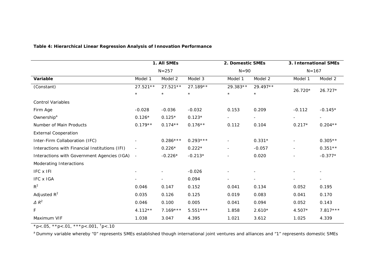|                                                | 1. All SMEs<br>$N = 257$ |                |            | 2. Domestic SMEs |                | 3. International SMEs<br>$N = 167$ |                          |  |
|------------------------------------------------|--------------------------|----------------|------------|------------------|----------------|------------------------------------|--------------------------|--|
|                                                |                          |                |            | $N = 90$         |                |                                    |                          |  |
| Variable                                       | Model 1                  | Model 2        | Model 3    | Model 1          | Model 2        | Model 1                            | Model 2                  |  |
| (Constant)                                     | $27.521**$               | $27.521**$     | 27.189**   | 29.383**         | 29.497**       |                                    |                          |  |
|                                                | $\star$                  | $\star$        | $\star$    | $\star$          | $\star$        | 26.720*                            | $26.727*$                |  |
| <b>Control Variables</b>                       |                          |                |            |                  |                |                                    |                          |  |
| Firm Age                                       | $-0.028$                 | $-0.036$       | $-0.032$   | 0.153            | 0.209          | $-0.112$                           | $-0.145*$                |  |
| Ownership <sup>a</sup>                         | $0.126*$                 | $0.125*$       | $0.123*$   | $\blacksquare$   | $\blacksquare$ |                                    | $\blacksquare$           |  |
| Number of Main Products                        | $0.179**$                | $0.174**$      | $0.176**$  | 0.112            | 0.104          | $0.217*$                           | $0.204**$                |  |
| <b>External Cooperation</b>                    |                          |                |            |                  |                |                                    |                          |  |
| Inter-Firm Collaboration (IFC)                 |                          | $0.286***$     | $0.293***$ | $\overline{a}$   | $0.331*$       |                                    | $0.305**$                |  |
| Interactions with Financial Institutions (IFI) | $\overline{\phantom{a}}$ | $0.226*$       | $0.222*$   | $\blacksquare$   | $-0.057$       |                                    | $0.351**$                |  |
| Interactions with Government Agencies (IGA)    | $\blacksquare$           | $-0.226*$      | $-0.213*$  |                  | 0.020          |                                    | $-0.377*$                |  |
| Moderating Interactions                        |                          |                |            |                  |                |                                    |                          |  |
| IFC x IFI                                      |                          |                | $-0.026$   |                  |                |                                    |                          |  |
| <b>IFC x IGA</b>                               |                          | $\blacksquare$ | 0.094      | $\blacksquare$   | $\blacksquare$ |                                    | $\overline{\phantom{a}}$ |  |
| $R^2$                                          | 0.046                    | 0.147          | 0.152      | 0.041            | 0.134          | 0.052                              | 0.195                    |  |
| Adjusted $R^2$                                 | 0.035                    | 0.126          | 0.125      | 0.019            | 0.083          | 0.041                              | 0.170                    |  |
| $\triangle R^2$                                | 0.046                    | 0.100          | 0.005      | 0.041            | 0.094          | 0.052                              | 0.143                    |  |
| F                                              | $4.112**$                | $7.169***$     | $5.551***$ | 1.858            | $2.610*$       | 4.507*                             | $7.817***$               |  |
| Maximum VIF                                    | 1.038                    | 3.047          | 4.395      | 1.021            | 3.612          | 1.025                              | 4.339                    |  |

#### **Table 4: Hierarchical Linear Regression Analysis of Innovation Performance**

\**p*<.05, \*\**p*<.01*,* \*\*\**p*<.001, † *p*<.10

<sup>a</sup> Dummy variable whereby "0" represents SMEs established though international joint ventures and alliances and "1" represents domestic SMEs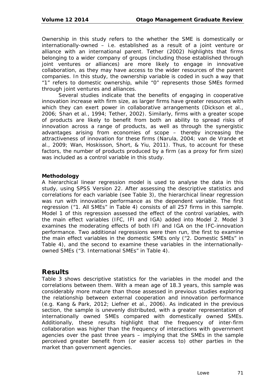Ownership in this study refers to the whether the SME is domestically or internationally-owned – i.e. established as a result of a joint venture or alliance with an international parent. Tether (2002) highlights that firms belonging to a wider company of groups (including those established through joint ventures or alliances) are more likely to engage in innovative collaboration, as they may have access to the wider resources of the parent companies. In this study, the ownership variable is coded in such a way that "1" refers to domestic ownership, while "0" represents those SMEs formed through joint ventures and alliances.

Several studies indicate that the benefits of engaging in cooperative innovation increase with firm size, as larger firms have greater resources with which they can exert power in collaborative arrangements (Dickson et al., 2006; Shan et al., 1994; Tether, 2002). Similarly, firms with a greater scope of products are likely to benefit from both an ability to spread risks of innovation across a range of products, as well as through the synergistic advantages arising from economies of scope – thereby increasing the attractiveness of innovation for these firms (Narula, 2004; van de Vrande et al., 2009; Wan, Hoskisson, Short, & Yiu, 2011). Thus, to account for these factors, the number of products produced by a firm (as a proxy for firm size) was included as a control variable in this study.

### **Methodology**

A hierarchical linear regression model is used to analyse the data in this study, using SPSS Version 22. After assessing the descriptive statistics and correlations for each variable (see *Table 3*), the hierarchical linear regression was run with innovation performance as the dependent variable. The first regression ("1. All SMEs" in *Table 4*) consists of all 257 firms in this sample. Model 1 of this regression assessed the effect of the control variables, with the main effect variables (IFC, IFI and IGA) added into Model 2. Model 3 examines the moderating effects of both IFI and IGA on the IFC-innovation performance. Two additional regressions were then run, the first to examine the main effect variables in the domestic SMEs only ("2. Domestic SMEs" in *Table 4*), and the second to examine these variables in the internationallyowned SMEs ("3. International SMEs" in *Table 4*).

## **Results**

*Table 3* shows descriptive statistics for the variables in the model and the correlations between them. With a mean age of 18.3 years, this sample was considerably more mature than those assessed in previous studies exploring the relationship between external cooperation and innovation performance (e.g. Kang & Park, 2012; Liefner et al., 2006). As indicated in the previous section, the sample is unevenly distributed, with a greater representation of internationally owned SMEs compared with domestically owned SMEs. Additionally, these results highlight that the frequency of inter-firm collaboration was higher than the frequency of interactions with government agencies over the past three years – implying that the SMEs in the sample perceived greater benefit from (or easier access to) other parties in the market than government agencies.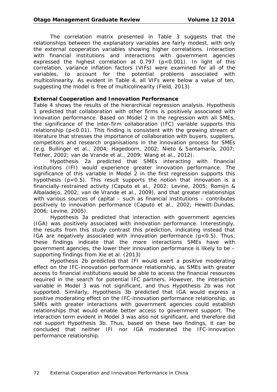The correlation matrix presented in *Table 3* suggests that the relationships between the explanatory variables are fairly modest, with only the external cooperation variables showing higher correlations. Interaction with financial institutions and interactions with government agencies expressed the highest correlation at  $0.797$  ( $p < 0.001$ ). In light of this correlation, variance inflation factors (VIFs) were examined for all of the variables, to account for the potential problems associated with multicolinearity. As evident in *Table 4*, all VIFs were below a value of ten, suggesting the model is free of multicolinearity (Field, 2013)

### **External Cooperation and Innovation Performance**

*Table 4* shows the results of the hierarchical regression analysis. Hypothesis 1 predicted that collaboration with other firms is positively associated with innovation performance. Based on Model 2 in the regression with all SMEs, the significance of the inter-firm collaboration (IFC) variable supports this relationship ( $p < 0.01$ ). This finding is consistent with the growing stream of literature that stresses the importance of collaboration with buyers, suppliers, competitors and research organisations in the innovation process for SMEs (e.g. Bullinger et al., 2004; Hagedoorn, 2002; Nieto & Santamaría, 2007; Tether, 2002; van de Vrande et al., 2009; Wang et al., 2012).

Hypothesis 2a predicted that SMEs interacting with financial institutions (IFI) would experience greater innovation performance. The significance of this variable in Model 2 in the first regression supports this hypothesis ( $p < 0.5$ ). This result supports the notion that innovation is a financially-restrained activity (Caputo et al., 2002; Levine, 2005; Romijn & Albaladejo, 2002; van de Vrande et al., 2009), and that greater relationships with various sources of capital – such as financial institutions – contributes positively to innovation performance (Caputo et al., 2002; Hewitt-Dundas, 2006; Levine, 2005).

Hypothesis 3a predicted that interaction with government agencies (IGA) was positively associated with innovation performance. Interestingly, the results from this study contrast this prediction, indicating instead that IGA are negatively associated with innovation performance  $(p<0.5)$ . Thus, these findings indicate that the more interactions SMEs have with government agencies, the lower their innovation performance is likely to be – supporting findings from Xie et al. (2013)

Hypothesis 2b predicted that IFI would exert a positive moderating effect on the IFC-innovation performance relationship, as SMEs with greater access to financial institutions would be able to access the financial resources required in the search for potential IFC partners. However, the interaction variable in Model 3 was not significant, and thus Hypothesis 2b was not supported. Similarly, Hypothesis 3b predicted that IGA would express a positive moderating effect on the IFC-innovation performance relationship, as SMEs with greater interactions with government agencies could establish relationships that would enable better access to government support. The interaction term evident in Model 3 was also not significant, and therefore did not support Hypothesis 3b. Thus, based on these two findings, it can be concluded that neither IFI nor IGA moderated the IFC-innovation performance relationship.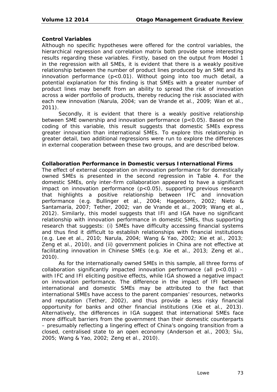### **Control Variables**

Although no specific hypotheses were offered for the control variables, the hierarchical regression and correlation matrix both provide some interesting results regarding these variables. Firstly, based on the output from Model 1 in the regression with all SMEs, it is evident that there is a weakly positive relationship between the number of product lines produced by an SME and its innovation performance  $(p<0.01)$ . Without going into too much detail, a potential explanation for this finding is that SMEs with a greater number of product lines may benefit from an ability to spread the risk of innovation across a wider portfolio of products, thereby reducing the risk associated with each new innovation (Narula, 2004; van de Vrande et al., 2009; Wan et al., 2011).

Secondly, it is evident that there is a weakly positive relationship between SME ownership and innovation performance (p<0.05). Based on the coding of this variable, this result suggests that domestic SMEs express greater innovation than international SMEs. To explore this relationship in greater detail, two additional regressions were run to explore the differences in external cooperation between these two groups, and are described below.

### **Collaboration Performance in Domestic versus International Firms**

The effect of external cooperation on innovation performance for domestically owned SMEs is presented in the second regression in *Table 4*. For the domestic SMEs, only inter-firm collaboration appeared to have a significant impact on innovation performance (p<0.05), supporting previous research that highlights a positive relationship between IFC and innovation performance (e.g. Bullinger et al., 2004; Hagedoorn, 2002; Nieto & Santamaría, 2007; Tether, 2002; van de Vrande et al., 2009; Wang et al., 2012). Similarly, this model suggests that IFI and IGA have no significant relationship with innovation performance in domestic SMEs, thus supporting research that suggests: (i) SMEs have difficulty accessing financial systems and thus find it difficult to establish relationships with financial institutions (e.g. Lee et al., 2010; Narula, 2004; Wang & Yao, 2002; Xie et al., 2013; Zeng et al., 2010), and (ii) government policies in China are not effective at facilitating innovation in Chinese SMEs (e.g. Xie et al., 2013; Zeng et al., 2010).

As for the internationally owned SMEs in this sample, all three forms of collaboration significantly impacted innovation performance (all  $p<0.01$ ) – with IFC and IFI eliciting positive effects, while IGA showed a negative impact on innovation performance. The difference in the impact of IFI between international and domestic SMEs may be attributed to the fact that international SMEs have access to the parent companies' resources, networks and reputation (Tether, 2002), and thus provide a less risky financial opportunity for banks and other financial institutions (Xie et al., 2013). Alternatively, the differences in IGA suggest that international SMEs face more difficult barriers from the government than their domestic counterparts – presumably reflecting a lingering effect of China's ongoing transition from a closed, centralised state to an open economy (Anderson et al., 2003; Siu, 2005; Wang & Yao, 2002; Zeng et al., 2010).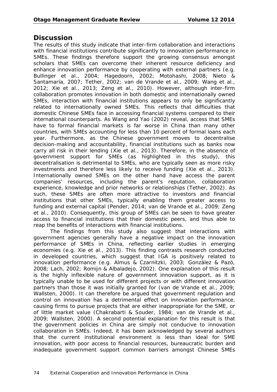# **Discussion**

The results of this study indicate that inter-firm collaboration and interactions with financial institutions contribute significantly to innovation performance in SMEs. These findings therefore support the growing consensus amongst scholars that SMEs can overcome their inherent resource deficiency and enhance innovation performance by cooperating with external partners (e.g. Bullinger et al., 2004; Hagedoorn, 2002; Motohashi, 2008; Nieto & Santamaría, 2007; Tether, 2002; van de Vrande et al., 2009; Wang et al., 2012; Xie et al., 2013; Zeng et al., 2010). However, although inter-firm collaboration promotes innovation in both domestic and internationally owned SMEs, interaction with financial institutions appears to only be significantly related to internationally owned SMEs. This reflects that difficulties that domestic Chinese SMEs face in accessing financial systems compared to their international counterparts. As Wang and Yao (2002) reveal, access that SMEs have to formal financial markets is far worse in China than many other countries, with SMEs accounting for less than 10 percent of formal loans each year. Furthermore, as the Chinese government moves to decentralise decision-making and accountability, financial institutions such as banks now carry all risk in their lending (Xie et al., 2013). Therefore, in the absence of government support for SMEs (as highlighted in this study), this decentralisation is detrimental to SMEs, who are typically seen as more risky investments and therefore less likely to receive funding (Xie et al., 2013). Internationally owned SMEs on the other hand have access the parent companies' resources, including the parent's reputation, collaboration experience, knowledge and prior networks or relationships (Tether, 2002). As such, these SMEs are often more attractive to investors and financial institutions that other SMEs, typically enabling them greater access to funding and external capital (Pender, 2014; van de Vrande et al., 2009; Zeng et al., 2010). Consequently, this group of SMEs can be seen to have greater access to financial institutions that their domestic peers, and thus able to reap the benefits of interactions with financial institutions.

The findings from this study also suggest that interactions with government agencies generally have a negative impact on the innovation performance of SMEs in China, reflecting earlier studies in emerging economies (e.g. Xie et al., 2013). This finding contrasts research conducted in developed countries, which suggest that IGA is positively related to innovation performance (e.g. Almus & Czarnitzki, 2003; González & Pazó, 2008; Lach, 2002; Romijn & Albaladejo, 2002). One explanation of this result is the highly inflexible nature of government innovation support, as it is typically unable to be used for different projects or with different innovation partners than those it was initially granted for (van de Vrande et al., 2009; Wallsten, 2000). It can therefore be argued that government regulation and control on innovation has a detrimental effect on innovation performance, causing firms to pursue projects that are either inappropriate for the SME, or of little market value (Chakrabarti & Souder, 1984; van de Vrande et al., 2009; Wallsten, 2000). A second potential explanation for this result is that the government policies in China are simply not conducive to innovation collaboration in SMEs. Indeed, it has been acknowledged by several authors that the current institutional environment is less than ideal for SME innovation, with poor access to financial resources, bureaucratic burden and inadequate government support common barriers amongst Chinese SMEs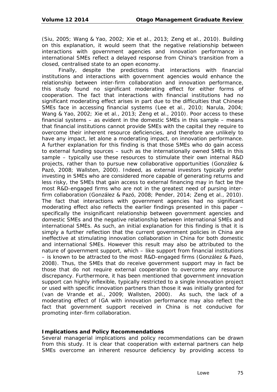(Siu, 2005; Wang & Yao, 2002; Xie et al., 2013; Zeng et al., 2010). Building on this explanation, it would seem that the negative relationship between interactions with government agencies and innovation performance in international SMEs reflect a delayed response from China's transition from a closed, centralised state to an open economy.

Finally, despite the predictions that interactions with financial institutions and interactions with government agencies would enhance the relationship between inter-firm collaboration and innovation performance, this study found no significant moderating effect for either forms of cooperation. The fact that interactions with financial institutions had no significant moderating effect arises in part due to the difficulties that Chinese SMEs face in accessing financial systems (Lee et al., 2010; Narula, 2004; Wang & Yao, 2002; Xie et al., 2013; Zeng et al., 2010). Poor access to these financial systems – as evident in the domestic SMEs in this sample – means that financial institutions cannot provide SMEs with the capital they require to overcome their inherent resource deficiencies, and therefore are unlikely to have any impact, let alone a moderating impact, on innovation performance. A further explanation for this finding is that those SMEs who do gain access to external funding sources – such as the internationally owned SMEs in this sample – typically use these resources to stimulate their own internal R&D projects, rather than to pursue new collaborative opportunities (González & Pazó, 2008; Wallsten, 2000). Indeed, as external investors typically prefer investing in SMEs who are considered more capable of generating returns and less risky, the SMEs that gain access to external financing may in fact be the most R&D-engaged firms who are not in the greatest need of pursing interfirm collaboration (González & Pazó, 2008; Pender, 2014; Zeng et al., 2010). The fact that interactions with government agencies had no significant moderating effect also reflects the earlier findings presented in this paper – specifically the insignificant relationship between government agencies and domestic SMEs and the negative relationship between international SMEs and international SMEs. As such, an initial explanation for this finding is that it is simply a further reflection that the current government policies in China are ineffective at stimulating innovation collaboration in China for both domestic and international SMEs. However this result may also be attributed to the nature of government support, which – like support from financial institutions – is known to be attracted to the most R&D-engaged firms (González & Pazó, 2008). Thus, the SMEs that do receive government support may in fact be those that do not require external cooperation to overcome any resource discrepancy. Furthermore, it has been mentioned that government innovation support can highly inflexible, typically restricted to a single innovation project or used with specific innovation partners than those it was initially granted for (van de Vrande et al., 2009; Wallsten, 2000). As such, the lack of a moderating effect of IGA with innovation performance may also reflect the fact that government support received in China is not conducive for promoting inter-firm collaboration.

### **Implications and Policy Recommendations**

Several managerial implications and policy recommendations can be drawn from this study. It is clear that cooperation with external partners can help SMEs overcome an inherent resource deficiency by providing access to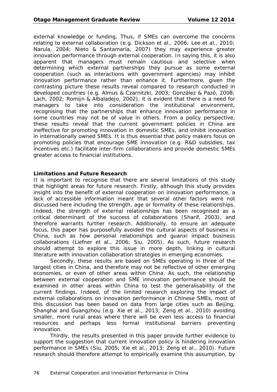external knowledge or funding. Thus, if SMEs can overcome the concerns relating to external collaboration (e.g. Dickson et al., 2006; Lee et al., 2010; Narula, 2004; Nieto & Santamaría, 2007) they may experience greater innovation performance through external cooperation. In saying this, it is also apparent that managers must remain cautious and selective when determining which external partnerships they pursue as some external cooperation (such as interactions with government agencies) may inhibit innovation performance rather than enhance it. Furthermore, given the contrasting picture these results reveal compared to research conducted in developed countries (e.g. Almus & Czarnitzki, 2003; González & Pazó, 2008; Lach, 2002; Romijn & Albaladejo, 2002), it is evident that there is a need for managers to take into consideration the institutional environment, recognising that the partnerships that enhance innovation performance in some countries may not be of value in others. From a policy perspective, these results reveal that the current government policies in China are ineffective for promoting innovation in domestic SMEs, and inhibit innovation in internationally owned SMEs. It is thus essential that policy makers focus on promoting policies that encourage SME innovation (e.g. R&D subsidies, tax incentives etc.) facilitate inter-firm collaborations and provide domestic SMEs greater access to financial institutions.

### **Limitations and Future Research**

It is important to recognise that there are several limitations of this study that highlight areas for future research. Firstly, although this study provides insight into the benefit of external cooperation on innovation performance, a lack of accessible information meant that several other factors were not discussed here including the strength, age or formality of these relationships. Indeed, the strength of external relationships has been recognised as a critical determinant of the success of collaborations (Sharif, 2003), and therefore warrants further research. Additionally, to ensure an adequate focus, this paper has purposefully avoided the cultural aspects of business in China, such as how personal relationships and *guanxi* impact business collaborations (Liefner et al., 2006; Siu, 2005). As such, future research should attempt to explore this issue in more depth, linking in cultural literature with innovation collaboration strategies in emerging economies.

Secondly, these results are based on SMEs operating in three of the largest cities in China, and therefore may not be reflective of other emerging economies, or even of other areas within China. As such, the relationship between external cooperation and SME innovation performance should be examined in other areas within China to test the generalisability of the current findings. Indeed, of the limited research exploring the impact of external collaborations on innovation performance in Chinese SMEs, most of this discussion has been based on data from large cities such as Beijing, Shanghai and Guangzhou (e.g. Xie et al., 2013; Zeng et al., 2010) avoiding smaller, more rural areas where there will be even less access to financial resources and perhaps less formal institutional barriers preventing innovation.

Thirdly, the results presented in this paper provide further evidence to support the suggestion that current innovation policy is hindering innovation performance in SMEs (Siu, 2005; Xie et al., 2013; Zeng et al., 2010). Future research should therefore attempt to empirically examine this assumption, by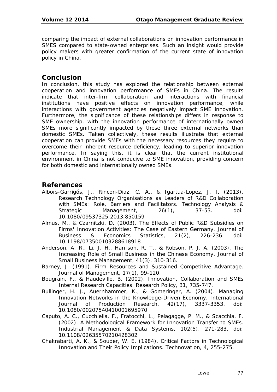comparing the impact of external collaborations on innovation performance in SMES compared to state-owned enterprises. Such an insight would provide policy makers with greater confirmation of the current state of innovation policy in China.

## **Conclusion**

In conclusion, this study has explored the relationship between external cooperation and innovation performance of SMEs in China. The results indicate that inter-firm collaboration and interactions with financial institutions have positive effects on innovation performance, while interactions with government agencies negatively impact SME innovation. Furthermore, the significance of these relationships differs in response to SME ownership, with the innovation performance of internationally owned SMEs more significantly impacted by these three external networks than domestic SMEs. Taken collectively, these results illustrate that external cooperation can provide SMEs with the necessary resources they require to overcome their inherent resource deficiency, leading to superior innovation performance. In saying this, it is clear that the current institutional environment in China is not conducive to SME innovation, providing concern for both domestic and internationally owned SMEs.

## **References**

- Albors-Garrigós, J., Rincon-Diaz, C. A., & Igartua-Lopez, J. I. (2013). Research Technology Organisations as Leaders of R&D Collaboration with SMEs: Role, Barriers and Facilitators. *Technology Analysis & Strategic Management, 26*(1), 37-53. doi: 10.1080/09537325.2013.850159
- Almus, M., & Czarnitzki, D. (2003). The Effects of Public R&D Subsidies on Firms' Innovation Activities: The Case of Eastern Germany. *Journal of Business & Economics Statistics, 21*(2), 226-236. doi: 10.1198/073500103288618918
- Anderson, A. R., Li, J. H., Harrison, R. T., & Robson, P. J. A. (2003). The Increasing Role of Small Business in the Chinese Economy. *Journal of Small Business Management, 41*(3), 310-316.
- Barney, J. (1991). Firm Resources and Sustained Competitive Advantage. *Journal of Management, 17*(1), 99-120.
- Bougrain, F., & Haudeville, B. (2002). Innovation, Collaboration and SMEs Internal Research Capacities. *Research Policy, 31*, 735-747.
- Bullinger, H. J., Auernhammer, K., & Gomeringer, A. (2004). Managing Innovation Networks in the Knowledge-Driven Economy. *International Journal of Production Research, 42*(17), 3337-3353. doi: 10.1080/00207540410001695970
- Caputo, A. C., Cucchiella, F., Fratocchi, L., Pelagagge, P. M., & Scacchia, F. (2002). A Methodological Framework for Innovation Transfer to SMEs. *Industrial Management & Data Systems, 102*(5), 271-283. doi: 10.1108/02635570210428302
- Chakrabarti, A. K., & Souder, W. E. (1984). Critical Factors in Technological Innovation and Their Policy Implications. *Technovation, 4*, 255-275.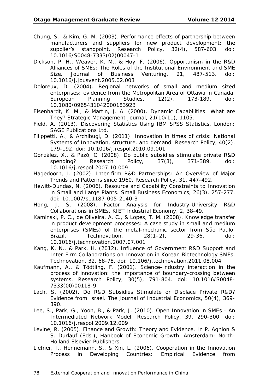- Chung, S., & Kim, G. M. (2003). Performance effects of partnership between manufacturers and suppliers for new product development: the supplier's standpoint. *Research Policy, 32*(4), 587-603. doi: 10.1016/S0048-7333(02)00047-1
- Dickson, P. H., Weaver, K. M., & Hoy, F. (2006). Opportunism in the R&D Alliances of SMEs: The Roles of the Institutional Environment and SME Size. *Journal of Business Venturing, 21*, 487-513. doi: 10.1016/j.jbusvent.2005.02.003
- Doloreux, D. (2004). Regional networks of small and medium sized enterprises: evidence from the Metropolitan Area of Ottawa in Canada. *European Planning Studies, 12*(2), 173-189. doi: 10.1080/0965431042000183923
- Eisenhardt, K. M., & Martin, J. A. (2000). Dynamic Capabilities: What are They? *Strategic Management Journal, 21*(10/11), 1105.
- Field, A. (2013). *Discovering Statistics Using IBM SPSS Statistics*. London: SAGE Publications Ltd.
- Filippetti, A., & Archibugi, D. (2011). Innovation in times of crisis: National Systems of Innovation, structure, and demand. *Research Policy, 40*(2), 179-192. doi: 10.1016/j.respol.2010.09.001
- González, X., & Pazó, C. (2008). Do public subsidies stimulate private R&D spending? *Research Policy, 37*(3), 371-389. doi: 10.1016/j.respol.2007.10.009
- Hagedoorn, J. (2002). Inter-firm R&D Partnerships: An Overview of Major Trends and Patterns since 1960. *Research Policy, 31*, 447-492.
- Hewitt-Dundas, N. (2006). Resource and Capability Constraints to Innovation in Small and Large Plants. *Small Business Economics, 26*(3), 257-277. doi: 10.1007/s11187-005-2140-3
- Hong, J. S. (2008). Factor Analysis for Industry-University R&D Collaborations in SMEs. *KIET Industrial Economy, 2*, 38-49.
- Kaminski, P. C., de Oliveira, A. C., & Lopes, T. M. (2008). Knowledge transfer in product development processes: A case study in small and medium enterprises (SMEs) of the metal-mechanic sector from São Paulo, Brazil. *Technovation, 28*(1–2), 29-36. doi: 10.1016/j.technovation.2007.07.001
- Kang, K. N., & Park, H. (2012). Influence of Government R&D Support and Inter-Firm Collaborations on Innovation in Korean Biotechnology SMEs. *Technovation, 32*, 68-78. doi: 10.106/j.technovation.2011.08.004
- Kaufmann, A., & Tödtling, F. (2001). Science–industry interaction in the process of innovation: the importance of boundary-crossing between systems. *Research Policy, 30*(5), 791-804. doi: 10.1016/S0048- 7333(00)00118-9
- Lach, S. (2002). Do R&D Subsidies Stimulate or Displace Private R&D? Evidence from Israel. *The Journal of Industrial Economics, 50*(4), 369- 390.
- Lee, S., Park, G., Yoon, B., & Park, J. (2010). Open Innovation in SMEs An Intermediated Network Model. *Research Policy, 39*, 290-300. doi: 10.1016/j.respol.2009.12.009
- Levine, R. (2005). Finance and Growth: Theory and Evidence. In P. Aghion & S. Durlauf (Eds.), *Hanbook of Economic Growth*. Amsterdam: North-Holland Elsevier Publishers.
- Liefner, I., Hennemann, S., & Xin, L. (2006). Cooperation in the Innovation Process in Developing Countries: Empirical Evidence from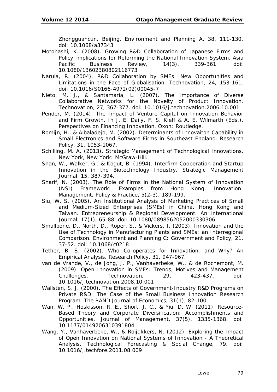Zhongguancun, Beijing. *Environment and Planning A, 38*, 111-130. doi: 10.1068/a37343

- Motohashi, K. (2008). Growing R&D Collaboration of Japanese Firms and Policy Implications for Reforming the National Innovation System. *Asia Pacific Business Review, 14*(3), 339-361. doi: 10.1080/13602380802116773
- Narula, R. (2004). R&D Collaboration by SMEs: New Opportunities and Limitations in the Face of Globalisation. *Technovation, 24*, 153-161. doi: 10.1016/S0166-4972(02)00045-7
- Nieto, M. J., & Santamaría, L. (2007). The Importance of Diverse Collaborative Networks for the Novelty of Product Innovation. *Technovation, 27*, 367-377. doi: 10.1016/j.technovation.2006.10.001
- Pender, M. (2014). The Impact of Venture Capital on Innovation Behavior and Firm Growth. In J. E. Daily, F. S. Kieff & A. E. Wilmarth (Eds.), *Perspectives on Financing Innovation*. Oxon: Routledge.
- Romijn, H., & Albaladejo, M. (2002). Determinants of Innovaiton Capability in Small Electronics and Software Firms in Southeast England. *Research Policy, 31*, 1053-1067.
- Schilling, M. A. (2013). *Strategic Management of Technological Innovations*. New York, New York: McGraw-Hill.
- Shan, W., Walker, G., & Kogut, B. (1994). Interfirm Cooperation and Startup Innovation in the Biotechnology Industry. *Strategic Management Journal, 15*, 387-394.
- Sharif, N. (2003). The Role of Firms in the National System of Innovation (NSI) Framework: Examples from Hong Kong. *Innovation: Management, Policy & Practice, 5*(2-3), 189-199.
- Siu, W. S. (2005). An Institutional Analysis of Marketing Practices of Small and Medium-Sized Enterprises (SMEs) in China, Hong Kong and Taiwan. *Entrepreneurship & Regional Development: An International Journal, 17*(1), 65-88. doi: 10.1080/0898562052000330306
- Smallbone, D., North, D., Roper, S., & Vickers, I. (2003). Innovation and the Use of Technology in Manufacturing Plants and SMEs: an Interregional Comparison. *Environment and Planning C: Government and Policy, 21*, 37-52. doi: 10.1068/c0218
- Tether, B. S. (2002). Who Co-operates for Innovation, and Why? An Empirical Analysis. *Research Policy, 31*, 947-967.
- van de Vrande, V., de Jong, J. P., Vanhaverbeke, W., & de Rochemont, M. (2009). Open Innovation in SMEs: Trends, Motives and Management Challenges. *Technovation, 29*, 423-437. doi: 10.1016/j.technovation.2008.10.001
- Wallsten, S. J. (2000). The Effects of Government-Industry R&D Programs on Private R&D: The Case of the Small Business Innovation Research Program. *The RAND Journal of Economics, 31*(1), 82-100.
- Wan, W. P., Hoskisson, R. E., Short, J. C., & Yiu, D. W. (2011). Resource-Based Theory and Corporate Diversification: Accomplishments and Opportunities. *Journal of Management, 37*(5), 1335-1368. doi: 10.1177/0149206310391804
- Wang, Y., Vanhaverbeke, W., & Roijakkers, N. (2012). Exploring the Impact of Open Innovation on National Systems of Innovation - A Theoretical Analysis. *Technological Forecasting & Social Change, 79*. doi: 10.1016/j.techfore.2011.08.009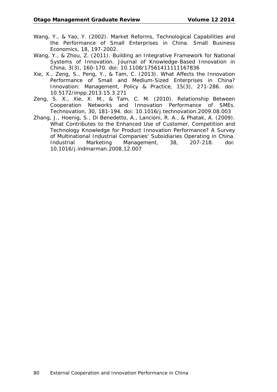- Wang, Y., & Yao, Y. (2002). Market Reforms, Technological Capabilities and the Performance of Small Enterprises in China. *Small Business Economics, 18*, 197-2002.
- Wang, Y., & Zhou, Z. (2011). Building an Integrative Framework for National Systems of Innovation. *Journal of Knowledge-Based Innovation in China, 3*(3), 160-170. doi: 10.1108/17561411111167836
- Xie, X., Zeng, S., Peng, Y., & Tam, C. (2013). What Affects the Innovation Performance of Small and Medium-Sized Enterprises in China? *Innovation: Management, Policy & Practice, 15*(3), 271-286. doi: 10.5172/impp.2013.15.3.271
- Zeng, S. X., Xie, X. M., & Tam, C. M. (2010). Relationship Between Cooperation Networks and Innovation Performance of SMEs. *Technovation, 30*, 181-194. doi: 10.1016/j.technovation.2009.08.003
- Zhang, J., Hoenig, S., Di Benedetto, A., Lancioni, R. A., & Phatak, A. (2009). What Contributes to the Enhanced Use of Customer, Competition and Technology Knowledge for Product Innovation Performance? A Survey of Multinational Industrial Companies' Subsidiaries Operating in China. *Industrial Marketing Management, 38*, 207-218. doi: 10.1016/j.indmarman.2008.12.007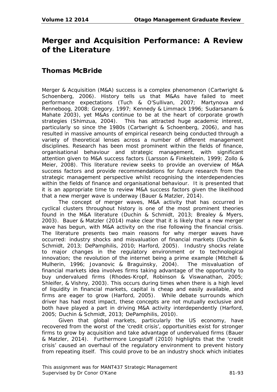# **Merger and Acquisition Performance: A Review of the Literature**

# **Thomas McBride**

Merger & Acquisition (M&A) success is a complex phenomenon (Cartwright & Schoenberg, 2006). History tells us that M&As have failed to meet performance expectations (Tuch & O'Sullivan, 2007; Martynova and Renneboog, 2008; Gregory, 1997; Kennedy & Limmack 1996; Sudarsanam & Mahate 2003), yet M&As continue to be at the heart of corporate growth strategies (Shimzua, 2004). This has attracted huge academic interest, particularly so since the 1980s (Cartwright & Schoenberg, 2006), and has resulted in massive amounts of empirical research being conducted through a variety of theoretical lenses across a number of different management disciplines. Research has been most prominent within the fields of finance, organisational behaviour and strategic management, with significant attention given to M&A success factors (Larsson & Finkelstein, 1999; Zollo & Meier, 2008). This literature review seeks to provide an overview of M&A success factors and provide recommendations for future research from the strategic management perspective whilst recognising the interdependencies within the fields of finance and organisational behaviour. It is presented that it is an appropriate time to review M&A success factors given the likelihood that a new merger wave is underway (Bauer & Matzler, 2014).

The concept of merger waves, M&A activity that has occurred in cyclical clusters throughout history is one of the most prominent theories found in the M&A literature (Duchin & Schmidt, 2013; Brealey & Myers, 2003). Bauer & Matzler (2014) make clear that it is likely that a new merger wave has begun, with M&A activity on the rise following the financial crisis. The literature presents two main reasons for why merger waves have occurred: industry shocks and misvaluation of financial markets (Duchin & Schmidt, 2013; DePamphilis, 2010; Harford, 2005). Industry shocks relate to major changes in the regulatory environment or to technological innovation; the revolution of the internet being a prime example (Mitchell & Mulherin, 1996; Jovanovic & Braguinsky, 2004). The misvaluation of financial markets idea involves firms taking advantage of the opportunity to buy undervalued firms (Rhodes-Kropf, Robinson & Viswanathan, 2005; Shleifer, & Vishny, 2003). This occurs during times when there is a high level of liquidity in financial markets, capital is cheap and easily available, and firms are eager to grow (Harford, 2005). While debate surrounds which driver has had most impact, these concepts are not mutually exclusive and both have played a part in driving M&A activity interdependently (Harford, 2005; Duchin & Schmidt, 2013; DePamphilis, 2010).

Given that global markets, particularly the US economy, have recovered from the worst of the 'credit crisis', opportunities exist for stronger firms to grow by acquisition and take advantage of undervalued firms (Bauer & Matzler, 2014). Furthermore Longstaff (2010) highlights that the 'credit crisis' caused an overhaul of the regulatory environment to prevent history from repeating itself. This could prove to be an industry shock which initiates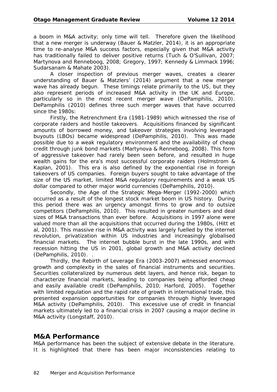a boom in M&A activity; only time will tell. Therefore given the likelihood that a new merger is underway (Bauer & Matzler, 2014), it is an appropriate time to re-analyse M&A success factors, especially given that M&A activity has traditionally failed to deliver positive returns (Tuch & O'Sullivan, 2007; Martynova and Renneboog, 2008; Gregory, 1997; Kennedy & Limmack 1996; Sudarsanam & Mahate 2003).

A closer inspection of previous merger waves, creates a clearer understanding of Bauer & Matzlers' (2014) argument that a new merger wave has already begun. These timings relate primarily to the US, but they also represent periods of increased M&A activity in the UK and Europe, particularly so in the most recent merger wave (DePamphilis, 2010). DePamphilis (2010) defines three such merger waves that have occurred since the 1980s:

Firstly, the Retrenchment Era (1981-1989) which witnessed the rise of corporate raiders and hostile takeovers. Acquisitions financed by significant amounts of borrowed money, and takeover strategies involving leveraged buyouts (LBOs) became widespread (DePamphilis, 2010). This was made possible due to a weak regulatory environment and the availability of cheap credit through junk bond markets (Martynova & Renneboog, 2008). This form of aggressive takeover had rarely been seen before, and resulted in huge wealth gains for the era's most successful corporate raiders (Holmstrom & Kaplan, 2001). This era is also defined by the exponential rise in foreign takeovers of US companies. Foreign buyers sought to take advantage of the size of the US market, limited M&A regulatory requirements and a weak US dollar compared to other major world currencies (DePamphilis, 2010).

Secondly, the Age of the Strategic Mega-Merger (1992-2000) which occurred as a result of the longest stock market boom in US history. During this period there was an urgency amongst firms to grow and to outsize competitors (DePamphilis, 2010). This resulted in greater numbers and deal sizes of M&A transactions than ever before. Acquisitions in 1997 alone were valued more than all the acquisitions that occurred during the 1980s, (Hitt et al, 2001). This massive rise in M&A activity was largely fuelled by the internet revolution, privatization within US industries and increasingly globalised financial markets. The internet bubble burst in the late 1990s, and with recession hitting the US in 2001, global growth and M&A activity declined (DePamphilis, 2010). .

Thirdly, the Rebirth of Leverage Era (2003-2007) witnessed enormous growth and complexity in the sales of financial instruments and securities. Securities collateralized by numerous debt layers, and hence risk, began to characterize financial markets, leading to companies being afforded cheap and easily available credit (DePamphilis, 2010; Harford, 2005). Together with limited regulation and the rapid rate of growth in international trade, this presented expansion opportunities for companies through highly leveraged M&A activity (DePamphilis, 2010). This excessive use of credit in financial markets ultimately led to a financial crisis in 2007 causing a major decline in M&A activity (Longstaff, 2010).

## **M&A Performance**

M&A performance has been the subject of extensive debate in the literature. It is highlighted that there has been major inconsistencies relating to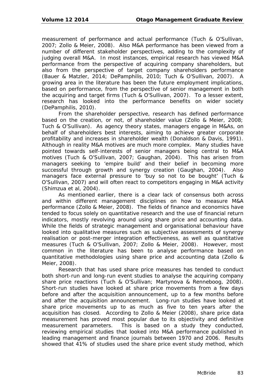measurement of performance and actual performance (Tuch & O'Sullivan, 2007; Zollo & Meier, 2008). Also M&A performance has been viewed from a number of different stakeholder perspectives, adding to the complexity of judging overall M&A. In most instances, empirical research has viewed M&A performance from the perspective of acquiring company shareholders, but also from the perspective of target company shareholders performance (Bauer & Matzler, 2014; DePamphilis, 2010; Tuch & O'Sullivan, 2007). A growing area in the literature has been the future employment implications, based on performance, from the perspective of senior management in both the acquiring and target firms (Tuch & O'Sullivan, 2007). To a lesser extent, research has looked into the performance benefits on wider society (DePamphilis, 2010).

From the shareholder perspective, research has defined performance based on the creation, or not, of shareholder value (Zollo & Meier, 2008; Tuch & O'Sullivan). As agency theory states, managers engage in M&As, on behalf of shareholders best interests, aiming to achieve greater corporate profitability and increases in shareholder wealth (Donaldson & Davis, 1991). Although in reality M&A motives are much more complex. Many studies have pointed towards self-interests of senior managers being central to M&A motives (Tuch & O'Sullivan, 2007; Gaughan, 2004). This has arisen from managers seeking to 'empire build' and their belief in becoming more successful through growth and synergy creation (Gaughan, 2004). Also managers face external pressure to 'buy so not to be bought' (Tuch & O'Sullivan, 2007) and will often react to competitors engaging in M&A activity (Shimzua et al, 2004).

As mentioned earlier, there is a clear lack of consensus both across and within different management disciplines on how to measure M&A performance (Zollo & Meier, 2008). The fields of finance and economics have tended to focus solely on quantitative research and the use of financial return indicators, mostly revolving around using share price and accounting data. While the fields of strategic management and organisational behaviour have looked into qualitative measures such as subjective assessments of synergy realisation or post-merger integration effectiveness, as well as quantitative measures (Tuch & O'Sullivan, 2007; Zollo & Meier, 2008). However, most common in the literature has been to analyse performance based on quantitative methodologies using share price and accounting data (Zollo & Meier, 2008).

Research that has used share price measures has tended to conduct both short-run and long-run event studies to analyse the acquiring company share price reactions (Tuch & O'Sullivan; Martynova & Renneboog, 2008). Short-run studies have looked at share price movements from a few days before and after the acquisition announcement, up to a few months before and after the acquisition announcement. Long-run studies have looked at share price movements up to as much as five to ten years after the acquisition has closed. According to Zollo & Meier (2008), share price data measurement has proved most popular due to its objectivity and definitive measurement parameters. This is based on a study they conducted, reviewing empirical studies that looked into M&A performance published in leading management and finance journals between 1970 and 2006. Results showed that 41% of studies used the share price event study method, which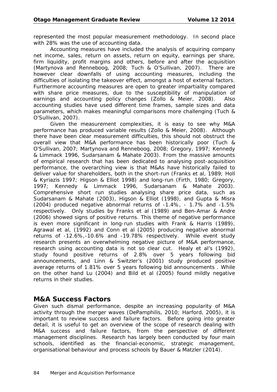represented the most popular measurement methodology. In second place with 28% was the use of accounting data.

Accounting measures have included the analysis of acquiring company net income, sales, return on assets, return on equity, earnings per share, firm liquidity, profit margins and others, before and after the acquisition (Martynova and Renneboog, 2008; Tuch & O'Sullivan, 2007). There are however clear downfalls of using accounting measures, including the difficulties of isolating the takeover effect, amongst a host of external factors. Furthermore accounting measures are open to greater impartiality compared with share price measures, due to the susceptibility of manipulation of earnings and accounting policy changes (Zollo & Meier, 2008). Also accounting studies have used different time frames, sample sizes and data parameters, which makes meaningful comparisons more challenging (Tuch & O'Sullivan, 2007).

Given the measurement complexities, it is easy to see why M&A performance has produced variable results (Zollo & Meier, 2008). Although there have been clear measurement difficulties, this should not obstruct the overall view that M&A performance has been historically poor (Tuch & O'Sullivan, 2007; Martynova and Renneboog, 2008; Gregory, 1997; Kennedy & Limmack 1996, Sudarsanam & Mahate 2003). From the massive amounts of empirical research that has been dedicated to analysing post-acquisition performance, the overarching view is that M&As have historically failed to deliver value for shareholders, both in the short-run (Franks et al, 1989; Holl & Kyriazis 1997; Higson & Elliot 1998) and long-run (Firth, 1980; Gregory, 1997; Kennedy & Limmack 1996, Sudarsanam & Mahate 2003). Comprehensive short run studies analysing share price data, such as Sudarsanam & Mahate (2003), Higson & Elliot (1998), and Gupta & Misra (2004) produced negative abnormal returns of -1.4%, - 1.7% and -1.5% respectively. Only studies by Franks et al (1989) and Ben-Amar & Andre (2006) showed signs of positive returns. This theme of negative performance is even more significant in long-run studies with Frank & Harris (1989), Agrawal et al, (1992) and Conn et al (2005) producing negative abnormal returns of -12.6%,-10.6% and -19.78% respectively. While event study research presents an overwhelming negative picture of M&A performance, research using accounting data is not so clear cut. Healy et al's (1992), study found positive returns of 2.8% over 5 years following bid announcements, and Linn & Switzler's (2001) study produced positive average returns of 1.81% over 5 years following bid announcements . While on the other hand Lu (2004) and Bild et al (2005) found mildly negative returns in their studies.

## **M&A Success Factors**

Given such dismal performance, despite an increasing popularity of M&A activity through the merger waves (DePamphilis, 2010; Harford, 2005), it is important to review success and failure factors. Before going into greater detail, it is useful to get an overview of the scope of research dealing with M&A success and failure factors, from the perspective of different management disciplines. Research has largely been conducted by four main schools, identified as the financial-economic, strategic management, organisational behaviour and process schools by Bauer & Matzler (2014).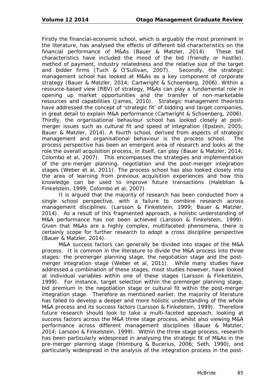Firstly the financial-economic school, which is arguably the most prominent in the literature, has analysed the effects of different bid characteristics on the financial performance of M&As (Bauer & Matzler, 2014). These bid characteristics have included the mood of the bid (friendly or hostile), method of payment, industry relatedness and the relative size of the target and bidder firms (Tuch & O'Sullivan, 2007). Secondly, the strategic management school has looked at M&As as a key component of corporate strategy (Bauer & Matzler, 2014; Cartwright & Schoenberg, 2006). Within a resource-based view (RBV) of strategy, M&As can play a fundamental role in opening up market opportunities and the transfer of non-marketable resources and capabilities (James, 2010). Strategic management theorists have addressed the concept of 'strategic fit' of bidding and target companies, in great detail to explain M&A performance (Cartwright & Schoenberg, 2006). Thirdly, the organisational behaviour school has looked closely at postmerger issues such as cultural fit and speed of integration (Epstein, 2005; Bauer & Matzler, 2014). A fourth school, derived from aspects of strategic management and organisational behaviour is the process school. The process perspective has been an emergent area of research and looks at the role the overall acquisition process, in itself, can play (Bauer & Matzler, 2014; Colombo et al, 2007). This encompasses the strategies and implementation of the pre-merger planning, negotiation and the post-merger integration stages (Weber et al, 2011). The process school has also looked closely into the area of learning from previous acquisition experiences and how this knowledge can be used to improve future transactions (Haleblian & Finkelstein, 1999; Colombo et al, 2007).

It is argued that the majority of research has been conducted from a single school perspective, with a failure to combine research across management disciplines. (Larsson & Finkelstein, 1999; Bauer & Matzler, 2014). As a result of this fragmented approach, a holistic understanding of M&A performance has not been achieved (Larsson & Finkelstein, 1999). Given that M&As are a highly complex, multifaceted phenomena, there is certainly scope for further research to adopt a cross discipline perspective (Bauer & Matzler, 2014).

M&A success factors can generally be divided into stages of the M&A process. It is common in the literature to divide the M&A process into three stages: the premerger planning stage, the negotiation stage and the postmerger integration stage (Weber et al. 2011). While many studies have addressed a combination of these stages, most studies however, have looked at individual variables within one of these stages (Larsson & Finkelstein, 1999). For instance, target selection within the premerger planning stage, bid premium in the negotiation stage or cultural fit within the post-merger integration stage. Therefore as mentioned earlier, the majority of literature has failed to develop a deeper and more holistic understanding of the whole M&A process and its success factors (Larsson & Finkelstein, 1999). Therefore future research should look to take a multi-faceted approach, looking at success factors across the M&A three stage process, whilst also viewing M&A performance across different management disciplines (Bauer & Matzler, 2014; Larsoon & Finkelstein, 1999). Within the three stage process, research has been particularly widespread in analysing the strategic fit of M&As in the pre-merger planning stage (Homburg & Bucerius, 2006; Seth, 1990), and particularly widespread in the analysis of the integration process in the post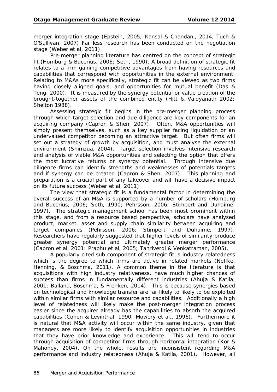merger integration stage (Epstein, 2005; Kansal & Chandani, 2014, Tuch & O'Sullivan, 2007) Far less research has been conducted on the negotiation stage (Weber et al, 2011).

Pre-merger planning literature has centred on the concept of strategic fit (Homburg & Bucerius, 2006; Seth, 1990). A broad definition of strategic fit relates to a firm gaining competitive advantages from having resources and capabilities that correspond with opportunities in the external environment. Relating to M&As more specifically, strategic fit can be viewed as two firms having closely aligned goals, and opportunities for mutual benefit (Das & Teng, 2000). It is measured by the synergy potential or value creation of the brought-together assets of the combined entity (Hitt & Vaidyanath 2002; Shelton 1988).

Assessing strategic fit begins in the pre-merger planning process through which target selection and due diligence are key components for an acquiring company (Capron & Shen, 2007). Often, M&A opportunities will simply present themselves, such as a key supplier facing liquidation or an undervalued competitor becoming an attractive target. But often firms will set out a strategy of growth by acquisition, and must analyse the external environment (Shimzua, 2004). Target selection involves intensive research and analysis of viable M&A opportunities and selecting the option that offers the most lucrative returns or synergy potential. Through intensive due diligence firms can identify strengths and weaknesses of potentials targets and if synergy can be created (Capron & Shen, 2007). This planning and preparation is a crucial part of any takeover and will have a decisive impact on its future success (Weber et al, 2011).

The view that strategic fit is a fundamental factor in determining the overall success of an M&A is supported by a number of scholars (Homburg and Bucerius, 2006; Seth, 1990; Pehrsson, 2006; Stimpert and Duhaime, 1997). The strategic management school has been most prominent within this stage, and from a resource based perspective, scholars have analysed product, market, asset and supply chain similarity between acquiring and target companies (Pehrsson, 2006; Stimpert and Duhaime, 1997). Researchers have regularly suggested that higher levels of similarity produce greater synergy potential and ultimately greater merger performance (Capron et al, 2001: Prabhu et al, 2005; Tanriverdi & Venkatraman, 2005).

A popularly cited sub component of strategic fit is industry relatedness which is the degree to which firms are active in related markets (Neffke, Henning, & Boschma, 2011). A common theme in the literature is that acquisitions with high industry relativeness, have much higher chances of success than firms in fundamentally different industries (Ahuja & Katila, 2001; Balland, Boschma, & Frenken, 2014). This is because synergies based on technological and knowledge transfer are far likely to likely to be exploited within similar firms with similar resource and capabilities. Additionally a high level of relatedness will likely make the post-merger integration process easier since the acquirer already has the capabilities to absorb the acquired capabilities (Cohen & Levinthal, 1990; Mowery et al., 1996). Furthermore it is natural that M&A activity will occur within the same industry, given that managers are more likely to identify acquisition opportunities in industries that they have prior knowledge and experience. This will tend to occur through acquisition of competitor firms through horizontal integration (Kor & Mahoney, 2004). On the whole, results are inconsistent regarding M&A performance and industry relatedness (Ahuja & Katila, 2001). However, all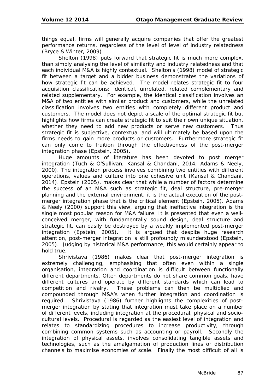things equal, firms will generally acquire companies that offer the greatest performance returns, regardless of the level of level of industry relatedness (Bryce & Winter, 2009)

Shelton (1998) puts forward that strategic fit is much more complex, than simply analysing the level of similarity and industry relatedness and that each individual M&A is highly contextual. Shelton's (1998) model of strategic fit between a target and a bidder business demonstrates the variations of how strategic fit can be achieved. The model relates strategic fit to four acquisition classifications: identical, unrelated, related complementary and related supplementary. For example, the identical classification involves an M&A of two entities with similar product and customers, while the unrelated classification involves two entities with completely different product and customers. The model does not depict a scale of the optimal strategic fit but highlights how firms can create strategic fit to suit their own unique situation, whether they need to add new products or serve new customers. Thus strategic fit is subjective, contextual and will ultimately be based upon the firms needs to gain more products or customers. Furthermore strategic fit can only come to fruition through the effectiveness of the post-merger integration phase (Epstein, 2005).

Huge amounts of literature has been devoted to post merger integration (Tuch & O'Sullivan; Kansal & Chandani, 2014; Adams & Neely, 2000). The integration process involves combining two entities with different operations, values and culture into one cohesive unit (Kansal & Chandani, 2014). Epstein (2005), makes clear that while a number of factors determine the success of an M&A such as strategic fit, deal structure, pre-merger planning and the external environment, it is the actual execution of the postmerger integration phase that is the critical element (Epstein, 2005). Adams & Neely (2000) support this view, arguing that ineffective integration is the single most popular reason for M&A failure. It is presented that even a wellconceived merger, with fundamentally sound design, deal structure and strategic fit, can easily be destroyed by a weakly implemented post-merger integration (Epstein, 2005). It is argued that despite huge research attention, post-merger integration is still profoundly misunderstood (Epstein, 2005). Judging by historical M&A performance, this would certainly appear to hold true.

Shrivistava (1986) makes clear that post-merger integration is extremely challenging, emphasising that often even within a single organisation, integration and coordination is difficult between functionally different departments. Often departments do not share common goals, have different cultures and operate by different standards which can lead to competition and rivalry. These problems can then be multiplied and compounded through M&A's when further integration and coordination is required. Shrivistava (1986) further highlights the complexities of postmerger integration by stating that integration must take place on a number of different levels, including integration at the procedural, physical and sociocultural levels. Procedural is regarded as the easiest level of integration and relates to standardizing procedures to increase productivity, through combining common systems such as accounting or payroll. Secondly the integration of physical assets, involves consolidating tangible assets and technologies, such as the amalgamation of production lines or distribution channels to maximise economies of scale. Finally the most difficult of all is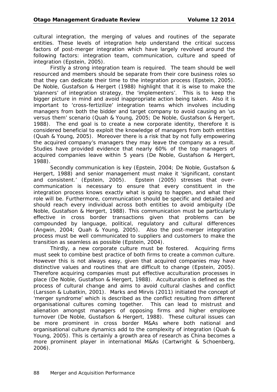cultural integration, the merging of values and routines of the separate entities. These levels of integration help understand the critical success factors of post-merger integration which have largely revolved around the following factors: integration team, communication, culture and speed of integration (Epstein, 2005).

Firstly a strong integration team is required. The team should be well resourced and members should be separate from their core business roles so that they can dedicate their time to the integration process (Epstein, 2005). De Noble, Gustafson & Hergert (1988) highlight that it is wise to make the 'planners' of integration strategy, the 'implementers'. This is to keep the bigger picture in mind and avoid inappropriate action being taken. Also it is important to 'cross-fertizilize' integration teams which involves including managers from both the bidder and target company to avoid causing an 'us versus them' scenario (Quah & Young, 2005; De Noble, Gustafson & Hergert, 1988). The end goal is to create a new corporate identity, therefore it is considered beneficial to exploit the knowledge of managers from both entities (Quah & Young, 2005). Moreover there is a risk that by not fully empowering the acquired company's managers they may leave the company as a result. Studies have provided evidence that nearly 60% of the top managers of acquired companies leave within 5 years (De Noble, Gustafson & Hergert, 1988).

Secondly communication is key (Epstein, 2004; De Noble, Gustafson & Hergert, 1988) and senior management must make it 'significant, constant and consistent.' (Epstein, 2005). Epstein (2005) stresses that overcommunication is necessary to ensure that every constituent in the integration process knows exactly what is going to happen, and what their role will be. Furthermore, communication should be specific and detailed and should reach every individual across both entities to avoid ambiguity (De Noble, Gustafson & Hergert, 1988). This communication must be particularly effective in cross border transactions given that problems can be compounded by language, political, regulatory and cultural differences (Angwin, 2004; Quah & Young, 2005). Also the post-merger integration process must be well communicated to suppliers and customers to make the transition as seamless as possible (Epstein, 2004).

Thirdly, a new corporate culture must be fostered. Acquiring firms must seek to combine best practice of both firms to create a common culture. However this is not always easy, given that acquired companies may have distinctive values and routines that are difficult to change (Epstein, 2005). Therefore acquiring companies must put effective acculturation processes in place (De Noble, Gustafson & Hergert, 1988). Acculturation is defined as the process of cultural change and aims to avoid cultural clashes and conflict (Larsson & Lubatkin, 2001). Marks and Mirvis (2011) initiated the concept of 'merger syndrome' which is described as the conflict resulting from different organisational cultures coming together. This can lead to mistrust and alienation amongst managers of opposing firms and higher employee turnover (De Noble, Gustafson & Hergert, 1988). These cultural issues can be more prominent in cross border M&As where both national and organisational culture dynamics add to the complexity of integration (Quah & Young, 2005). This is certainly a growth area of research as China becomes a more prominent player in international M&As (Cartwright & Schoenberg, 2006).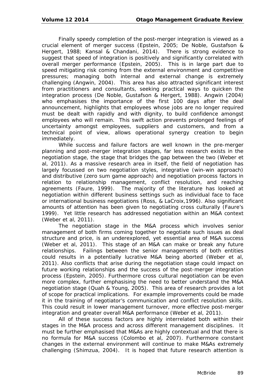Finally speedy completion of the post-merger integration is viewed as a crucial element of merger success (Epstein, 2005; De Noble, Gustafson & Hergert, 1988; Kansal & Chandani, 2014). There is strong evidence to suggest that speed of integration is positively and significantly correlated with overall merger performance (Epstein, 2005). This is in large part due to speed mitigating risk coming from the external environment and competitive pressures; managing both internal and external change is extremely challenging (Angwin, 2004). This area has also attracted significant interest from practitioners and consultants, seeking practical ways to quicken the integration process (De Noble, Gustafson & Hergert, 1988). Angwin (2004) who emphasises the importance of the first 100 days after the deal announcement, highlights that employees whose jobs are no longer required must be dealt with rapidly and with dignity, to build confidence amongst employees who will remain. This swift action prevents prolonged feelings of uncertainty amongst employees, suppliers and customers, and from a technical point of view, allows operational synergy creation to begin immediately.

While success and failure factors are well known in the pre-merger planning and post-merger integration stages, far less research exists in the negotiation stage, the stage that bridges the gap between the two (Weber et al, 2011). As a massive research area in itself, the field of negotiation has largely focussed on two negotiation styles, integrative (win-win approach) and distributive (zero sum game approach) and negotiation process factors in relation to relationship management, conflict resolution, and reaching agreements (Faure, 1999). The majority of the literature has looked at negotiation within different business settings such as individual face to face or international business negotiations (Ross, & LaCroix,1996). Also significant amounts of attention has been given to negotiating cross culturally (Faure's 1999). Yet little research has addressed negotiation within an M&A context (Weber et al, 2011).

The negotiation stage in the M&A process which involves senior management of both firms coming together to negotiate such issues as deal structure and price, is an underexplored, yet essential area of M&A success (Weber et al, 2011). This stage of an M&A can make or break any future relationships. Failings between the senior managements of both entities could results in a potentially lucrative M&A being aborted (Weber et al, 2011). Also conflicts that arise during the negotiation stage could impact on future working relationships and the success of the post-merger integration process (Epstein, 2005). Furthermore cross cultural negotiation can be even more complex, further emphasising the need to better understand the M&A negotiation stage (Quah & Young, 2005). This area of research provides a lot of scope for practical implications. For example improvements could be made it in the training of negotiator's communication and conflict resolution skills. This could result in lower management turnover, more effective post-merger integration and greater overall M&A performance (Weber et al, 2011).

All of these success factors are highly interrelated both within their stages in the M&A process and across different management disciplines. It must be further emphasised that M&As are highly contextual and that there is no formula for M&A success (Colombo et al, 2007). Furthermore constant changes in the external environment will continue to make M&As extremely challenging (Shimzua, 2004). It is hoped that future research attention is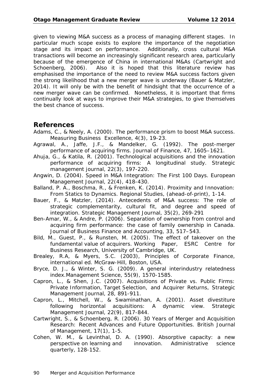given to viewing M&A success as a process of managing different stages. In particular much scope exists to explore the importance of the negotiation stage and its impact on performance. Additionally, cross cultural M&A transactions will become an increasingly significant research area, particularly because of the emergence of China in international M&As (Cartwright and Schoenberg, 2006). Also it is hoped that this literature review has emphasised the importance of the need to review M&A success factors given the strong likelihood that a new merger wave is underway (Bauer & Matzler, 2014). It will only be with the benefit of hindsight that the occurrence of a new merger wave can be confirmed. Nonetheless, it is important that firms continually look at ways to improve their M&A strategies, to give themselves the best chance of success.

# **References**

- Adams, C., & Neely, A. (2000). The performance prism to boost M&A success. Measuring Business Excellence, 4(3), 19-23.
- Agrawal, A., Jaffe, J.F., & Mandelker, G. (1992). The post-merger performance of acquiring firms. Journal of Finance, 47, 1605–1621.
- Ahuja, G., & Katila, R. (2001). Technological acquisitions and the innovation performance of acquiring firms: A longitudinal study. Strategic management journal, 22(3), 197-220.
- Angwin, D. (2004). Speed in M&A Integration: The First 100 Days. European Management Journal, 22(4), 418-430.
- Balland, P. A., Boschma, R., & Frenken, K. (2014). Proximity and Innovation: From Statics to Dynamics. Regional Studies, (ahead-of-print), 1-14.
- Bauer, F., & Matzler, (2014). Antecedents of M&A success: The role of strategic complementarity, cultural fit, and degree and speed of integration. Strategic Management Journal, 35(2), 269-291
- Ben-Amar, W., & Andre, P. (2006). Separation of ownership from control and acquiring firm performance: the case of family ownership in Canada. Journal of Business Finance and Accounting, 33, 517–543.
- Bild, M., Guest, P., & Runsten, M. (2005). The effect of takeover on the fundamental value of acquirers. Working Paper, ESRC Centre for Business Research, University of Cambridge, UK.
- Brealey, R.A, & Myers, S.C. (2003), Principles of Corporate Finance, international ed. McGraw-Hill, Boston, USA.
- Bryce, D. J., & Winter, S. G. (2009). A general interindustry relatedness index.Management Science, 55(9), 1570-1585.
- Capron, L., & Shen, J.C. (2007). Acquisitions of Private vs. Public Firms: Private Information, Target Selection, and Acquirer Returns, Strategic Management Journal, 28, 891-911.
- Capron, L., Mitchell, W., & Swaminathan, A. (2001). Asset divestiture following horizontal acquisitions: A dynamic view. Strategic Management Journal, 22(9), 817-844.
- Cartwright, S., & Schoenberg, R. (2006). 30 Years of Merger and Acquisition Research: Recent Advances and Future Opportunities. British Journal of Management, 17(1), 1-5.
- Cohen, W. M., & Levinthal, D. A. (1990). Absorptive capacity: a new perspective on learning and innovation. Administrative science quarterly, 128-152.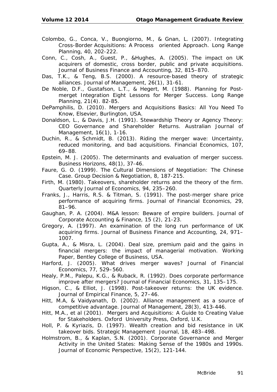- Colombo, G., Conca, V., Buongiorno, M., & Gnan, L. (2007). Integrating Cross-Border Acquisitions: A Process oriented Approach. Long Range Planning, 40, 202-222.
- Conn, C., Cosh, A., Guest, P., &Hughes, A. (2005). The impact on UK acquirers of domestic, cross border, public and private acquisitions. Journal of Business Finance and Accounting, 32, 815–870.
- Das, T.K., & Teng, B.S. (2000). A resource-based theory of strategic alliances. Journal of Management, 26(1), 31-61.
- De Noble, D.F., Gustafson, L.T., & Hegert, M. (1988). Planning for Postmerget Integration Eight Lessons for Merger Success. Long Range Planning, 21(4). 82-85.
- DePamphilis, D. (2010). Mergers and Acquisitions Basics: All You Need To Know, Elsevier, Burlington, USA.
- Donaldson, L., & Davis, J.H. (1991). Stewardship Theory or Agency Theory: CEO Governance and Shareholder Returns. Australian Journal of Management, 16(1), 1-16.
- Duchin, R., & Schmidt, B. (2013). Riding the merger wave: Uncertainty, reduced monitoring, and bad acquisitions. Financial Economics, 107, 69–88.
- Epstein, M. J. (2005). The determinants and evaluation of merger success. Business Horizons, 48(1), 37-46.
- Faure, G. O. (1999). The Cultural Dimensions of Negotiation: The Chinese Case. Group Decision & Negotiation, 8, 187-215.
- Firth, M. (1980). Takeovers, shareholder returns and the theory of the firm. Quarterly Journal of Economics, 94, 235–260.
- Franks, J., Harris, R.S. & Titman, S. (1991). The post-merger share price performance of acquiring firms. Journal of Financial Economics, 29, 81–96.
- Gaughan, P. A. (2004). M&A lesson: Beware of empire builders. Journal of Corporate Accounting & Finance, 15 (2), 21-23.
- Gregory, A. (1997). An examination of the long run performance of UK acquiring firms. Journal of Business Finance and Accounting, 24, 971– 1007.
- Gupta, A., & Misra, L. (2004). Deal size, premium paid and the gains in financial mergers: the impact of managerial motivation. Working Paper, Bentley College of Business, USA.
- Harford, J. (2005). What drives merger waves? Journal of Financial Economics, 77, 529–560.
- Healy, P.M., Palepu, K.G., & Ruback, R. (1992). Does corporate performance improve after mergers? Journal of Financial Economics, 31, 135–175.
- Higson, C., & Elliot, J. (1998). Post-takeover returns: the UK evidence. Journal of Empirical Finance, 5, 27–46.
- Hitt, M.A, & Vaidyanath, D. (2002). Alliance management as a source of competitive advantage. Journal of Management, 28(3), 413-446.
- Hitt, M.A., et al (2001). Mergers and Acquisitions: A Guide to Creating Value for Stakeholders. Oxford University Press, Oxford, U.K.
- Holl, P. & Kyriazis, D. (1997). Wealth creation and bid resistance in UK takeover bids. Strategic Management Journal, 18, 483–498.
- Holmstrom, B., & Kaplan, S.N. (2001). Corporate Governance and Merger Activity in the United States: Making Sense of the 1980s and 1990s. Journal of Economic Perspective, 15(2), 121-144.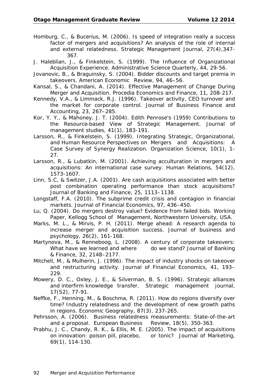- Homburg, C., & Bucerius, M. (2006). Is speed of integration really a success factor of mergers and acquisitions? An analysis of the role of internal and external relatedness. Strategic Management Journal, 27(4),347- 367.
- J. Haleblian, J., & Finkelstein, S. (1999). The Influence of Organizational Acquisition Experience. Administrative Science Quarterly, 44, 29-56.
- Jovanovic, B., & Braguinsky, S. (2004). Bidder discounts and target premia in takeovers. American Economic Review, 94, 46–56.
- Kansal, S., & Chandani, A. (2014). Effective Management of Change During Merger and Acquisition. Procedia Economics and Finance, 11, 208-217.
- Kennedy, V.A., & Limmack, R.J. (1996). Takeover activity, CEO turnover and the market for corporate control. Journal of Business Finance and Accounting, 23, 267–285.
- Kor, Y. Y., & Mahoney, J. T. (2004). Edith Penrose's (1959) Contributions to the Resource‐based View of Strategic Management. Journal of management studies, 41(1), 183-191.
- Larsson, R., & Finkelstein, S. (1999). Integrating Strategic, Organizational, and Human Resource Perspectives on Mergers and Acquisitions: A Case Survey of Synergy Realization. Organization Science, 10(1), 1- 27.
- Larsson, R., & Lubatkin, M. (2001). Achieving acculturation in mergers and acquisitions: An international case survey. Human Relations, 54(12), 1573-1607.
- Linn, S.C, & Switzer, J.A. (2001). Are cash acquisitions associated with better post combination operating performance than stock acquisitions? Journal of Banking and Finance, 25, 1113–1138.
- Longstaff, F.A. (2010). The subprime credit crisis and contagion in financial markets. Journal of Financial Economics, 97, 436–450.
- Lu, Q. (2004). Do mergers destroy value? Evidence from failed bids. Working Paper, Kellogg School of Management, Northwestern University, USA.
- Marks, M. L., & Mirvis, P. H. (2011). Merge ahead: A research agenda to increase merger and acquisition success. Journal of business and psychology, 26(2), 161-168.
- Martynova, M., & Renneboog, L. (2008). A century of corporate takeovers: What have we learned and where do we stand? Journal of Banking & Finance, 32, 2148–2177.
- Mitchell, M., & Mulherin, J. (1996). The impact of industry shocks on takeover and restructuring activity. Journal of Financial Economics, 41, 193– 229.
- Mowery, D. C., Oxley, J. E., & Silverman, B. S. (1996). Strategic alliances and interfirm knowledge transfer. Strategic management journal, 17(S2), 77-91.
- Neffke, F., Henning, M., & Boschma, R. (2011). How do regions diversify over time? Industry relatedness and the development of new growth paths in regions. Economic Geography, 87(3), 237-265.
- Pehrsson, A. (2006). Business relatedness measurements: State-of-the-art and a proposal. European Business Review, 18(5), 350-363.
- Prabhu, J. C., Chandy, R. K., & Ellis, M. E. (2005). The impact of acquisitions on innovation: poison pill, placebo, or tonic? Journal of Marketing, 69(1), 114-130.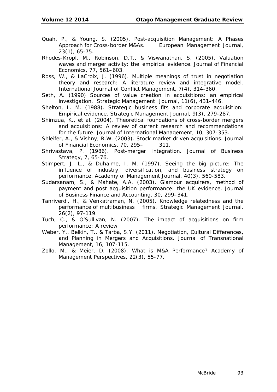- Quah, P., & Young, S. (2005). Post-acquisition Management: A Phases Approach for Cross-border M&As. European Management Journal, 23(1), 65-75.
- Rhodes-Kropf, M., Robinson, D.T., & Viswanathan, S. (2005). Valuation waves and merger activity: the empirical evidence. Journal of Financial Economics, 77, 561–603.
- Ross, W., & LaCroix, J. (1996). Multiple meanings of trust in negotiation theory and research: A literature review and integrative model. International Journal of Conflict Management, 7(4), 314-360.
- Seth, A. (1990) Sources of value creation in acquisitions: an empirical investigation. Strategic Management Journal, 11(6), 431-446.
- Shelton, L. M. (1988). Strategic business fits and corporate acquisition: Empirical evidence. Strategic Management Journal, 9(3), 279-287.
- Shimzua, K., et al. (2004). Theoretical foundations of cross-border mergers and acquisitions: A review of current research and recommendations for the future. Journal of International Management, 10, 307-353.
- Shleifer, A., & Vishny, R.W. (2003). Stock market driven acquisitions. Journal of Financial Economics, 70, 295– 311.
- Shrivastava, P. (1986). Post-merger Integration. Journal of Business Strategy, 7, 65-76.
- Stimpert, J. L., & Duhaime, I. M. (1997). Seeing the big picture: The influence of industry, diversification, and business strategy on performance. Academy of Management Journal, 40(3), 560-583.
- Sudarsanam, S., & Mahate, A.A. (2003). Glamour acquirers, method of payment and post acquisition performance: the UK evidence. Journal of Business Finance and Accounting, 30, 299–341.
- Tanriverdi, H., & Venkatraman, N. (2005). Knowledge relatedness and the performance of multibusiness firms. Strategic Management Journal, 26(2), 97-119.
- Tuch, C., & O'Sullivan, N. (2007). The impact of acquisitions on firm performance: A review
- Weber, Y., Belkin, T., & Tarba, S.Y. (2011). Negotiation, Cultural Differences, and Planning in Mergers and Acquisitions. *Journal of Transnational Management, 16*, 107-115.
- Zollo, M., & Meier, D. (2008). What is M&A Performance? *Academy of Management Perspectives, 22*(3), 55-77.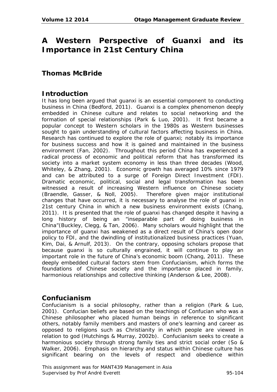# **A Western Perspective of Guanxi and its Importance in 21st Century China**

# **Thomas McBride**

# **Introduction**

It has long been argued that guanxi is an essential component to conducting business in China (Bedford, 2011). Guanxi is a complex phenomenon deeply embedded in Chinese culture and relates to social networking and the formation of special relationships (Park & Luo, 2001). It first became a popular concept to Western scholars in the 1980s as Western businesses sought to gain understanding of cultural factors affecting business in China. Research has continued to explore the role of guanxi; notably its importance for business success and how it is gained and maintained in the business environment (Fan, 2002). Throughout this period China has experienced a radical process of economic and political reform that has transformed its society into a market system economy in less than three decades (Wood, Whiteley, & Zhang, 2001). Economic growth has averaged 10% since 1979 and can be attributed to a surge of Foreign Direct Investment (FDI). Dramatic economic, political, social and legal transformation has been witnessed a result of increasing Western influence on Chinese society (Braendle, Gasser, & Noll, 2005). Therefore given major institutional changes that have occurred, it is necessary to analyse the role of guanxi in 21st century China in which a new business environment exists (Chang, 2011). It is presented that the role of guanxi has changed despite it having a long history of being an "inseparable part of doing business in China"(Buckley, Clegg, & Tan, 2006). Many scholars would highlight that the importance of guanxi has weakened as a direct result of China's open door policy to FDI, and the dwindling of institutionalized business practices (Yuan, Kim, Dai, & Arnulf, 2013). On the contrary, opposing scholars propose that because guanxi is so culturally engrained, it will continue to play an important role in the future of China's economic boom (Chang, 2011). These deeply embedded cultural factors stem from Confucianism, which forms the foundations of Chinese society and the importance placed in family, harmonious relationships and collective thinking (Anderson & Lee, 2008).

## **Confucianism**

Confucianism is a social philosophy, rather than a religion (Park & Luo, 2001). Confucian beliefs are based on the teachings of Confucian who was a Chinese philosopher who placed human beings in reference to significant others, notably family members and masters of one's learning and career as opposed to religions such as Christianity in which people are viewed in relation to god (Hutchings & Murray, 2002b). Confucianism seeks to create a harmonious society through strong family ties and strict social order (So & Walker, 2006). Emphasis on hierarchy and status within Chinese culture has significant bearing on the levels of respect and obedience within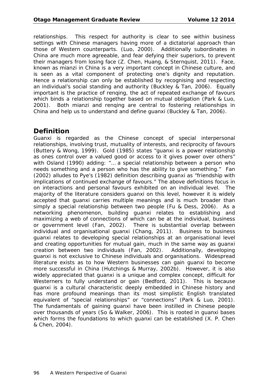relationships. This respect for authority is clear to see within business settings with Chinese managers having more of a dictatorial approach than those of Western counterparts. (Luo, 2000). Additionally subordinates in China are much more agreeable, and fear defying their superiors, to prevent their managers from losing face (Z. Chen, Huang, & Sternquist, 2011). Face, known as mianzi in China is a very important concept in Chinese culture, and is seen as a vital component of protecting one's dignity and reputation. Hence a relationship can only be established by recognising and respecting an individual's social standing and authority (Buckley & Tan, 2006). Equally important is the practice of renqing, the act of repeated exchange of favours which binds a relationship together based on mutual obligation (Park & Luo, 2001). Both mianzi and renqing are central to fostering relationships in China and help us to understand and define guanxi (Buckley & Tan, 2006).

# **Definition**

Guanxi is regarded as the Chinese concept of special interpersonal relationships, involving trust, mutuality of interests, and reciprocity of favours (Buttery & Wong, 1999). Gold (1985) states "guanxi is a power relationship as ones control over a valued good or access to it gives power over others" with Osland (1990) adding: "… a special relationship between a person who needs something and a person who has the ability to give something." Fan (2002) alludes to Pye's (1982) definition describing guanxi as "friendship with implications of continued exchange of favours." The above definitions focus in on interactions and personal favours exhibited on an individual level. The majority of the literature considers guanxi on this level, however it is widely accepted that guanxi carries multiple meanings and is much broader than simply a special relationship between two people (Fu & Dess, 2006). As a networking phenomenon, building guanxi relates to establishing and maximizing a web of connections of which can be at the individual, business or government level (Fan, 2002). There is substantial overlap between individual and organisational guanxi (Chang, 2011). Business to business guanxi relates to developing special relationships at an organisational level and creating opportunities for mutual gain, much in the same way as guanxi creation between two individuals (Fan, 2002). Additionally, developing guanxi is not exclusive to Chinese individuals and organisations. Widespread literature exists as to how Western businesses can gain guanxi to become more successful in China (Hutchings & Murray, 2002b). However, it is also widely appreciated that guanxi is a unique and complex concept, difficult for Westerners to fully understand or gain (Bedford, 2011). This is because guanxi is a cultural characteristic deeply embedded in Chinese history and has more profound meanings than its most simplistic English translated equivalent of "special relationships" or "connections" (Park & Luo, 2001). The fundamentals of gaining guanxi have been instilled in Chinese people over thousands of years (So & Walker, 2006). This is rooted in guanxi bases which forms the foundations to which guanxi can be established (X. P. Chen & Chen, 2004).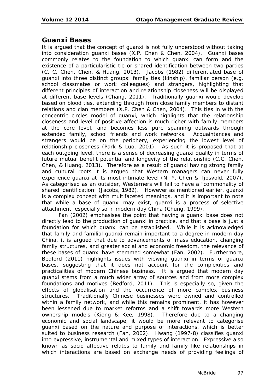## **Guanxi Bases**

It is argued that the concept of guanxi is not fully understood without taking into consideration guanxi bases (X.P. Chen & Chen, 2004). Guanxi bases commonly relates to the foundation to which guanxi can form and the existence of a particularistic tie or shared identification between two parties (C. C. Chen, Chen, & Huang, 2013). Jacobs (1982) differentiated base of guanxi into three distinct groups: family ties (kinship), familiar person (e.g. school classmates or work colleagues) and strangers, highlighting that different principles of interaction and relationship closeness will be displayed at different base levels (Chang, 2011). Traditionally guanxi would develop based on blood ties, extending through from close family members to distant relations and clan members (X.P. Chen & Chen, 2004). This ties in with the concentric circles model of guanxi, which highlights that the relationship closeness and level of positive affection is much richer with family members at the core level, and becomes less pure spanning outwards through extended family, school friends and work networks. Acquaintances and strangers would be on the periphery, experiencing the lowest level of relationship closeness (Park & Luo, 2001). As such it is proposed that at each outgoing level, there is a sense of decreasing guanxi quality in terms of future mutual benefit potential and longevity of the relationship (C.C. Chen, Chen, & Huang, 2013). Therefore as a result of guanxi having strong family and cultural roots it is argued that Western managers can never fully experience guanxi at its most intimate level (N. Y. Chen & Tjosvold, 2007). As categorised as an outsider, Westerners will fail to have a "commonality of shared identification" (Jacobs, 1982). However as mentioned earlier, guanxi is a complex concept with multifaceted meanings, and it is important to note that while a base of guanxi may exist, guanxi is a process of selective attachment, especially so in modern day China (Chung, 1999).

Fan (2002) emphasises the point that having a guanxi base does not directly lead to the production of guanxi in practice, and that a base is just a foundation for which guanxi can be established. While it is acknowledged that family and familial guanxi remain important to a degree in modern day China, it is argued that due to advancements of mass education, changing family structures, and greater social and economic freedom, the relevance of these bases of guanxi have stemmed somewhat (Fan, 2002). Furthermore, Bedford (2011) highlights issues with viewing guanxi in terms of guanxi bases, suggesting that it does not account for the complexities and practicalities of modern Chinese business. It is argued that modern day guanxi stems from a much wider array of sources and from more complex foundations and motives (Bedford, 2011). This is especially so, given the effects of globalisation and the occurrence of more complex business structures. Traditionally Chinese businesses were owned and controlled within a family network, and while this remains prominent, it has however been lessened due to market reforms and a shift towards more Western ownership models (Kiong & Kee, 1998). Therefore due to a changing economic and social landscape, it would be more relevant to categorise guanxi based on the nature and purpose of interactions, which is better suited to business research (Fan, 2002). Hwang (1997-8) classifies guanxi into expressive, instrumental and mixed types of interaction. Expressive also known as socio affective relates to family and family like relationships in which interactions are based on exchange needs of providing feelings of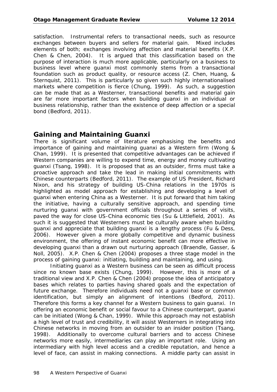satisfaction. Instrumental refers to transactional needs, such as resource exchanges between buyers and sellers for material gain. Mixed includes elements of both; exchanges involving affection and material benefits (X.P. Chen & Chen, 2004). It is argued that this classification based on the purpose of interaction is much more applicable, particularly on a business to business level where guanxi most commonly stems from a transactional foundation such as product quality, or resource access (Z. Chen, Huang, & Sternquist, 2011). This is particularly so given such highly internationalised markets where competition is fierce (Chung, 1999). As such, a suggestion can be made that as a Westerner, transactional benefits and material gain are far more important factors when building guanxi in an individual or business relationship, rather than the existence of deep affection or a special bond (Bedford, 2011).

# **Gaining and Maintaining Guanxi**

There is significant volume of literature emphasising the benefits and importance of gaining and maintaining guanxi as a Western firm (Wong & Chan, 1999). It is presented that competitive advantages can be achieved if Western companies are willing to expend time, energy and money cultivating guanxi (Tsang, 1998). It is proposed that as an outsider, firms must take a proactive approach and take the lead in making initial commitments with Chinese counterparts (Bedford, 2011). The example of US President, Richard Nixon, and his strategy of building US-China relations in the 1970s is highlighted as model approach for establishing and developing a level of guanxi when entering China as a Westerner. It is put forward that him taking the initiative, having a culturally sensitive approach, and spending time nurturing guanxi with government officials throughout a series of visits, paved the way for close US-China economic ties (Su & Littlefield, 2001). As such it is suggested that Westerners must be culturally aware when building guanxi and appreciate that building guanxi is a lengthy process (Fu & Dess, 2006). However given a more globally competitive and dynamic business environment, the offering of instant economic benefit can more effective in developing guanxi than a drawn out nurturing approach (Braendle, Gasser, & Noll, 2005). X.P. Chen & Chen (2004) proposes a three stage model in the process of gaining guanxi: *initiating*, *building and maintaining*, and *using*.

*Initiating* guanxi as a Western business can be seen as difficult process since no known base exists (Chung, 1999). However, this is more of a traditional view and X.P. Chen & Chen (2004) propose the idea of anticipatory bases which relates to parties having shared goals and the expectation of future exchange. Therefore individuals need not a guanxi base or common identification, but simply an alignment of intentions (Bedford, 2011). Therefore this forms a key channel for a Western business to gain guanxi. In offering an economic benefit or social favour to a Chinese counterpart, guanxi can be initiated (Wong & Chan, 1999). While this approach may not establish a high level of trust and credibility, it will assist Westerners in integrating into Chinese networks in moving from an outsider to an insider position (Tsang, 1998). Additionally to overcome cultural barriers and to access Chinese networks more easily, intermediaries can play an important role. Using an intermediary with high level access and a credible reputation, and hence a level of face, can assist in making connections. A middle party can assist in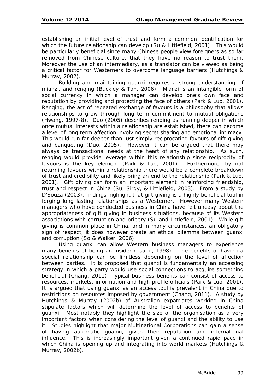establishing an initial level of trust and form a common identification for which the future relationship can develop (Su & Littlefield, 2001). This would be particularly beneficial since many Chinese people view foreigners as so far removed from Chinese culture, that they have no reason to trust them. Moreover the use of an intermediary, as a translator can be viewed as being a critical factor for Westerners to overcome language barriers (Hutchings & Murray, 2002).

*Building and maintaining* guanxi requires a strong understanding of mianzi, and renqing (Buckley & Tan, 2006). Mianzi is an intangible form of social currency in which a manager can develop one's own face and reputation by providing and protecting the face of others (Park & Luo, 2001). Renqing, the act of repeated exchange of favours is a philosophy that allows relationships to grow through long term commitment to mutual obligations (Hwang, 1997-8). Duo (2005) describes renqing as running deeper in which once mutual interests within a relationship are established, there can become a level of long term affection involving secret sharing and emotional intimacy. This would run far deeper than just simply reciprocating favours of gift giving and banqueting (Duo, 2005). However it can be argued that there may always be transactional needs at the heart of any relationship. As such, renqing would provide leverage within this relationship since reciprocity of favours is the key element (Park & Luo, 2001). Furthermore, by not returning favours within a relationship there would be a complete breakdown of trust and credibility and likely bring an end to the relationship (Park & Luo, 2001). Gift giving can form an important element in reinforcing friendship, trust and respect in China (Su, Sirgy, & Littlefield, 2003). From a study by D'Souza (2003), findings highlight that gift giving is a highly beneficial tool in forging long lasting relationships as a Westerner. However many Western managers who have conducted business in China have felt uneasy about the appropriateness of gift giving in business situations, because of its Western associations with corruption and bribery (Su and Littlefield, 2001). While gift giving is common place in China, and in many circumstances, an obligatory sign of respect, it does however create an ethical dilemma between guanxi and corruption (So & Walker, 2006).

*Using* guanxi can allow Western business managers to experience many benefits of being an insider (Tsang, 1998). The benefits of having a special relationship can be limitless depending on the level of affection between parties. It is proposed that guanxi is fundamentally an accessing strategy in which a party would use social connections to acquire something beneficial (Chang, 2011). Typical business benefits can consist of access to resources, markets, information and high profile officials (Park & Luo, 2001). It is argued that using guanxi as an access tool is prevalent in China due to restrictions on resources imposed by government (Chang, 2011). A study by Hutchings & Murray (2002b) of Australian expatriates working in China stipulate factors which will determine the level of access to benefits of guanxi. Most notably they highlight the size of the organisation as a very important factors when considering the level of guanxi and the ability to use it. Studies highlight that major Multinational Corporations can gain a sense of having automatic guanxi, given their reputation and international influence. This is increasingly important given a continued rapid pace in which China is opening up and integrating into world markets (Hutchings & Murray, 2002b).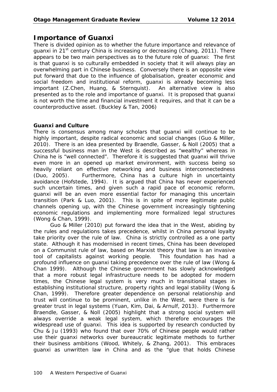# **Importance of Guanxi**

There is divided opinion as to whether the future importance and relevance of guanxi in 21<sup>st</sup> century China is increasing or decreasing (Chang, 2011). There appears to be two main perspectives as to the future role of guanxi: The first is that guanxi is so culturally embedded in society that it will always play an overwhelming part in Chinese business. Conversely there is an opposite view put forward that due to the influence of globalisation, greater economic and social freedom and institutional reform, guanxi is already becoming less important (Z.Chen, Huang, & Sternquist). An alternative view is also presented as to the role and importance of guanxi. It is proposed that guanxi is not worth the time and financial investment it requires, and that it can be a counterproductive asset. (Buckley & Tan, 2006)

### **Guanxi and Culture**

There is consensus among many scholars that guanxi will continue to be highly important, despite radical economic and social changes (Guo & Miller, 2010). There is an idea presented by Braendle, Gasser, & Noll (2005) that a successful business man in the West is described as "wealthy" whereas in China he is "well connected". Therefore it is suggested that guanxi will thrive even more in an opened up market environment, with success being so heavily reliant on effective networking and business interconnectedness (Duo, 2005). Furthermore, China has a culture high in uncertainty avoidance (Hofstede, 1994). It is argued that China has never experienced such uncertain times, and given such a rapid pace of economic reform, guanxi will be an even more essential factor for managing this uncertain transition (Park & Luo, 2001). This is in spite of more legitimate public channels opening up, with the Chinese government increasingly tightening economic regulations and implementing more formalized legal structures (Wong & Chan, 1999).

Guo & Miller (2010) put forward the idea that in the West, abiding by the rules and regulations takes precedence, whilst in China personal loyalty take priority over the rule of law. China is strictly controlled as a one party state. Although it has modernised in recent times, China has been developed on a Communist rule of law, based on Marxist theory that law is an invasive tool of capitalists against working people. This foundation has had a profound influence on guanxi taking precedence over the rule of law (Wong & Chan 1999). Although the Chinese government has slowly acknowledged that a more robust legal infrastructure needs to be adopted for modern times, the Chinese legal system is very much in transitional stages in establishing institutional structure, property rights and legal stability (Wong & Chan, 1999). Therefore greater dependence on personal relationship and trust will continue to be prominent, unlike in the West, were there is far greater trust in legal systems (Yuan, Kim, Dai, & Arnulf, 2013). Furthermore Braendle, Gasser, & Noll (2005) highlight that a strong social system will always override a weak legal system, which therefore encourages the widespread use of guanxi. This idea is supported by research conducted by Chu & Ju (1993) who found that over 70% of Chinese people would rather use their guanxi networks over bureaucratic legitimate methods to further their business ambitions (Wood, Whitely, & Zhang, 2001). This embraces guanxi as unwritten law in China and as the "glue that holds Chinese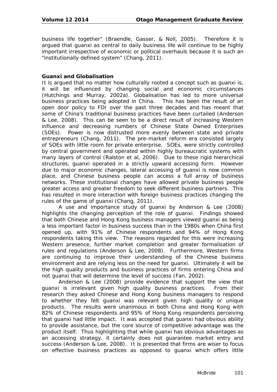business life together" (Braendle, Gasser, & Noll, 2005). Therefore it is argued that guanxi as central to daily business life will continue to be highly important irrespective of economic or political overhauls because it is such an "institutionally defined system" (Chang, 2011).

### **Guanxi and Globalisation**

It is argued that no matter how culturally rooted a concept such as guanxi is, it will be influenced by changing social and economic circumstances (Hutchings and Murray, 2002a). Globalisation has led to more universal business practices being adopted in China. This has been the result of an open door policy to FDI over the past three decades and has meant that some of China's traditional business practices have been curtailed (Anderson & Lee, 2008). This can be seen to be a direct result of increasing Western influence and decreasing numbers of Chinese State Owned Enterprises (SOEs). Power is now distrusted more evenly between state and private entrepreneurs (Chang, 2011). The pre-market reform era consisted largely of SOEs with little room for private enterprise. SOEs, were strictly controlled by central government and operated within highly bureaucratic systems with many layers of control (Ralston et al, 2006). Due to these rigid hierarchical structures, guanxi operated in a strictly upward accessing form. However due to major economic changes, lateral accessing of guanxi is now common place, and Chinese business people can access a full array of business networks. These institutional changes have allowed private business people greater access and greater freedom to seek different business partners. This has resulted in more interaction with foreign business practices changing the rules of the game of guanxi (Chang, 2011).

A use and importance study of guanxi by Anderson & Lee (2008) highlights the changing perception of the role of guanxi. Findings showed that both Chinese and Hong Kong business managers viewed guanxi as being a less important factor in business success than in the 1980s when China first opened up, with 91% of Chinese respondents and 94% of Hong Kong respondents taking this view. The reasons regarded for this were increasing Western presence, further market completion and greater formalisation of rules and regulations (Anderson & Lee, 2008). Furthermore, Western firms are continuing to improve their understanding of the Chinese business environment and are relying less on the need for guanxi. Ultimately it will be the high quality products and business practices of firms entering China and not guanxi that will determine the level of success (Fan, 2002).

Anderson & Lee (2008) provide evidence that support the view that guanxi is irrelevant given high quality business practices. From their research they asked Chinese and Hong Kong business managers to respond to whether they felt guanxi was relevant given high quality or unique products. The results were unanimous in both China and Hong Kong with 82% of Chinese respondents and 95% of Hong Kong respondents perceiving that guanxi had little impact. It was accepted that guanxi had obvious ability to provide assistance, but the core source of competitive advantage was the product itself. Thus highlighting that while guanxi has obvious advantages as an accessing strategy, it certainly does not guarantee market entry and success (Anderson & Lee, 2008). It is presented that firms are wiser to focus on effective business practices as opposed to guanxi which offers little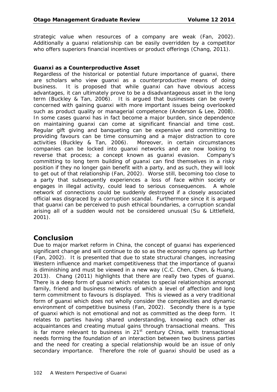strategic value when resources of a company are weak (Fan, 2002). Additionally a guanxi relationship can be easily overridden by a competitor who offers superiors financial incentives or product offerings (Chang, 2011).

### **Guanxi as a Counterproductive Asset**

Regardless of the historical or potential future importance of guanxi, there are scholars who view guanxi as a counterproductive means of doing business. It is proposed that while guanxi can have obvious access advantages, it can ultimately prove to be a disadvantageous asset in the long term (Buckley & Tan, 2006). It is argued that businesses can be overly concerned with gaining guanxi with more important issues being overlooked such as product quality or managerial competence (Anderson & Lee, 2008). In some cases guanxi has in fact become a major burden, since dependence on maintaining guanxi can come at significant financial and time cost. Regular gift giving and banqueting can be expensive and committing to providing favours can be time consuming and a major distraction to core activities (Buckley & Tan, 2006). Moreover, in certain circumstances companies can be locked into guanxi networks and are now looking to reverse that process; a concept known as guanxi evasion. Company's committing to long term building of guanxi can find themselves in a risky position if they no longer gain benefit with a party, and as such, they will look to get out of that relationship (Fan, 2002). Worse still, becoming too close to a party that subsequently experiences a loss of face within society or engages in illegal activity, could lead to serious consequences. A whole network of connections could be suddenly destroyed if a closely associated official was disgraced by a corruption scandal. Furthermore since it is argued that guanxi can be perceived to push ethical boundaries, a corruption scandal arising all of a sudden would not be considered unusual (Su & Littlefield, 2001).

# **Conclusion**

Due to major market reform in China, the concept of guanxi has experienced significant change and will continue to do so as the economy opens up further (Fan, 2002). It is presented that due to state structural changes, increasing Western influence and market competitiveness that the importance of guanxi is diminishing and must be viewed in a new way (C.C. Chen, Chen, & Huang, 2013). Chang (2011) highlights that there are really two types of guanxi. There is a deep form of guanxi which relates to special relationships amongst family, friend and business networks of which a level of affection and long term commitment to favours is displayed. This is viewed as a very traditional form of guanxi which does not wholly consider the complexities and dynamic environment of competitive business (Fan, 2002). Secondly there is a type of guanxi which is not emotional and not as committed as the deep form. It relates to parties having shared understanding, knowing each other as acquaintances and creating mutual gains through transactional means. This is far more relevant to business in  $21<sup>st</sup>$  century China, with transactional needs forming the foundation of an interaction between two business parties and the need for creating a special relationship would be an issue of only secondary importance. Therefore the role of guanxi should be used as a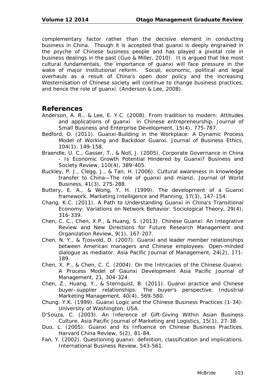complementary factor rather than the decisive element in conducting business in China. Though it is accepted that guanxi is deeply engrained in the psyche of Chinese business people and has played a pivotal role in business dealings in the past (Guo & Miller, 2010). It is argued that like most cultural fundamentals, the importance of guanxi will face pressure in the wake of major institutional reform. Social, economic, political and legal overhauls as a result of China's open door policy and the increasing Westernisation of Chinese society will continue to change business practices, and hence the role of guanxi. (Anderson & Lee, 2008).

## **References**

- Anderson, A. R., & Lee, E. Y.C. (2008). From tradition to modern: Attitudes and applications of guanxi in Chinese entrepreneurship. *Journal of Small Business and Enterprise Development, 15*(4), 775-787.
- Bedford, O. (2011). *Guanxi*-Building in the Workplace: A Dynamic Process Model of Working and Backdoor *Guanxi*. *Journal of Business Ethics, 104*(1), 149-158.
- Braendle, U. C., Gasser, T., & Noll, J. (2005). Corporate Governance in China - Is Economic Growth Potential Hindered by Guanxi? *Business and Society Review, 110*(4), 389-405.
- Buckley, P. J., Clegg, J., & Tan, H. (2006). Cultural awareness in knowledge transfer to China—The role of guanxi and mianzi. *Journal of World Business, 41*(3), 275-288.
- Buttery, E. A., & Wong, Y. H. (1999). The development of a *Guanxi*  framework. *Marketing Intelligence and Planning, 17*(3), 147-154.
- Chang, K.C. (2011). A Path to Understanding Guanxi in China's Transitional Economy: Variations on Network Behavior. *Sociological Theory, 29*(4), 316-339.
- Chen, C. C., Chen, X.P., & Huang, S. (2013). Chinese Guanxi: An Integrative Review and New Directions for Future Research *Management and Organization Review, 9*(1), 167-207.
- Chen, N. Y., & Tjosvold, D. (2007). Guanxi and leader member relationships between American managers and Chinese employees: Open-minded dialogue as mediator. *Asia Pacific Journal of Management, 24*(2), 171- 189.
- Chen, X. P., & Chen, C. C. (2004). On the Intricacies of the Chinese Guanxi: A Process Model of Gaunxi Development *Asia Pacific Journal of Management, 21*, 304-324.
- Chen, Z., Huang, Y., & Sternquist, B. (2011). Guanxi practice and Chinese buyer–supplier relationships: The buyer's perspective. *Industrial Marketing Management, 40*(4), 569-580.
- Chung. Y.K. (1999). *Guanxi Logic and the Chinese Business Practices (1-34)*: University of Washington, USA.
- D'Souza, C. (2003). An Inference of Gift-Giving Within Asian Business Culture. *Asia Pacific Journal of Marketing and Logistics, 15*(1), 27-38.
- Duo, L. (2005). Guanxi and its Influence on Chinese Business Practices. *Harvard China Review, 5*(2), 81-84.
- Fan, Y. (2002). Questioning guanxi: definition, classification and implications. *International Business Review*, 543-561.